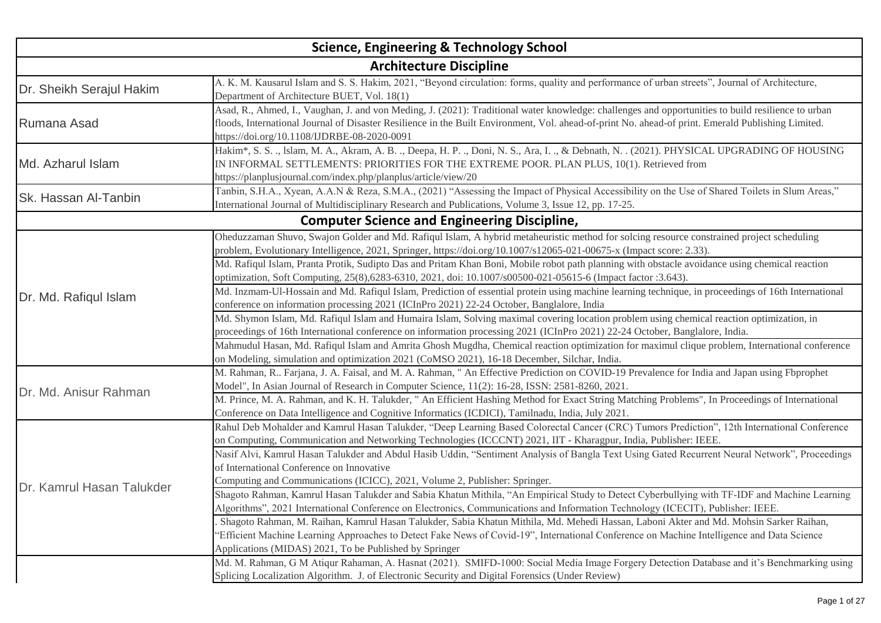| <b>Science, Engineering &amp; Technology School</b> |                                                                                                                                                                                                                                                                                                                                                         |
|-----------------------------------------------------|---------------------------------------------------------------------------------------------------------------------------------------------------------------------------------------------------------------------------------------------------------------------------------------------------------------------------------------------------------|
|                                                     | <b>Architecture Discipline</b>                                                                                                                                                                                                                                                                                                                          |
| Dr. Sheikh Serajul Hakim                            | A. K. M. Kausarul Islam and S. S. Hakim, 2021, "Beyond circulation: forms, quality and performance of urban streets", Journal of Architecture,<br>Department of Architecture BUET, Vol. 18(1)                                                                                                                                                           |
| Rumana Asad                                         | Asad, R., Ahmed, I., Vaughan, J. and von Meding, J. (2021): Traditional water knowledge: challenges and opportunities to build resilience to urban<br>floods, International Journal of Disaster Resilience in the Built Environment, Vol. ahead-of-print No. ahead-of print. Emerald Publishing Limited.<br>https://doi.org/10.1108/IJDRBE-08-2020-0091 |
| Md. Azharul Islam                                   | Hakim <sup>*</sup> , S. S. ., Islam, M. A., Akram, A. B. ., Deepa, H. P. ., Doni, N. S., Ara, I. ., & Debnath, N. . (2021). PHYSICAL UPGRADING OF HOUSING<br>IN INFORMAL SETTLEMENTS: PRIORITIES FOR THE EXTREME POOR. PLAN PLUS, 10(1). Retrieved from<br>https://planplusjournal.com/index.php/planplus/article/view/20                               |
| <b>Sk. Hassan Al-Tanbin</b>                         | Tanbin, S.H.A., Xyean, A.A.N & Reza, S.M.A., (2021) "Assessing the Impact of Physical Accessibility on the Use of Shared Toilets in Slum Areas,"<br>International Journal of Multidisciplinary Research and Publications, Volume 3, Issue 12, pp. 17-25.                                                                                                |
|                                                     | <b>Computer Science and Engineering Discipline,</b>                                                                                                                                                                                                                                                                                                     |
|                                                     | Oheduzzaman Shuvo, Swajon Golder and Md. Rafiqul Islam, A hybrid metaheuristic method for solcing resource constrained project scheduling<br>problem, Evolutionary Intelligence, 2021, Springer, https://doi.org/10.1007/s12065-021-00675-x (Impact score: 2.33).                                                                                       |
|                                                     | Md. Rafiqul Islam, Pranta Protik, Sudipto Das and Pritam Khan Boni, Mobile robot path planning with obstacle avoidance using chemical reaction<br>optimization, Soft Computing, 25(8), 6283-6310, 2021, doi: 10.1007/s00500-021-05615-6 (Impact factor: 3.643).                                                                                         |
| Dr. Md. Rafiqul Islam                               | Md. Inzmam-Ul-Hossain and Md. Rafiqul Islam, Prediction of essential protein using machine learning technique, in proceedings of 16th International<br>conference on information processing 2021 (ICInPro 2021) 22-24 October, Banglalore, India                                                                                                        |
|                                                     | Md. Shymon Islam, Md. Rafiqul Islam and Humaira Islam, Solving maximal covering location problem using chemical reaction optimization, in<br>proceedings of 16th International conference on information processing 2021 (ICInPro 2021) 22-24 October, Banglalore, India.                                                                               |
|                                                     | Mahmudul Hasan, Md. Rafiqul Islam and Amrita Ghosh Mugdha, Chemical reaction optimization for maximul clique problem, International conference<br>on Modeling, simulation and optimization 2021 (CoMSO 2021), 16-18 December, Silchar, India.                                                                                                           |
| Dr. Md. Anisur Rahman                               | M. Rahman, R Farjana, J. A. Faisal, and M. A. Rahman, "An Effective Prediction on COVID-19 Prevalence for India and Japan using Fbprophet<br>Model", In Asian Journal of Research in Computer Science, 11(2): 16-28, ISSN: 2581-8260, 2021.                                                                                                             |
|                                                     | M. Prince, M. A. Rahman, and K. H. Talukder, "An Efficient Hashing Method for Exact String Matching Problems", In Proceedings of International<br>Conference on Data Intelligence and Cognitive Informatics (ICDICI), Tamilnadu, India, July 2021.                                                                                                      |
|                                                     | Rahul Deb Mohalder and Kamrul Hasan Talukder, "Deep Learning Based Colorectal Cancer (CRC) Tumors Prediction", 12th International Conference<br>on Computing, Communication and Networking Technologies (ICCCNT) 2021, IIT - Kharagpur, India, Publisher: IEEE.                                                                                         |
|                                                     | Nasif Alvi, Kamrul Hasan Talukder and Abdul Hasib Uddin, "Sentiment Analysis of Bangla Text Using Gated Recurrent Neural Network", Proceedings<br>of International Conference on Innovative                                                                                                                                                             |
| Dr. Kamrul Hasan Talukder                           | Computing and Communications (ICICC), 2021, Volume 2, Publisher: Springer.<br>Shagoto Rahman, Kamrul Hasan Talukder and Sabia Khatun Mithila, "An Empirical Study to Detect Cyberbullying with TF-IDF and Machine Learning                                                                                                                              |
|                                                     | Algorithms", 2021 International Conference on Electronics, Communications and Information Technology (ICECIT), Publisher: IEEE.                                                                                                                                                                                                                         |
|                                                     | Shagoto Rahman, M. Raihan, Kamrul Hasan Talukder, Sabia Khatun Mithila, Md. Mehedi Hassan, Laboni Akter and Md. Mohsin Sarker Raihan,<br>"Efficient Machine Learning Approaches to Detect Fake News of Covid-19", International Conference on Machine Intelligence and Data Science                                                                     |
|                                                     | Applications (MIDAS) 2021, To be Published by Springer<br>Md. M. Rahman, G M Atiqur Rahaman, A. Hasnat (2021). SMIFD-1000: Social Media Image Forgery Detection Database and it's Benchmarking using                                                                                                                                                    |
|                                                     | Splicing Localization Algorithm. J. of Electronic Security and Digital Forensics (Under Review)                                                                                                                                                                                                                                                         |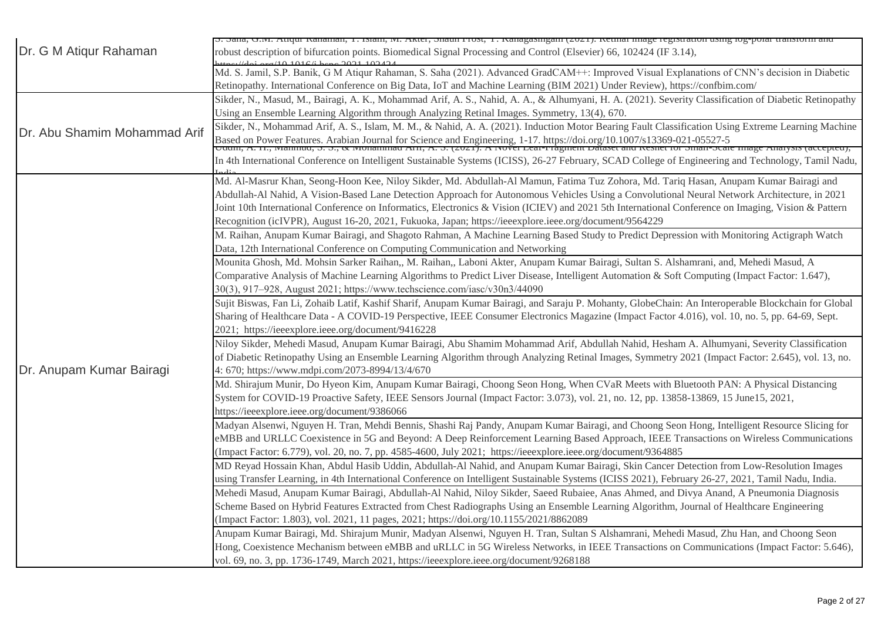|                              | ә. әана, О.т. Ануш Канашан, 1. ғыаш, іл. Акісі, әнаші 110st, 1. Канаgаsиigаm (2021). Кеннаі шаgе геgіsпанон изшg юg-роған анығогіп ана                                                                                                                                                                                                                                                                                                                                                                                                                 |
|------------------------------|--------------------------------------------------------------------------------------------------------------------------------------------------------------------------------------------------------------------------------------------------------------------------------------------------------------------------------------------------------------------------------------------------------------------------------------------------------------------------------------------------------------------------------------------------------|
| Dr. G M Atiqur Rahaman       | robust description of bifurcation points. Biomedical Signal Processing and Control (Elsevier) 66, 102424 (IF 3.14),<br>$0.10166$ kene 2021 102424                                                                                                                                                                                                                                                                                                                                                                                                      |
|                              | Md. S. Jamil, S.P. Banik, G M Atiqur Rahaman, S. Saha (2021). Advanced GradCAM++: Improved Visual Explanations of CNN's decision in Diabetic<br>Retinopathy. International Conference on Big Data, IoT and Machine Learning (BIM 2021) Under Review), https://confbim.com/                                                                                                                                                                                                                                                                             |
|                              | Sikder, N., Masud, M., Bairagi, A. K., Mohammad Arif, A. S., Nahid, A. A., & Alhumyani, H. A. (2021). Severity Classification of Diabetic Retinopathy<br>Using an Ensemble Learning Algorithm through Analyzing Retinal Images. Symmetry, 13(4), 670.                                                                                                                                                                                                                                                                                                  |
| Dr. Abu Shamim Mohammad Arif | Sikder, N., Mohammad Arif, A. S., Islam, M. M., & Nahid, A. A. (2021). Induction Motor Bearing Fault Classification Using Extreme Learning Machine<br>Based on Power Features. Arabian Journal for Science and Engineering, 1-17. https://doi.org/10.1007/s13369-021-05527-5<br>Cuum, A. 11., ivianinuu, S. S., & ivionammau Arri, A. S. (2021). A ivover Lear-Fragment Dataset and Res                                                                                                                                                                |
|                              | In 4th International Conference on Intelligent Sustainable Systems (ICISS), 26-27 February, SCAD College of Engineering and Technology, Tamil Nadu,                                                                                                                                                                                                                                                                                                                                                                                                    |
|                              | Md. Al-Masrur Khan, Seong-Hoon Kee, Niloy Sikder, Md. Abdullah-Al Mamun, Fatima Tuz Zohora, Md. Tariq Hasan, Anupam Kumar Bairagi and<br>Abdullah-Al Nahid, A Vision-Based Lane Detection Approach for Autonomous Vehicles Using a Convolutional Neural Network Architecture, in 2021<br>Joint 10th International Conference on Informatics, Electronics & Vision (ICIEV) and 2021 5th International Conference on Imaging, Vision & Pattern<br>Recognition (icIVPR), August 16-20, 2021, Fukuoka, Japan; https://ieeexplore.ieee.org/document/9564229 |
|                              | M. Raihan, Anupam Kumar Bairagi, and Shagoto Rahman, A Machine Learning Based Study to Predict Depression with Monitoring Actigraph Watch<br>Data, 12th International Conference on Computing Communication and Networking                                                                                                                                                                                                                                                                                                                             |
|                              | Mounita Ghosh, Md. Mohsin Sarker Raihan,, M. Raihan,, Laboni Akter, Anupam Kumar Bairagi, Sultan S. Alshamrani, and, Mehedi Masud, A<br>Comparative Analysis of Machine Learning Algorithms to Predict Liver Disease, Intelligent Automation & Soft Computing (Impact Factor: 1.647),<br>30(3), 917-928, August 2021; https://www.techscience.com/iasc/v30n3/44090                                                                                                                                                                                     |
|                              | Sujit Biswas, Fan Li, Zohaib Latif, Kashif Sharif, Anupam Kumar Bairagi, and Saraju P. Mohanty, GlobeChain: An Interoperable Blockchain for Global<br>Sharing of Healthcare Data - A COVID-19 Perspective, IEEE Consumer Electronics Magazine (Impact Factor 4.016), vol. 10, no. 5, pp. 64-69, Sept.<br>2021; https://ieeexplore.ieee.org/document/9416228                                                                                                                                                                                            |
| Dr. Anupam Kumar Bairagi     | Niloy Sikder, Mehedi Masud, Anupam Kumar Bairagi, Abu Shamim Mohammad Arif, Abdullah Nahid, Hesham A. Alhumyani, Severity Classification<br>of Diabetic Retinopathy Using an Ensemble Learning Algorithm through Analyzing Retinal Images, Symmetry 2021 (Impact Factor: 2.645), vol. 13, no.<br>4: 670; https://www.mdpi.com/2073-8994/13/4/670                                                                                                                                                                                                       |
|                              | Md. Shirajum Munir, Do Hyeon Kim, Anupam Kumar Bairagi, Choong Seon Hong, When CVaR Meets with Bluetooth PAN: A Physical Distancing<br>System for COVID-19 Proactive Safety, IEEE Sensors Journal (Impact Factor: 3.073), vol. 21, no. 12, pp. 13858-13869, 15 June15, 2021,<br>https://ieeexplore.ieee.org/document/9386066                                                                                                                                                                                                                           |
|                              | Madyan Alsenwi, Nguyen H. Tran, Mehdi Bennis, Shashi Raj Pandy, Anupam Kumar Bairagi, and Choong Seon Hong, Intelligent Resource Slicing for<br>eMBB and URLLC Coexistence in 5G and Beyond: A Deep Reinforcement Learning Based Approach, IEEE Transactions on Wireless Communications<br>(Impact Factor: 6.779), vol. 20, no. 7, pp. 4585-4600, July 2021; https://ieeexplore.ieee.org/document/9364885                                                                                                                                              |
|                              | MD Reyad Hossain Khan, Abdul Hasib Uddin, Abdullah-Al Nahid, and Anupam Kumar Bairagi, Skin Cancer Detection from Low-Resolution Images<br>using Transfer Learning, in 4th International Conference on Intelligent Sustainable Systems (ICISS 2021), February 26-27, 2021, Tamil Nadu, India.                                                                                                                                                                                                                                                          |
|                              | Mehedi Masud, Anupam Kumar Bairagi, Abdullah-Al Nahid, Niloy Sikder, Saeed Rubaiee, Anas Ahmed, and Divya Anand, A Pneumonia Diagnosis<br>Scheme Based on Hybrid Features Extracted from Chest Radiographs Using an Ensemble Learning Algorithm, Journal of Healthcare Engineering<br>(Impact Factor: 1.803), vol. 2021, 11 pages, 2021; https://doi.org/10.1155/2021/8862089                                                                                                                                                                          |
|                              | Anupam Kumar Bairagi, Md. Shirajum Munir, Madyan Alsenwi, Nguyen H. Tran, Sultan S Alshamrani, Mehedi Masud, Zhu Han, and Choong Seon<br>Hong, Coexistence Mechanism between eMBB and uRLLC in 5G Wireless Networks, in IEEE Transactions on Communications (Impact Factor: 5.646),<br>vol. 69, no. 3, pp. 1736-1749, March 2021, https://ieeexplore.ieee.org/document/9268188                                                                                                                                                                         |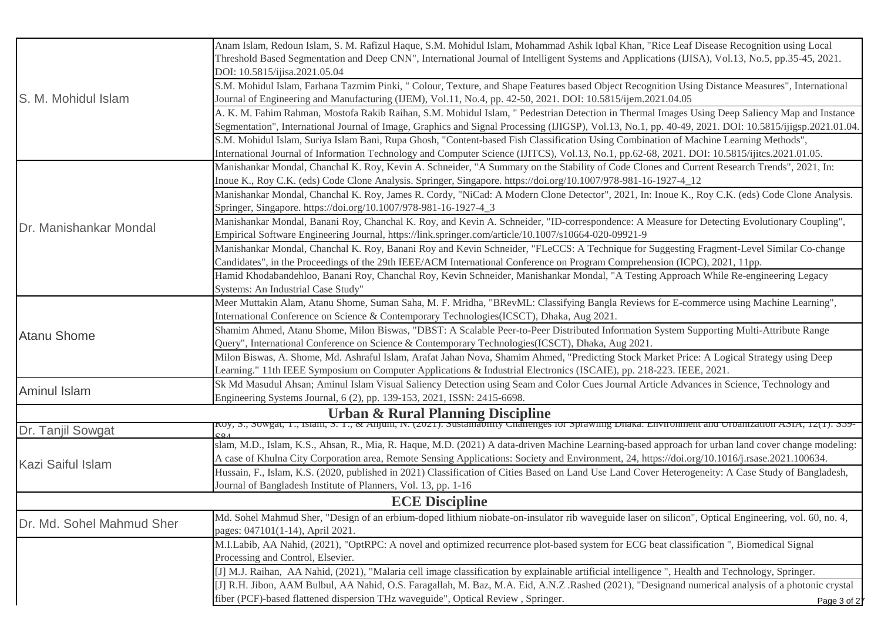|                           | Anam Islam, Redoun Islam, S. M. Rafizul Haque, S.M. Mohidul Islam, Mohammad Ashik Iqbal Khan, "Rice Leaf Disease Recognition using Local                                                                                                                                                                 |
|---------------------------|----------------------------------------------------------------------------------------------------------------------------------------------------------------------------------------------------------------------------------------------------------------------------------------------------------|
|                           | Threshold Based Segmentation and Deep CNN", International Journal of Intelligent Systems and Applications (IJISA), Vol.13, No.5, pp.35-45, 2021.                                                                                                                                                         |
|                           | DOI: 10.5815/ijisa.2021.05.04                                                                                                                                                                                                                                                                            |
|                           | S.M. Mohidul Islam, Farhana Tazmim Pinki, "Colour, Texture, and Shape Features based Object Recognition Using Distance Measures", International                                                                                                                                                          |
| S. M. Mohidul Islam       | Journal of Engineering and Manufacturing (IJEM), Vol.11, No.4, pp. 42-50, 2021. DOI: 10.5815/ijem.2021.04.05                                                                                                                                                                                             |
|                           | A. K. M. Fahim Rahman, Mostofa Rakib Raihan, S.M. Mohidul Islam, " Pedestrian Detection in Thermal Images Using Deep Saliency Map and Instance<br>Segmentation", International Journal of Image, Graphics and Signal Processing (IJIGSP), Vol.13, No.1, pp. 40-49, 2021. DOI: 10.5815/ijigsp.2021.01.04. |
|                           | S.M. Mohidul Islam, Suriya Islam Bani, Rupa Ghosh, "Content-based Fish Classification Using Combination of Machine Learning Methods",                                                                                                                                                                    |
|                           | International Journal of Information Technology and Computer Science (IJITCS), Vol.13, No.1, pp.62-68, 2021. DOI: 10.5815/ijitcs.2021.01.05.                                                                                                                                                             |
|                           | Manishankar Mondal, Chanchal K. Roy, Kevin A. Schneider, "A Summary on the Stability of Code Clones and Current Research Trends", 2021, In:                                                                                                                                                              |
|                           | Inoue K., Roy C.K. (eds) Code Clone Analysis. Springer, Singapore. https://doi.org/10.1007/978-981-16-1927-4_12                                                                                                                                                                                          |
|                           | Manishankar Mondal, Chanchal K. Roy, James R. Cordy, "NiCad: A Modern Clone Detector", 2021, In: Inoue K., Roy C.K. (eds) Code Clone Analysis.                                                                                                                                                           |
|                           | Springer, Singapore. https://doi.org/10.1007/978-981-16-1927-4_3                                                                                                                                                                                                                                         |
|                           | Manishankar Mondal, Banani Roy, Chanchal K. Roy, and Kevin A. Schneider, "ID-correspondence: A Measure for Detecting Evolutionary Coupling",                                                                                                                                                             |
| Dr. Manishankar Mondal    | Empirical Software Engineering Journal, https://link.springer.com/article/10.1007/s10664-020-09921-9                                                                                                                                                                                                     |
|                           | Manishankar Mondal, Chanchal K. Roy, Banani Roy and Kevin Schneider, "FLeCCS: A Technique for Suggesting Fragment-Level Similar Co-change                                                                                                                                                                |
|                           | Candidates", in the Proceedings of the 29th IEEE/ACM International Conference on Program Comprehension (ICPC), 2021, 11pp.                                                                                                                                                                               |
|                           | Hamid Khodabandehloo, Banani Roy, Chanchal Roy, Kevin Schneider, Manishankar Mondal, "A Testing Approach While Re-engineering Legacy                                                                                                                                                                     |
|                           | Systems: An Industrial Case Study"                                                                                                                                                                                                                                                                       |
|                           | Meer Muttakin Alam, Atanu Shome, Suman Saha, M. F. Mridha, "BRevML: Classifying Bangla Reviews for E-commerce using Machine Learning",                                                                                                                                                                   |
|                           | International Conference on Science & Contemporary Technologies (ICSCT), Dhaka, Aug 2021.                                                                                                                                                                                                                |
|                           | Shamim Ahmed, Atanu Shome, Milon Biswas, "DBST: A Scalable Peer-to-Peer Distributed Information System Supporting Multi-Attribute Range                                                                                                                                                                  |
| <b>Atanu Shome</b>        | Query", International Conference on Science & Contemporary Technologies (ICSCT), Dhaka, Aug 2021.                                                                                                                                                                                                        |
|                           | Milon Biswas, A. Shome, Md. Ashraful Islam, Arafat Jahan Nova, Shamim Ahmed, "Predicting Stock Market Price: A Logical Strategy using Deep                                                                                                                                                               |
|                           | Learning." 11th IEEE Symposium on Computer Applications & Industrial Electronics (ISCAIE), pp. 218-223. IEEE, 2021.                                                                                                                                                                                      |
|                           | Sk Md Masudul Ahsan; Aminul Islam Visual Saliency Detection using Seam and Color Cues Journal Article Advances in Science, Technology and                                                                                                                                                                |
| <b>Aminul Islam</b>       | Engineering Systems Journal, 6 (2), pp. 139-153, 2021, ISSN: 2415-6698.                                                                                                                                                                                                                                  |
|                           |                                                                                                                                                                                                                                                                                                          |
| Dr. Tanjil Sowgat         |                                                                                                                                                                                                                                                                                                          |
|                           | slam, M.D., Islam, K.S., Ahsan, R., Mia, R. Haque, M.D. (2021) A data-driven Machine Learning-based approach for urban land cover change modeling:                                                                                                                                                       |
|                           | A case of Khulna City Corporation area, Remote Sensing Applications: Society and Environment, 24, https://doi.org/10.1016/j.rsase.2021.100634.                                                                                                                                                           |
| Kazi Saiful Islam         | Hussain, F., Islam, K.S. (2020, published in 2021) Classification of Cities Based on Land Use Land Cover Heterogeneity: A Case Study of Bangladesh,                                                                                                                                                      |
|                           | Journal of Bangladesh Institute of Planners, Vol. 13, pp. 1-16                                                                                                                                                                                                                                           |
|                           | <b>ECE Discipline</b>                                                                                                                                                                                                                                                                                    |
|                           | Md. Sohel Mahmud Sher, "Design of an erbium-doped lithium niobate-on-insulator rib waveguide laser on silicon", Optical Engineering, vol. 60, no. 4,                                                                                                                                                     |
| Dr. Md. Sohel Mahmud Sher | pages: 047101(1-14), April 2021.                                                                                                                                                                                                                                                                         |
|                           | M.I.Labib, AA Nahid, (2021), "OptRPC: A novel and optimized recurrence plot-based system for ECG beat classification ", Biomedical Signal                                                                                                                                                                |
|                           | Processing and Control, Elsevier.                                                                                                                                                                                                                                                                        |
|                           | [J] M.J. Raihan, AA Nahid, (2021), "Malaria cell image classification by explainable artificial intelligence", Health and Technology, Springer.                                                                                                                                                          |
|                           | [J] R.H. Jibon, AAM Bulbul, AA Nahid, O.S. Faragallah, M. Baz, M.A. Eid, A.N.Z. Rashed (2021), "Designand numerical analysis of a photonic crystal                                                                                                                                                       |
|                           | fiber (PCF)-based flattened dispersion THz waveguide", Optical Review, Springer.<br>Page 3 of 27                                                                                                                                                                                                         |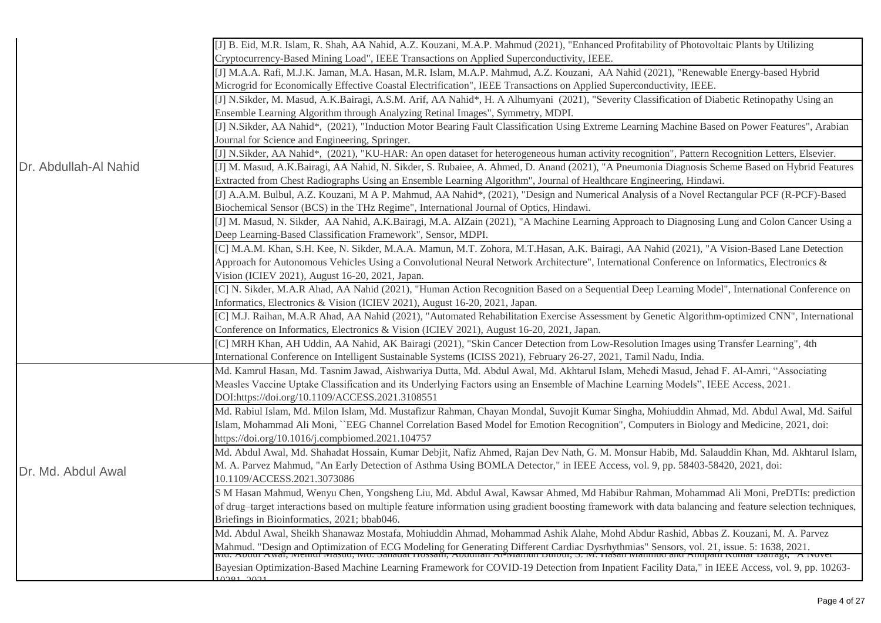|                       | [J] B. Eid, M.R. Islam, R. Shah, AA Nahid, A.Z. Kouzani, M.A.P. Mahmud (2021), "Enhanced Profitability of Photovoltaic Plants by Utilizing<br>Cryptocurrency-Based Mining Load", IEEE Transactions on Applied Superconductivity, IEEE. |
|-----------------------|----------------------------------------------------------------------------------------------------------------------------------------------------------------------------------------------------------------------------------------|
|                       | [J] M.A.A. Rafi, M.J.K. Jaman, M.A. Hasan, M.R. Islam, M.A.P. Mahmud, A.Z. Kouzani, AA Nahid (2021), "Renewable Energy-based Hybrid                                                                                                    |
|                       | Microgrid for Economically Effective Coastal Electrification", IEEE Transactions on Applied Superconductivity, IEEE.                                                                                                                   |
|                       | [J] N.Sikder, M. Masud, A.K.Bairagi, A.S.M. Arif, AA Nahid*, H. A Alhumyani (2021), "Severity Classification of Diabetic Retinopathy Using an                                                                                          |
|                       | Ensemble Learning Algorithm through Analyzing Retinal Images", Symmetry, MDPI.                                                                                                                                                         |
|                       | [J] N.Sikder, AA Nahid*, (2021), "Induction Motor Bearing Fault Classification Using Extreme Learning Machine Based on Power Features", Arabian                                                                                        |
|                       | Journal for Science and Engineering, Springer.                                                                                                                                                                                         |
|                       | [J] N.Sikder, AA Nahid*, (2021), "KU-HAR: An open dataset for heterogeneous human activity recognition", Pattern Recognition Letters, Elsevier.                                                                                        |
| Dr. Abdullah-Al Nahid | [J] M. Masud, A.K.Bairagi, AA Nahid, N. Sikder, S. Rubaiee, A. Ahmed, D. Anand (2021), "A Pneumonia Diagnosis Scheme Based on Hybrid Features                                                                                          |
|                       | Extracted from Chest Radiographs Using an Ensemble Learning Algorithm", Journal of Healthcare Engineering, Hindawi.                                                                                                                    |
|                       | [J] A.A.M. Bulbul, A.Z. Kouzani, M A P. Mahmud, AA Nahid*, (2021), "Design and Numerical Analysis of a Novel Rectangular PCF (R-PCF)-Based                                                                                             |
|                       | Biochemical Sensor (BCS) in the THz Regime", International Journal of Optics, Hindawi.                                                                                                                                                 |
|                       | [J] M. Masud, N. Sikder, AA Nahid, A.K.Bairagi, M.A. AlZain (2021), "A Machine Learning Approach to Diagnosing Lung and Colon Cancer Using a                                                                                           |
|                       | Deep Learning-Based Classification Framework", Sensor, MDPI.                                                                                                                                                                           |
|                       | [C] M.A.M. Khan, S.H. Kee, N. Sikder, M.A.A. Mamun, M.T. Zohora, M.T.Hasan, A.K. Bairagi, AA Nahid (2021), "A Vision-Based Lane Detection                                                                                              |
|                       | Approach for Autonomous Vehicles Using a Convolutional Neural Network Architecture", International Conference on Informatics, Electronics &                                                                                            |
|                       | Vision (ICIEV 2021), August 16-20, 2021, Japan.                                                                                                                                                                                        |
|                       | [C] N. Sikder, M.A.R Ahad, AA Nahid (2021), "Human Action Recognition Based on a Sequential Deep Learning Model", International Conference on                                                                                          |
|                       | Informatics, Electronics & Vision (ICIEV 2021), August 16-20, 2021, Japan.                                                                                                                                                             |
|                       | [C] M.J. Raihan, M.A.R Ahad, AA Nahid (2021), "Automated Rehabilitation Exercise Assessment by Genetic Algorithm-optimized CNN", International                                                                                         |
|                       | Conference on Informatics, Electronics & Vision (ICIEV 2021), August 16-20, 2021, Japan.                                                                                                                                               |
|                       | [C] MRH Khan, AH Uddin, AA Nahid, AK Bairagi (2021), "Skin Cancer Detection from Low-Resolution Images using Transfer Learning", 4th                                                                                                   |
|                       | International Conference on Intelligent Sustainable Systems (ICISS 2021), February 26-27, 2021, Tamil Nadu, India.                                                                                                                     |
|                       | Md. Kamrul Hasan, Md. Tasnim Jawad, Aishwariya Dutta, Md. Abdul Awal, Md. Akhtarul Islam, Mehedi Masud, Jehad F. Al-Amri, "Associating                                                                                                 |
|                       | Measles Vaccine Uptake Classification and its Underlying Factors using an Ensemble of Machine Learning Models", IEEE Access, 2021.                                                                                                     |
|                       | DOI:https://doi.org/10.1109/ACCESS.2021.3108551                                                                                                                                                                                        |
|                       |                                                                                                                                                                                                                                        |
|                       | Md. Rabiul Islam, Md. Milon Islam, Md. Mustafizur Rahman, Chayan Mondal, Suvojit Kumar Singha, Mohiuddin Ahmad, Md. Abdul Awal, Md. Saiful                                                                                             |
|                       | Islam, Mohammad Ali Moni, "EEG Channel Correlation Based Model for Emotion Recognition", Computers in Biology and Medicine, 2021, doi:                                                                                                 |
|                       | https://doi.org/10.1016/j.compbiomed.2021.104757                                                                                                                                                                                       |
|                       | Md. Abdul Awal, Md. Shahadat Hossain, Kumar Debjit, Nafiz Ahmed, Rajan Dev Nath, G. M. Monsur Habib, Md. Salauddin Khan, Md. Akhtarul Islam,                                                                                           |
|                       | M. A. Parvez Mahmud, "An Early Detection of Asthma Using BOMLA Detector," in IEEE Access, vol. 9, pp. 58403-58420, 2021, doi:                                                                                                          |
| Dr. Md. Abdul Awal    | 10.1109/ACCESS.2021.3073086                                                                                                                                                                                                            |
|                       | S M Hasan Mahmud, Wenyu Chen, Yongsheng Liu, Md. Abdul Awal, Kawsar Ahmed, Md Habibur Rahman, Mohammad Ali Moni, PreDTIs: prediction                                                                                                   |
|                       | of drug-target interactions based on multiple feature information using gradient boosting framework with data balancing and feature selection techniques,                                                                              |
|                       | Briefings in Bioinformatics, 2021; bbab046.                                                                                                                                                                                            |
|                       | Md. Abdul Awal, Sheikh Shanawaz Mostafa, Mohiuddin Ahmad, Mohammad Ashik Alahe, Mohd Abdur Rashid, Abbas Z. Kouzani, M. A. Parvez                                                                                                      |
|                       |                                                                                                                                                                                                                                        |
|                       | Mahmud. "Design and Optimization of ECG Modeling for Generating Different Cardiac Dysrhythmias" Sensors, vol. 21, issue. 5: 1638, 2021.<br>Two. Abdul Awal, Memor Masud, Md. Sanadat Hossain, Abdullah Al-Mamun Dulbut, S. M. Has      |
|                       | Bayesian Optimization-Based Machine Learning Framework for COVID-19 Detection from Inpatient Facility Data," in IEEE Access, vol. 9, pp. 10263-<br>$0.201 - 20.21$                                                                     |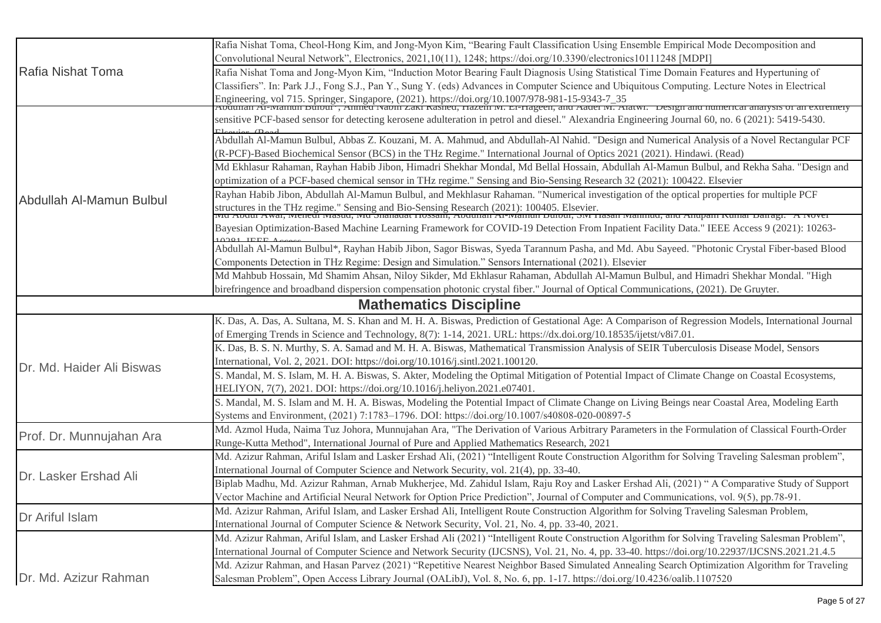| Rafia Nishat Toma         | Rafia Nishat Toma, Cheol-Hong Kim, and Jong-Myon Kim, "Bearing Fault Classification Using Ensemble Empirical Mode Decomposition and                                                                                               |
|---------------------------|-----------------------------------------------------------------------------------------------------------------------------------------------------------------------------------------------------------------------------------|
|                           | Convolutional Neural Network", Electronics, 2021,10(11), 1248; https://doi.org/10.3390/electronics10111248 [MDPI]                                                                                                                 |
|                           | Rafia Nishat Toma and Jong-Myon Kim, "Induction Motor Bearing Fault Diagnosis Using Statistical Time Domain Features and Hypertuning of                                                                                           |
|                           | Classifiers". In: Park J.J., Fong S.J., Pan Y., Sung Y. (eds) Advances in Computer Science and Ubiquitous Computing. Lecture Notes in Electrical                                                                                  |
|                           | Engineering, vol 715. Springer, Singapore, (2021). https://doi.org/10.1007/978-981-15-9343-7_35<br>Audunan Al-wiamun Dunun , Annicu iyauni zaki Kasheu, Hazeln wi. El-Hageen, and Aadel wi. Alatwi. Design and numerical analysis |
|                           | sensitive PCF-based sensor for detecting kerosene adulteration in petrol and diesel." Alexandria Engineering Journal 60, no. 6 (2021): 5419-5430.                                                                                 |
|                           | Abdullah Al-Mamun Bulbul, Abbas Z. Kouzani, M. A. Mahmud, and Abdullah-Al Nahid. "Design and Numerical Analysis of a Novel Rectangular PCF                                                                                        |
|                           | (R-PCF)-Based Biochemical Sensor (BCS) in the THz Regime." International Journal of Optics 2021 (2021). Hindawi. (Read)                                                                                                           |
|                           | Md Ekhlasur Rahaman, Rayhan Habib Jibon, Himadri Shekhar Mondal, Md Bellal Hossain, Abdullah Al-Mamun Bulbul, and Rekha Saha. "Design and                                                                                         |
|                           | optimization of a PCF-based chemical sensor in THz regime." Sensing and Bio-Sensing Research 32 (2021): 100422. Elsevier                                                                                                          |
|                           | Rayhan Habib Jibon, Abdullah Al-Mamun Bulbul, and Mekhlasur Rahaman. "Numerical investigation of the optical properties for multiple PCF                                                                                          |
| Abdullah Al-Mamun Bulbul  | structures in the THz regime." Sensing and Bio-Sensing Research (2021): 100405. Elsevier.<br>Two About Awat, Menedi Masud, Mu Shanadat Hossani, Abouthan Al-Manum Butbut, SM Hasan Manmud, and Amupam Kumat Banagi. A Nover       |
|                           |                                                                                                                                                                                                                                   |
|                           | Bayesian Optimization-Based Machine Learning Framework for COVID-19 Detection From Inpatient Facility Data." IEEE Access 9 (2021): 10263-<br>$10001$ HEEL                                                                         |
|                           | Abdullah Al-Mamun Bulbul*, Rayhan Habib Jibon, Sagor Biswas, Syeda Tarannum Pasha, and Md. Abu Sayeed. "Photonic Crystal Fiber-based Blood                                                                                        |
|                           | Components Detection in THz Regime: Design and Simulation." Sensors International (2021). Elsevier                                                                                                                                |
|                           | Md Mahbub Hossain, Md Shamim Ahsan, Niloy Sikder, Md Ekhlasur Rahaman, Abdullah Al-Mamun Bulbul, and Himadri Shekhar Mondal. "High                                                                                                |
|                           | birefringence and broadband dispersion compensation photonic crystal fiber." Journal of Optical Communications, (2021). De Gruyter.                                                                                               |
|                           | <b>Mathematics Discipline</b>                                                                                                                                                                                                     |
|                           | K. Das, A. Das, A. Sultana, M. S. Khan and M. H. A. Biswas, Prediction of Gestational Age: A Comparison of Regression Models, International Journal                                                                               |
|                           | of Emerging Trends in Science and Technology, 8(7): 1-14, 2021. URL: https://dx.doi.org/10.18535/ijetst/v8i7.01.                                                                                                                  |
|                           | K. Das, B. S. N. Murthy, S. A. Samad and M. H. A. Biswas, Mathematical Transmission Analysis of SEIR Tuberculosis Disease Model, Sensors                                                                                          |
| Dr. Md. Haider Ali Biswas | International, Vol. 2, 2021. DOI: https://doi.org/10.1016/j.sintl.2021.100120.                                                                                                                                                    |
|                           | S. Mandal, M. S. Islam, M. H. A. Biswas, S. Akter, Modeling the Optimal Mitigation of Potential Impact of Climate Change on Coastal Ecosystems,                                                                                   |
|                           | HELIYON, 7(7), 2021. DOI: https://doi.org/10.1016/j.heliyon.2021.e07401.                                                                                                                                                          |
|                           | S. Mandal, M. S. Islam and M. H. A. Biswas, Modeling the Potential Impact of Climate Change on Living Beings near Coastal Area, Modeling Earth                                                                                    |
|                           | Systems and Environment, (2021) 7:1783-1796. DOI: https://doi.org/10.1007/s40808-020-00897-5                                                                                                                                      |
| Prof. Dr. Munnujahan Ara  | Md. Azmol Huda, Naima Tuz Johora, Munnujahan Ara, "The Derivation of Various Arbitrary Parameters in the Formulation of Classical Fourth-Order                                                                                    |
|                           | Runge-Kutta Method", International Journal of Pure and Applied Mathematics Research, 2021                                                                                                                                         |
| Dr. Lasker Ershad Ali     | Md. Azizur Rahman, Ariful Islam and Lasker Ershad Ali, (2021) "Intelligent Route Construction Algorithm for Solving Traveling Salesman problem",                                                                                  |
|                           | International Journal of Computer Science and Network Security, vol. 21(4), pp. 33-40.                                                                                                                                            |
|                           | Biplab Madhu, Md. Azizur Rahman, Arnab Mukherjee, Md. Zahidul Islam, Raju Roy and Lasker Ershad Ali, (2021) "A Comparative Study of Support                                                                                       |
|                           | Vector Machine and Artificial Neural Network for Option Price Prediction", Journal of Computer and Communications, vol. 9(5), pp.78-91.                                                                                           |
| Dr Ariful Islam           | Md. Azizur Rahman, Ariful Islam, and Lasker Ershad Ali, Intelligent Route Construction Algorithm for Solving Traveling Salesman Problem,                                                                                          |
|                           | International Journal of Computer Science & Network Security, Vol. 21, No. 4, pp. 33-40, 2021.                                                                                                                                    |
|                           | Md. Azizur Rahman, Ariful Islam, and Lasker Ershad Ali (2021) "Intelligent Route Construction Algorithm for Solving Traveling Salesman Problem",                                                                                  |
|                           | International Journal of Computer Science and Network Security (IJCSNS), Vol. 21, No. 4, pp. 33-40. https://doi.org/10.22937/IJCSNS.2021.21.4.5                                                                                   |
|                           | Md. Azizur Rahman, and Hasan Parvez (2021) "Repetitive Nearest Neighbor Based Simulated Annealing Search Optimization Algorithm for Traveling                                                                                     |
| Dr. Md. Azizur Rahman     | Salesman Problem", Open Access Library Journal (OALibJ), Vol. 8, No. 6, pp. 1-17. https://doi.org/10.4236/oalib.1107520                                                                                                           |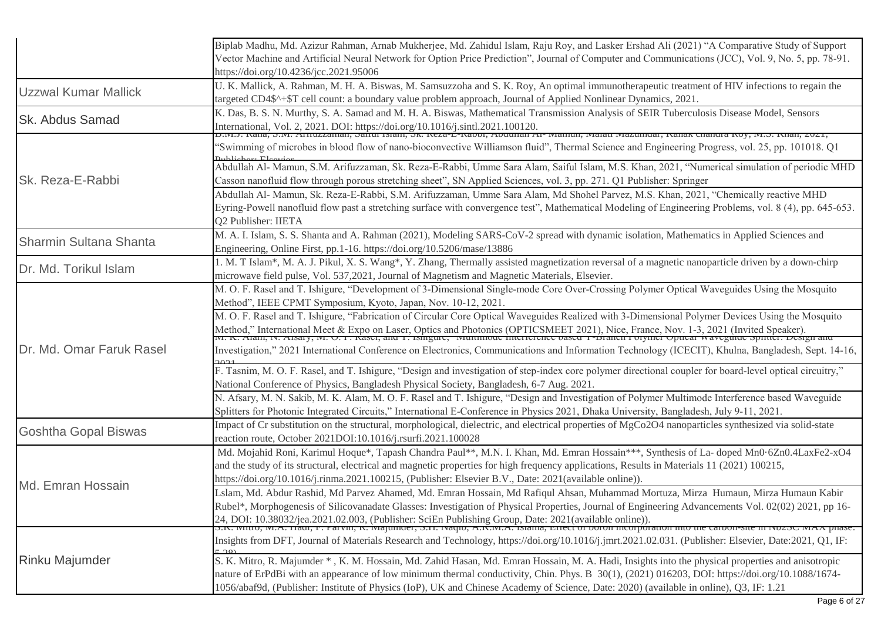|                             | Biplab Madhu, Md. Azizur Rahman, Arnab Mukherjee, Md. Zahidul Islam, Raju Roy, and Lasker Ershad Ali (2021) "A Comparative Study of Support<br>Vector Machine and Artificial Neural Network for Option Price Prediction", Journal of Computer and Communications (JCC), Vol. 9, No. 5, pp. 78-91.<br>https://doi.org/10.4236/jcc.2021.95006                                                                                                                                                                                   |
|-----------------------------|-------------------------------------------------------------------------------------------------------------------------------------------------------------------------------------------------------------------------------------------------------------------------------------------------------------------------------------------------------------------------------------------------------------------------------------------------------------------------------------------------------------------------------|
| <b>Uzzwal Kumar Mallick</b> | U. K. Mallick, A. Rahman, M. H. A. Biswas, M. Samsuzzoha and S. K. Roy, An optimal immunotherapeutic treatment of HIV infections to regain the<br>targeted CD4\$^+\$T cell count: a boundary value problem approach, Journal of Applied Nonlinear Dynamics, 2021.                                                                                                                                                                                                                                                             |
| <b>Sk. Abdus Samad</b>      | K. Das, B. S. N. Murthy, S. A. Samad and M. H. A. Biswas, Mathematical Transmission Analysis of SEIR Tuberculosis Disease Model, Sensors<br>International, Vol. 2, 2021. DOI: https://doi.org/10.1016/j.sintl.2021.100120.<br>D.W.J. Nana, S.W. Armuzzaman, Samu Islam, SK. Neza-E-Naool, Aouunan Al- Mamun, Malau Mazumuar, Kanak Chanura Koy, M.S. Khan, 2021,                                                                                                                                                              |
|                             | 'Swimming of microbes in blood flow of nano-bioconvective Williamson fluid", Thermal Science and Engineering Progress, vol. 25, pp. 101018. Q1                                                                                                                                                                                                                                                                                                                                                                                |
| Sk. Reza-E-Rabbi            | Abdullah Al- Mamun, S.M. Arifuzzaman, Sk. Reza-E-Rabbi, Umme Sara Alam, Saiful Islam, M.S. Khan, 2021, "Numerical simulation of periodic MHD<br>Casson nanofluid flow through porous stretching sheet", SN Applied Sciences, vol. 3, pp. 271. Q1 Publisher: Springer                                                                                                                                                                                                                                                          |
|                             | Abdullah Al- Mamun, Sk. Reza-E-Rabbi, S.M. Arifuzzaman, Umme Sara Alam, Md Shohel Parvez, M.S. Khan, 2021, "Chemically reactive MHD<br>Eyring-Powell nanofluid flow past a stretching surface with convergence test", Mathematical Modeling of Engineering Problems, vol. 8 (4), pp. 645-653.<br>Q2 Publisher: IIETA                                                                                                                                                                                                          |
| Sharmin Sultana Shanta      | M. A. I. Islam, S. S. Shanta and A. Rahman (2021), Modeling SARS-CoV-2 spread with dynamic isolation, Mathematics in Applied Sciences and<br>Engineering, Online First, pp.1-16. https://doi.org/10.5206/mase/13886                                                                                                                                                                                                                                                                                                           |
| Dr. Md. Torikul Islam       | 1. M. T Islam*, M. A. J. Pikul, X. S. Wang*, Y. Zhang, Thermally assisted magnetization reversal of a magnetic nanoparticle driven by a down-chirp<br>microwave field pulse, Vol. 537,2021, Journal of Magnetism and Magnetic Materials, Elsevier.                                                                                                                                                                                                                                                                            |
|                             | M. O. F. Rasel and T. Ishigure, "Development of 3-Dimensional Single-mode Core Over-Crossing Polymer Optical Waveguides Using the Mosquito<br>Method", IEEE CPMT Symposium, Kyoto, Japan, Nov. 10-12, 2021.                                                                                                                                                                                                                                                                                                                   |
| Dr. Md. Omar Faruk Rasel    | M. O. F. Rasel and T. Ishigure, "Fabrication of Circular Core Optical Waveguides Realized with 3-Dimensional Polymer Devices Using the Mosquito<br>Method," International Meet & Expo on Laser, Optics and Photonics (OPTICSMEET 2021), Nice, France, Nov. 1-3, 2021 (Invited Speaker).<br>IVI. K. Alalli, IV. Alsary, IVI. O. F. Kasel, and 1. Ishigure, Wultimoue interference bas                                                                                                                                          |
|                             | Investigation," 2021 International Conference on Electronics, Communications and Information Technology (ICECIT), Khulna, Bangladesh, Sept. 14-16,                                                                                                                                                                                                                                                                                                                                                                            |
|                             | F. Tasnim, M. O. F. Rasel, and T. Ishigure, "Design and investigation of step-index core polymer directional coupler for board-level optical circuitry,"<br>National Conference of Physics, Bangladesh Physical Society, Bangladesh, 6-7 Aug. 2021.                                                                                                                                                                                                                                                                           |
|                             | N. Afsary, M. N. Sakib, M. K. Alam, M. O. F. Rasel and T. Ishigure, "Design and Investigation of Polymer Multimode Interference based Waveguide<br>Splitters for Photonic Integrated Circuits," International E-Conference in Physics 2021, Dhaka University, Bangladesh, July 9-11, 2021.                                                                                                                                                                                                                                    |
| <b>Goshtha Gopal Biswas</b> | Impact of Cr substitution on the structural, morphological, dielectric, and electrical properties of MgCo2O4 nanoparticles synthesized via solid-state<br>reaction route, October 2021DOI:10.1016/j.rsurfi.2021.100028                                                                                                                                                                                                                                                                                                        |
| Md. Emran Hossain           | Md. Mojahid Roni, Karimul Hoque*, Tapash Chandra Paul**, M.N. I. Khan, Md. Emran Hossain***, Synthesis of La- doped Mn0.6Zn0.4LaxFe2-xO4<br>and the study of its structural, electrical and magnetic properties for high frequency applications, Results in Materials 11 (2021) 100215,<br>https://doi.org/10.1016/j.rinma.2021.100215, (Publisher: Elsevier B.V., Date: 2021(available online)).                                                                                                                             |
|                             | Lslam, Md. Abdur Rashid, Md Parvez Ahamed, Md. Emran Hossain, Md Rafiqul Ahsan, Muhammad Mortuza, Mirza Humaun, Mirza Humaun Kabir<br>Rubel*, Morphogenesis of Silicovanadate Glasses: Investigation of Physical Properties, Journal of Engineering Advancements Vol. 02(02) 2021, pp 16-<br>24, DOI: 10.38032/jea.2021.02.003, (Publisher: SciEn Publishing Group, Date: 2021(available online)).<br>S.K. IVIIIU, IVI.A. Haul, F. Farvin, K. Iviajumuer, S.H. Ivaquo, A.K.IVI.A. Islama, Effect of Doron incorporation mio t |
| <b>Rinku Majumder</b>       | Insights from DFT, Journal of Materials Research and Technology, https://doi.org/10.1016/j.jmrt.2021.02.031. (Publisher: Elsevier, Date:2021, Q1, IF:                                                                                                                                                                                                                                                                                                                                                                         |
|                             | S. K. Mitro, R. Majumder *, K. M. Hossain, Md. Zahid Hasan, Md. Emran Hossain, M. A. Hadi, Insights into the physical properties and anisotropic<br>nature of ErPdBi with an appearance of low minimum thermal conductivity, Chin. Phys. B 30(1), (2021) 016203, DOI: https://doi.org/10.1088/1674-<br>1056/abaf9d, (Publisher: Institute of Physics (IoP), UK and Chinese Academy of Science, Date: 2020) (available in online), Q3, IF: 1.21                                                                                |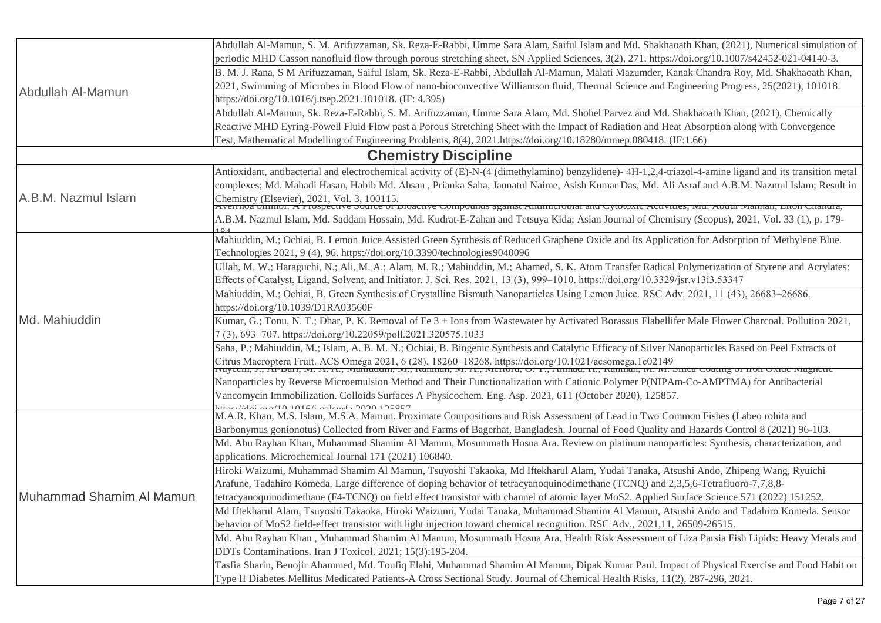| Abdullah Al-Mamun        | Abdullah Al-Mamun, S. M. Arifuzzaman, Sk. Reza-E-Rabbi, Umme Sara Alam, Saiful Islam and Md. Shakhaoath Khan, (2021), Numerical simulation of                                                                                     |
|--------------------------|-----------------------------------------------------------------------------------------------------------------------------------------------------------------------------------------------------------------------------------|
|                          | periodic MHD Casson nanofluid flow through porous stretching sheet, SN Applied Sciences, 3(2), 271. https://doi.org/10.1007/s42452-021-04140-3.                                                                                   |
|                          | B. M. J. Rana, S M Arifuzzaman, Saiful Islam, Sk. Reza-E-Rabbi, Abdullah Al-Mamun, Malati Mazumder, Kanak Chandra Roy, Md. Shakhaoath Khan,                                                                                       |
|                          | 2021, Swimming of Microbes in Blood Flow of nano-bioconvective Williamson fluid, Thermal Science and Engineering Progress, 25(2021), 101018.                                                                                      |
|                          | https://doi.org/10.1016/j.tsep.2021.101018. (IF: 4.395)                                                                                                                                                                           |
|                          | Abdullah Al-Mamun, Sk. Reza-E-Rabbi, S. M. Arifuzzaman, Umme Sara Alam, Md. Shohel Parvez and Md. Shakhaoath Khan, (2021), Chemically                                                                                             |
|                          | Reactive MHD Eyring-Powell Fluid Flow past a Porous Stretching Sheet with the Impact of Radiation and Heat Absorption along with Convergence                                                                                      |
|                          | Test, Mathematical Modelling of Engineering Problems, 8(4), 2021.https://doi.org/10.18280/mmep.080418. (IF:1.66)                                                                                                                  |
|                          | <b>Chemistry Discipline</b>                                                                                                                                                                                                       |
|                          | Antioxidant, antibacterial and electrochemical activity of (E)-N-(4 (dimethylamino) benzylidene)-4H-1,2,4-triazol-4-amine ligand and its transition metal                                                                         |
|                          | complexes; Md. Mahadi Hasan, Habib Md. Ahsan , Prianka Saha, Jannatul Naime, Asish Kumar Das, Md. Ali Asraf and A.B.M. Nazmul Islam; Result in                                                                                    |
| A.B.M. Nazmul Islam      | Chemistry (Elsevier), 2021, Vol. 3, 100115.<br>Avennoa omnior. A rrospective source of Bioactive Compounus against Antimicropial and Cytotoxic Activities, ivid. Abdul ivialinan, Liton Chandra,                                  |
|                          |                                                                                                                                                                                                                                   |
|                          | A.B.M. Nazmul Islam, Md. Saddam Hossain, Md. Kudrat-E-Zahan and Tetsuya Kida; Asian Journal of Chemistry (Scopus), 2021, Vol. 33 (1), p. 179-                                                                                     |
|                          | Mahiuddin, M.; Ochiai, B. Lemon Juice Assisted Green Synthesis of Reduced Graphene Oxide and Its Application for Adsorption of Methylene Blue.                                                                                    |
|                          | Technologies 2021, 9 (4), 96. https://doi.org/10.3390/technologies9040096                                                                                                                                                         |
|                          | Ullah, M. W.; Haraguchi, N.; Ali, M. A.; Alam, M. R.; Mahiuddin, M.; Ahamed, S. K. Atom Transfer Radical Polymerization of Styrene and Acrylates:                                                                                 |
|                          | Effects of Catalyst, Ligand, Solvent, and Initiator. J. Sci. Res. 2021, 13 (3), 999-1010. https://doi.org/10.3329/jsr.v13i3.53347                                                                                                 |
|                          | Mahiuddin, M.; Ochiai, B. Green Synthesis of Crystalline Bismuth Nanoparticles Using Lemon Juice. RSC Adv. 2021, 11 (43), 26683–26686.                                                                                            |
|                          | https://doi.org/10.1039/D1RA03560F                                                                                                                                                                                                |
| Md. Mahiuddin            | Kumar, G.; Tonu, N. T.; Dhar, P. K. Removal of Fe 3 + Ions from Wastewater by Activated Borassus Flabellifer Male Flower Charcoal. Pollution 2021,                                                                                |
|                          | 7(3), 693-707. https://doi.org/10.22059/poll.2021.320575.1033                                                                                                                                                                     |
|                          | Saha, P.; Mahiuddin, M.; Islam, A. B. M. N.; Ochiai, B. Biogenic Synthesis and Catalytic Efficacy of Silver Nanoparticles Based on Peel Extracts of                                                                               |
|                          | Citrus Macroptera Fruit. ACS Omega 2021, 6 (28), 18260–18268. https://doi.org/10.1021/acsomega.1c02149<br>Tvayeem, J., Al-Dari, Ivi. A. A., Iviamuuum, Ivi., Kamman, Ivi. A., Ivienbru, O. T., Ammau, H., Kamman, Ivi. Ivi. Sinca |
|                          |                                                                                                                                                                                                                                   |
|                          | Nanoparticles by Reverse Microemulsion Method and Their Functionalization with Cationic Polymer P(NIPAm-Co-AMPTMA) for Antibacterial                                                                                              |
|                          | Vancomycin Immobilization. Colloids Surfaces A Physicochem. Eng. Asp. 2021, 611 (October 2020), 125857.<br>$110.10166$ colored $2020.125057$                                                                                      |
|                          | M.A.R. Khan, M.S. Islam, M.S.A. Mamun. Proximate Compositions and Risk Assessment of Lead in Two Common Fishes (Labeo rohita and                                                                                                  |
|                          | Barbonymus gonionotus) Collected from River and Farms of Bagerhat, Bangladesh. Journal of Food Quality and Hazards Control 8 (2021) 96-103.                                                                                       |
|                          | Md. Abu Rayhan Khan, Muhammad Shamim Al Mamun, Mosummath Hosna Ara. Review on platinum nanoparticles: Synthesis, characterization, and                                                                                            |
|                          | applications. Microchemical Journal 171 (2021) 106840.                                                                                                                                                                            |
|                          | Hiroki Waizumi, Muhammad Shamim Al Mamun, Tsuyoshi Takaoka, Md Iftekharul Alam, Yudai Tanaka, Atsushi Ando, Zhipeng Wang, Ryuichi                                                                                                 |
|                          | Arafune, Tadahiro Komeda. Large difference of doping behavior of tetracyanoquinodimethane (TCNQ) and 2,3,5,6-Tetrafluoro-7,7,8,8-                                                                                                 |
| Muhammad Shamim Al Mamun | tetracyanoquinodimethane (F4-TCNQ) on field effect transistor with channel of atomic layer MoS2. Applied Surface Science 571 (2022) 151252.                                                                                       |
|                          | Md Iftekharul Alam, Tsuyoshi Takaoka, Hiroki Waizumi, Yudai Tanaka, Muhammad Shamim Al Mamun, Atsushi Ando and Tadahiro Komeda. Sensor                                                                                            |
|                          | behavior of MoS2 field-effect transistor with light injection toward chemical recognition. RSC Adv., 2021,11, 26509-26515.                                                                                                        |
|                          | Md. Abu Rayhan Khan, Muhammad Shamim Al Mamun, Mosummath Hosna Ara. Health Risk Assessment of Liza Parsia Fish Lipids: Heavy Metals and                                                                                           |
|                          | DDTs Contaminations. Iran J Toxicol. 2021; 15(3):195-204.                                                                                                                                                                         |
|                          | Tasfia Sharin, Benojir Ahammed, Md. Toufiq Elahi, Muhammad Shamim Al Mamun, Dipak Kumar Paul. Impact of Physical Exercise and Food Habit on                                                                                       |
|                          | Type II Diabetes Mellitus Medicated Patients-A Cross Sectional Study. Journal of Chemical Health Risks, 11(2), 287-296, 2021.                                                                                                     |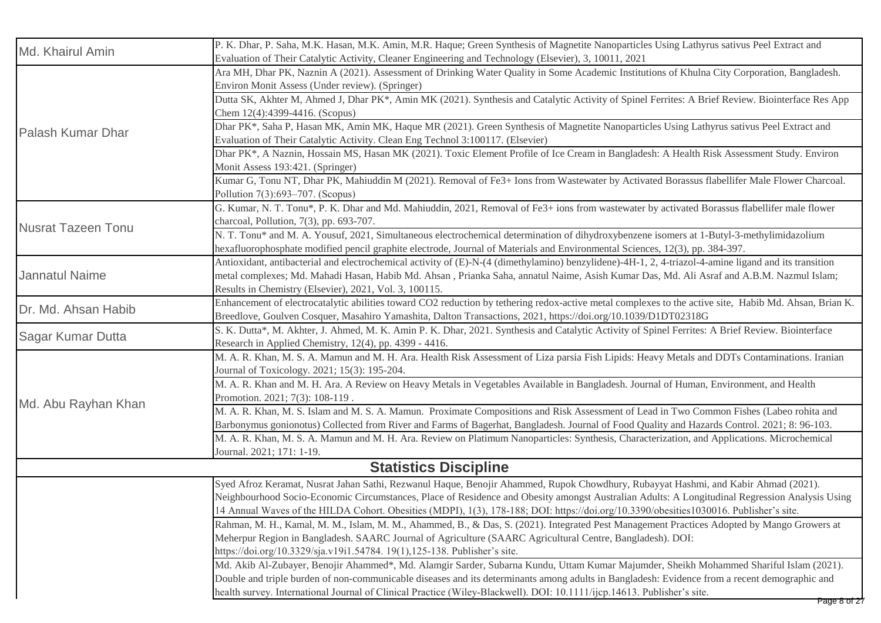| Md. Khairul Amin          | P. K. Dhar, P. Saha, M.K. Hasan, M.K. Amin, M.R. Haque; Green Synthesis of Magnetite Nanoparticles Using Lathyrus sativus Peel Extract and<br>Evaluation of Their Catalytic Activity, Cleaner Engineering and Technology (Elsevier), 3, 10011, 2021                                                                                                                                                                                |
|---------------------------|------------------------------------------------------------------------------------------------------------------------------------------------------------------------------------------------------------------------------------------------------------------------------------------------------------------------------------------------------------------------------------------------------------------------------------|
| Palash Kumar Dhar         | Ara MH, Dhar PK, Naznin A (2021). Assessment of Drinking Water Quality in Some Academic Institutions of Khulna City Corporation, Bangladesh.<br>Environ Monit Assess (Under review). (Springer)                                                                                                                                                                                                                                    |
|                           | Dutta SK, Akhter M, Ahmed J, Dhar PK*, Amin MK (2021). Synthesis and Catalytic Activity of Spinel Ferrites: A Brief Review. Biointerface Res App<br>Chem 12(4):4399-4416. (Scopus)                                                                                                                                                                                                                                                 |
|                           | Dhar PK*, Saha P, Hasan MK, Amin MK, Haque MR (2021). Green Synthesis of Magnetite Nanoparticles Using Lathyrus sativus Peel Extract and<br>Evaluation of Their Catalytic Activity. Clean Eng Technol 3:100117. (Elsevier)                                                                                                                                                                                                         |
|                           | Dhar PK*, A Naznin, Hossain MS, Hasan MK (2021). Toxic Element Profile of Ice Cream in Bangladesh: A Health Risk Assessment Study. Environ<br>Monit Assess 193:421. (Springer)                                                                                                                                                                                                                                                     |
|                           | Kumar G, Tonu NT, Dhar PK, Mahiuddin M (2021). Removal of Fe3+ Ions from Wastewater by Activated Borassus flabellifer Male Flower Charcoal.<br>Pollution 7(3):693-707. (Scopus)                                                                                                                                                                                                                                                    |
|                           | G. Kumar, N. T. Tonu*, P. K. Dhar and Md. Mahiuddin, 2021, Removal of Fe3+ ions from wastewater by activated Borassus flabellifer male flower<br>charcoal, Pollution, 7(3), pp. 693-707.                                                                                                                                                                                                                                           |
| <b>Nusrat Tazeen Tonu</b> | N. T. Tonu* and M. A. Yousuf, 2021, Simultaneous electrochemical determination of dihydroxybenzene isomers at 1-Butyl-3-methylimidazolium<br>hexafluorophosphate modified pencil graphite electrode, Journal of Materials and Environmental Sciences, 12(3), pp. 384-397.                                                                                                                                                          |
| <b>Jannatul Naime</b>     | Antioxidant, antibacterial and electrochemical activity of (E)-N-(4 (dimethylamino) benzylidene)-4H-1, 2, 4-triazol-4-amine ligand and its transition<br>metal complexes; Md. Mahadi Hasan, Habib Md. Ahsan, Prianka Saha, annatul Naime, Asish Kumar Das, Md. Ali Asraf and A.B.M. Nazmul Islam;<br>Results in Chemistry (Elsevier), 2021, Vol. 3, 100115.                                                                        |
| Dr. Md. Ahsan Habib       | Enhancement of electrocatalytic abilities toward CO2 reduction by tethering redox-active metal complexes to the active site, Habib Md. Ahsan, Brian K.<br>Breedlove, Goulven Cosquer, Masahiro Yamashita, Dalton Transactions, 2021, https://doi.org/10.1039/D1DT02318G                                                                                                                                                            |
| Sagar Kumar Dutta         | S. K. Dutta*, M. Akhter, J. Ahmed, M. K. Amin P. K. Dhar, 2021. Synthesis and Catalytic Activity of Spinel Ferrites: A Brief Review. Biointerface<br>Research in Applied Chemistry, 12(4), pp. 4399 - 4416.                                                                                                                                                                                                                        |
|                           | M. A. R. Khan, M. S. A. Mamun and M. H. Ara. Health Risk Assessment of Liza parsia Fish Lipids: Heavy Metals and DDTs Contaminations. Iranian<br>Journal of Toxicology. 2021; 15(3): 195-204.                                                                                                                                                                                                                                      |
| Md. Abu Rayhan Khan       | M. A. R. Khan and M. H. Ara. A Review on Heavy Metals in Vegetables Available in Bangladesh. Journal of Human, Environment, and Health<br>Promotion. 2021; 7(3): 108-119.                                                                                                                                                                                                                                                          |
|                           | M. A. R. Khan, M. S. Islam and M. S. A. Mamun. Proximate Compositions and Risk Assessment of Lead in Two Common Fishes (Labeo rohita and<br>Barbonymus gonionotus) Collected from River and Farms of Bagerhat, Bangladesh. Journal of Food Quality and Hazards Control. 2021; 8: 96-103.                                                                                                                                           |
|                           | M. A. R. Khan, M. S. A. Mamun and M. H. Ara. Review on Platimum Nanoparticles: Synthesis, Characterization, and Applications. Microchemical<br>Journal. 2021; 171: 1-19.                                                                                                                                                                                                                                                           |
|                           | <b>Statistics Discipline</b>                                                                                                                                                                                                                                                                                                                                                                                                       |
|                           | Syed Afroz Keramat, Nusrat Jahan Sathi, Rezwanul Haque, Benojir Ahammed, Rupok Chowdhury, Rubayyat Hashmi, and Kabir Ahmad (2021).<br>Neighbourhood Socio-Economic Circumstances, Place of Residence and Obesity amongst Australian Adults: A Longitudinal Regression Analysis Using<br>14 Annual Waves of the HILDA Cohort. Obesities (MDPI), 1(3), 178-188; DOI: https://doi.org/10.3390/obesities1030016. Publisher's site.     |
|                           | Rahman, M. H., Kamal, M. M., Islam, M. M., Ahammed, B., & Das, S. (2021). Integrated Pest Management Practices Adopted by Mango Growers at<br>Meherpur Region in Bangladesh. SAARC Journal of Agriculture (SAARC Agricultural Centre, Bangladesh). DOI:<br>https://doi.org/10.3329/sja.v19i1.54784. 19(1),125-138. Publisher's site.                                                                                               |
|                           | Md. Akib Al-Zubayer, Benojir Ahammed*, Md. Alamgir Sarder, Subarna Kundu, Uttam Kumar Majumder, Sheikh Mohammed Shariful Islam (2021).<br>Double and triple burden of non-communicable diseases and its determinants among adults in Bangladesh: Evidence from a recent demographic and<br>health survey. International Journal of Clinical Practice (Wiley-Blackwell). DOI: 10.1111/ijcp.14613. Publisher's site.<br>Page 8 of 27 |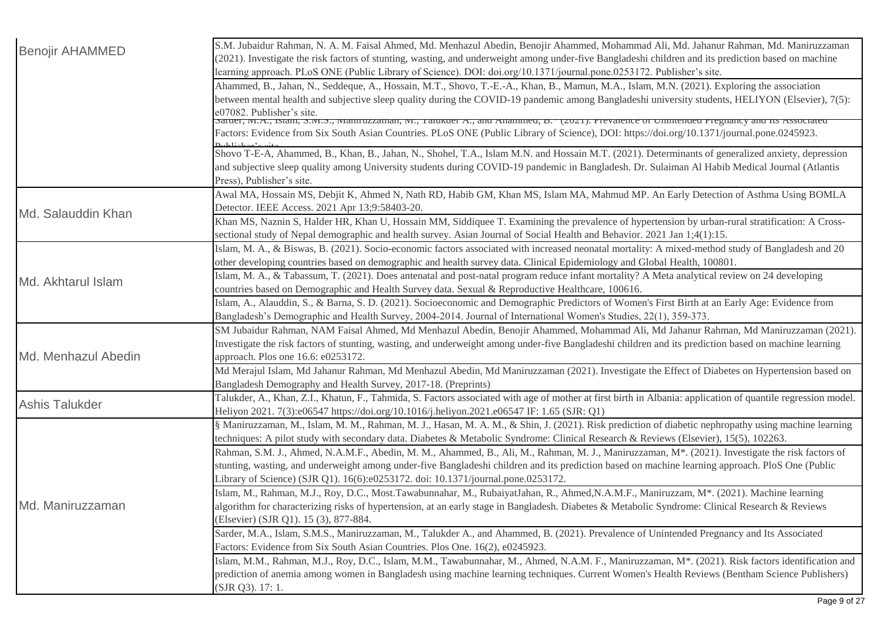| <b>Benojir AHAMMED</b> | S.M. Jubaidur Rahman, N. A. M. Faisal Ahmed, Md. Menhazul Abedin, Benojir Ahammed, Mohammad Ali, Md. Jahanur Rahman, Md. Maniruzzaman<br>(2021). Investigate the risk factors of stunting, wasting, and underweight among under-five Bangladeshi children and its prediction based on machine<br>learning approach. PLoS ONE (Public Library of Science). DOI: doi.org/10.1371/journal.pone.0253172. Publisher's site. |
|------------------------|------------------------------------------------------------------------------------------------------------------------------------------------------------------------------------------------------------------------------------------------------------------------------------------------------------------------------------------------------------------------------------------------------------------------|
|                        | Ahammed, B., Jahan, N., Seddeque, A., Hossain, M.T., Shovo, T.-E.-A., Khan, B., Mamun, M.A., Islam, M.N. (2021). Exploring the association<br>between mental health and subjective sleep quality during the COVID-19 pandemic among Bangladeshi university students, HELIYON (Elsevier), 7(5):<br>e07082. Publisher's site.                                                                                            |
|                        | saruer, ivr.A., israin, s.ivr.s., ivrannuzzaman, ivr., i anuxuer A., anu Anammeu, b. (2021). Frevarence of Ommenueu Fregnancy anu its Associated<br>Factors: Evidence from Six South Asian Countries. PLoS ONE (Public Library of Science), DOI: https://doi.org/10.1371/journal.pone.0245923.                                                                                                                         |
|                        | Shovo T-E-A, Ahammed, B., Khan, B., Jahan, N., Shohel, T.A., Islam M.N. and Hossain M.T. (2021). Determinants of generalized anxiety, depression<br>and subjective sleep quality among University students during COVID-19 pandemic in Bangladesh. Dr. Sulaiman Al Habib Medical Journal (Atlantis<br>Press), Publisher's site.                                                                                        |
| Md. Salauddin Khan     | Awal MA, Hossain MS, Debjit K, Ahmed N, Nath RD, Habib GM, Khan MS, Islam MA, Mahmud MP. An Early Detection of Asthma Using BOMLA<br>Detector. IEEE Access. 2021 Apr 13;9:58403-20.                                                                                                                                                                                                                                    |
|                        | Khan MS, Naznin S, Halder HR, Khan U, Hossain MM, Siddiquee T. Examining the prevalence of hypertension by urban-rural stratification: A Cross-<br>sectional study of Nepal demographic and health survey. Asian Journal of Social Health and Behavior. 2021 Jan 1;4(1):15.                                                                                                                                            |
|                        | Islam, M. A., & Biswas, B. (2021). Socio-economic factors associated with increased neonatal mortality: A mixed-method study of Bangladesh and 20<br>other developing countries based on demographic and health survey data. Clinical Epidemiology and Global Health, 100801.                                                                                                                                          |
| Md. Akhtarul Islam     | Islam, M. A., & Tabassum, T. (2021). Does antenatal and post-natal program reduce infant mortality? A Meta analytical review on 24 developing<br>countries based on Demographic and Health Survey data. Sexual & Reproductive Healthcare, 100616.                                                                                                                                                                      |
|                        | Islam, A., Alauddin, S., & Barna, S. D. (2021). Socioeconomic and Demographic Predictors of Women's First Birth at an Early Age: Evidence from<br>Bangladesh's Demographic and Health Survey, 2004-2014. Journal of International Women's Studies, 22(1), 359-373.                                                                                                                                                     |
| Md. Menhazul Abedin    | SM Jubaidur Rahman, NAM Faisal Ahmed, Md Menhazul Abedin, Benojir Ahammed, Mohammad Ali, Md Jahanur Rahman, Md Maniruzzaman (2021).<br>Investigate the risk factors of stunting, wasting, and underweight among under-five Bangladeshi children and its prediction based on machine learning<br>approach. Plos one 16.6: e0253172.                                                                                     |
|                        | Md Merajul Islam, Md Jahanur Rahman, Md Menhazul Abedin, Md Maniruzzaman (2021). Investigate the Effect of Diabetes on Hypertension based on<br>Bangladesh Demography and Health Survey, 2017-18. (Preprints)                                                                                                                                                                                                          |
| <b>Ashis Talukder</b>  | Talukder, A., Khan, Z.I., Khatun, F., Tahmida, S. Factors associated with age of mother at first birth in Albania: application of quantile regression model.<br>Heliyon 2021. 7(3):e06547 https://doi.org/10.1016/j.heliyon.2021.e06547 IF: 1.65 (SJR: Q1)                                                                                                                                                             |
| Md. Maniruzzaman       | § Maniruzzaman, M., Islam, M. M., Rahman, M. J., Hasan, M. A. M., & Shin, J. (2021). Risk prediction of diabetic nephropathy using machine learning<br>techniques: A pilot study with secondary data. Diabetes & Metabolic Syndrome: Clinical Research & Reviews (Elsevier), 15(5), 102263.                                                                                                                            |
|                        | Rahman, S.M. J., Ahmed, N.A.M.F., Abedin, M. M., Ahammed, B., Ali, M., Rahman, M. J., Maniruzzaman, M <sup>*</sup> . (2021). Investigate the risk factors of<br>stunting, wasting, and underweight among under-five Bangladeshi children and its prediction based on machine learning approach. PloS One (Public<br>Library of Science) (SJR Q1). 16(6):e0253172. doi: 10.1371/journal.pone.0253172.                   |
|                        | Islam, M., Rahman, M.J., Roy, D.C., Most.Tawabunnahar, M., RubaiyatJahan, R., Ahmed, N.A.M.F., Maniruzzam, M <sup>*</sup> . (2021). Machine learning<br>algorithm for characterizing risks of hypertension, at an early stage in Bangladesh. Diabetes & Metabolic Syndrome: Clinical Research & Reviews<br>(Elsevier) (SJR Q1). 15 (3), 877-884.                                                                       |
|                        | Sarder, M.A., Islam, S.M.S., Maniruzzaman, M., Talukder A., and Ahammed, B. (2021). Prevalence of Unintended Pregnancy and Its Associated<br>Factors: Evidence from Six South Asian Countries. Plos One. 16(2), e0245923.                                                                                                                                                                                              |
|                        | Islam, M.M., Rahman, M.J., Roy, D.C., Islam, M.M., Tawabunnahar, M., Ahmed, N.A.M. F., Maniruzzaman, M*. (2021). Risk factors identification and<br>prediction of anemia among women in Bangladesh using machine learning techniques. Current Women's Health Reviews (Bentham Science Publishers)<br>(SJR Q3). 17: 1.                                                                                                  |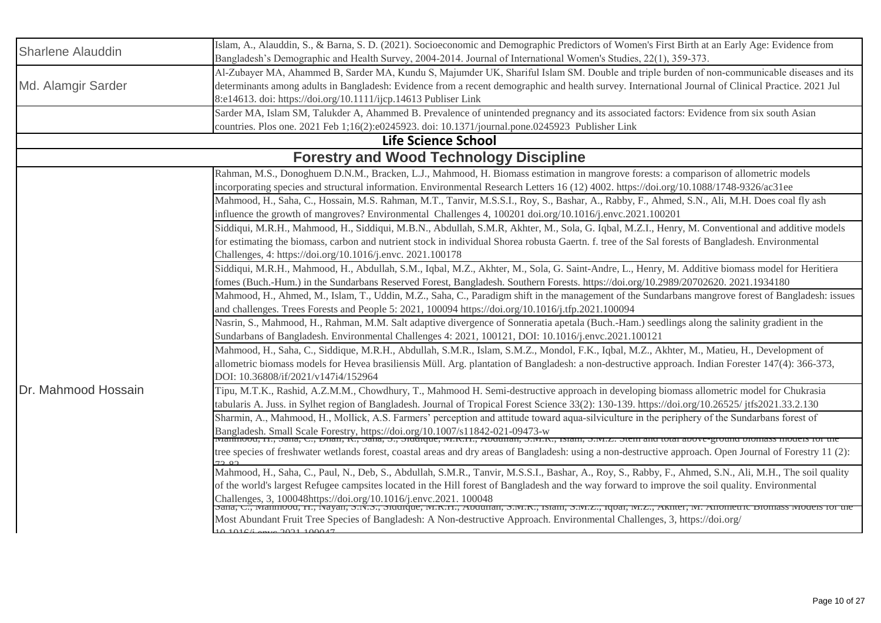| <b>Sharlene Alauddin</b> | Islam, A., Alauddin, S., & Barna, S. D. (2021). Socioeconomic and Demographic Predictors of Women's First Birth at an Early Age: Evidence from                                                                                    |
|--------------------------|-----------------------------------------------------------------------------------------------------------------------------------------------------------------------------------------------------------------------------------|
|                          | Bangladesh's Demographic and Health Survey, 2004-2014. Journal of International Women's Studies, 22(1), 359-373.                                                                                                                  |
| Md. Alamgir Sarder       | Al-Zubayer MA, Ahammed B, Sarder MA, Kundu S, Majumder UK, Shariful Islam SM. Double and triple burden of non-communicable diseases and its                                                                                       |
|                          | determinants among adults in Bangladesh: Evidence from a recent demographic and health survey. International Journal of Clinical Practice. 2021 Jul                                                                               |
|                          | 8:e14613. doi: https://doi.org/10.1111/ijcp.14613 Publiser Link                                                                                                                                                                   |
|                          | Sarder MA, Islam SM, Talukder A, Ahammed B. Prevalence of unintended pregnancy and its associated factors: Evidence from six south Asian                                                                                          |
|                          | countries. Plos one. 2021 Feb 1;16(2):e0245923. doi: 10.1371/journal.pone.0245923 Publisher Link                                                                                                                                  |
|                          | <b>Life Science School</b>                                                                                                                                                                                                        |
|                          | <b>Forestry and Wood Technology Discipline</b>                                                                                                                                                                                    |
|                          | Rahman, M.S., Donoghuem D.N.M., Bracken, L.J., Mahmood, H. Biomass estimation in mangrove forests: a comparison of allometric models                                                                                              |
|                          | incorporating species and structural information. Environmental Research Letters 16 (12) 4002. https://doi.org/10.1088/1748-9326/ac31ee                                                                                           |
|                          | Mahmood, H., Saha, C., Hossain, M.S. Rahman, M.T., Tanvir, M.S.S.I., Roy, S., Bashar, A., Rabby, F., Ahmed, S.N., Ali, M.H. Does coal fly ash                                                                                     |
|                          | influence the growth of mangroves? Environmental Challenges 4, 100201 doi.org/10.1016/j.envc.2021.100201                                                                                                                          |
|                          | Siddiqui, M.R.H., Mahmood, H., Siddiqui, M.B.N., Abdullah, S.M.R, Akhter, M., Sola, G. Iqbal, M.Z.I., Henry, M. Conventional and additive models                                                                                  |
|                          | for estimating the biomass, carbon and nutrient stock in individual Shorea robusta Gaertn. f. tree of the Sal forests of Bangladesh. Environmental                                                                                |
|                          | Challenges, 4: https://doi.org/10.1016/j.envc. 2021.100178                                                                                                                                                                        |
|                          | Siddiqui, M.R.H., Mahmood, H., Abdullah, S.M., Iqbal, M.Z., Akhter, M., Sola, G. Saint-Andre, L., Henry, M. Additive biomass model for Heritiera                                                                                  |
|                          | fomes (Buch.-Hum.) in the Sundarbans Reserved Forest, Bangladesh. Southern Forests. https://doi.org/10.2989/20702620. 2021.1934180                                                                                                |
|                          | Mahmood, H., Ahmed, M., Islam, T., Uddin, M.Z., Saha, C., Paradigm shift in the management of the Sundarbans mangrove forest of Bangladesh: issues                                                                                |
|                          | and challenges. Trees Forests and People 5: 2021, 100094 https://doi.org/10.1016/j.tfp.2021.100094                                                                                                                                |
|                          | Nasrin, S., Mahmood, H., Rahman, M.M. Salt adaptive divergence of Sonneratia apetala (Buch.-Ham.) seedlings along the salinity gradient in the                                                                                    |
|                          | Sundarbans of Bangladesh. Environmental Challenges 4: 2021, 100121, DOI: 10.1016/j.envc.2021.100121                                                                                                                               |
|                          | Mahmood, H., Saha, C., Siddique, M.R.H., Abdullah, S.M.R., Islam, S.M.Z., Mondol, F.K., Iqbal, M.Z., Akhter, M., Matieu, H., Development of                                                                                       |
|                          | allometric biomass models for Hevea brasiliensis Müll. Arg. plantation of Bangladesh: a non-destructive approach. Indian Forester 147(4): 366-373,                                                                                |
|                          | DOI: 10.36808/if/2021/v147i4/152964                                                                                                                                                                                               |
| Dr. Mahmood Hossain      | Tipu, M.T.K., Rashid, A.Z.M.M., Chowdhury, T., Mahmood H. Semi-destructive approach in developing biomass allometric model for Chukrasia                                                                                          |
|                          | tabularis A. Juss. in Sylhet region of Bangladesh. Journal of Tropical Forest Science 33(2): 130-139. https://doi.org/10.26525/jtfs2021.33.2.130                                                                                  |
|                          | Sharmin, A., Mahmood, H., Mollick, A.S. Farmers' perception and attitude toward aqua-silviculture in the periphery of the Sundarbans forest of                                                                                    |
|                          | Bangladesh. Small Scale Forestry, https://doi.org/10.1007/s11842-021-09473-w<br>wiannioou, ri., Sana, C., Dnan, K., Sana, S., Studique, W.K.H., Abdunan, S.W.K., Islam, S.W.Z. Stem and total above-ground biomass models for the |
|                          | tree species of freshwater wetlands forest, coastal areas and dry areas of Bangladesh: using a non-destructive approach. Open Journal of Forestry 11 (2):                                                                         |
|                          |                                                                                                                                                                                                                                   |
|                          | Mahmood, H., Saha, C., Paul, N., Deb, S., Abdullah, S.M.R., Tanvir, M.S.S.I., Bashar, A., Roy, S., Rabby, F., Ahmed, S.N., Ali, M.H., The soil quality                                                                            |
|                          | of the world's largest Refugee campsites located in the Hill forest of Bangladesh and the way forward to improve the soil quality. Environmental                                                                                  |
|                          | Challenges, 3, 100048https://doi.org/10.1016/j.envc.2021. 100048<br>Sana, C., ivianmoou, 11., ivayan, S.iv.S., Siuurque, ivi.K.H., Abuunan, S.ivi.K., isiam, S.ivi.Z., iqbai, ivi.Z., AKinei, ivi. Amometric Biomass              |
|                          | Most Abundant Fruit Tree Species of Bangladesh: A Non-destructive Approach. Environmental Challenges, 3, https://doi.org/                                                                                                         |
|                          | $10.10166$ enveloped $100047$                                                                                                                                                                                                     |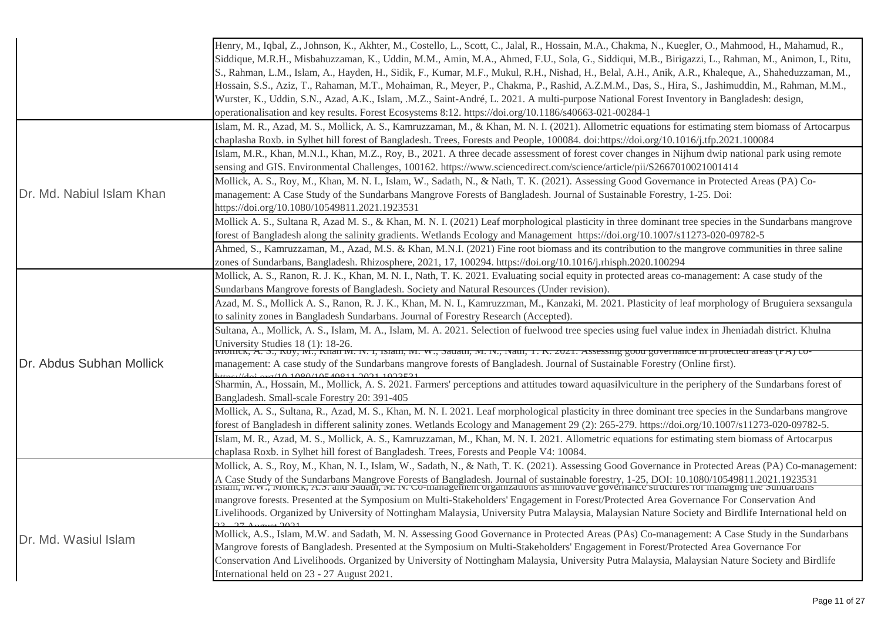|                           | Henry, M., Iqbal, Z., Johnson, K., Akhter, M., Costello, L., Scott, C., Jalal, R., Hossain, M.A., Chakma, N., Kuegler, O., Mahmood, H., Mahamud, R.,<br>Siddique, M.R.H., Misbahuzzaman, K., Uddin, M.M., Amin, M.A., Ahmed, F.U., Sola, G., Siddiqui, M.B., Birigazzi, L., Rahman, M., Animon, I., Ritu,<br>S., Rahman, L.M., Islam, A., Hayden, H., Sidik, F., Kumar, M.F., Mukul, R.H., Nishad, H., Belal, A.H., Anik, A.R., Khaleque, A., Shaheduzzaman, M.,<br>Hossain, S.S., Aziz, T., Rahaman, M.T., Mohaiman, R., Meyer, P., Chakma, P., Rashid, A.Z.M.M., Das, S., Hira, S., Jashimuddin, M., Rahman, M.M.,<br>Wurster, K., Uddin, S.N., Azad, A.K., Islam, .M.Z., Saint-André, L. 2021. A multi-purpose National Forest Inventory in Bangladesh: design,<br>operationalisation and key results. Forest Ecosystems 8:12. https://doi.org/10.1186/s40663-021-00284-1 |
|---------------------------|------------------------------------------------------------------------------------------------------------------------------------------------------------------------------------------------------------------------------------------------------------------------------------------------------------------------------------------------------------------------------------------------------------------------------------------------------------------------------------------------------------------------------------------------------------------------------------------------------------------------------------------------------------------------------------------------------------------------------------------------------------------------------------------------------------------------------------------------------------------------------|
|                           | Islam, M. R., Azad, M. S., Mollick, A. S., Kamruzzaman, M., & Khan, M. N. I. (2021). Allometric equations for estimating stem biomass of Artocarpus<br>chaplasha Roxb. in Sylhet hill forest of Bangladesh. Trees, Forests and People, 100084. doi:https://doi.org/10.1016/j.tfp.2021.100084                                                                                                                                                                                                                                                                                                                                                                                                                                                                                                                                                                                 |
| Dr. Md. Nabiul Islam Khan | Islam, M.R., Khan, M.N.I., Khan, M.Z., Roy, B., 2021. A three decade assessment of forest cover changes in Nijhum dwip national park using remote<br>sensing and GIS. Environmental Challenges, 100162. https://www.sciencedirect.com/science/article/pii/S2667010021001414                                                                                                                                                                                                                                                                                                                                                                                                                                                                                                                                                                                                  |
|                           | Mollick, A. S., Roy, M., Khan, M. N. I., Islam, W., Sadath, N., & Nath, T. K. (2021). Assessing Good Governance in Protected Areas (PA) Co-<br>management: A Case Study of the Sundarbans Mangrove Forests of Bangladesh. Journal of Sustainable Forestry, 1-25. Doi:<br>https://doi.org/10.1080/10549811.2021.1923531                                                                                                                                                                                                                                                                                                                                                                                                                                                                                                                                                       |
|                           | Mollick A. S., Sultana R, Azad M. S., & Khan, M. N. I. (2021) Leaf morphological plasticity in three dominant tree species in the Sundarbans mangrove<br>forest of Bangladesh along the salinity gradients. Wetlands Ecology and Management https://doi.org/10.1007/s11273-020-09782-5                                                                                                                                                                                                                                                                                                                                                                                                                                                                                                                                                                                       |
|                           | Ahmed, S., Kamruzzaman, M., Azad, M.S. & Khan, M.N.I. (2021) Fine root biomass and its contribution to the mangrove communities in three saline<br>zones of Sundarbans, Bangladesh. Rhizosphere, 2021, 17, 100294. https://doi.org/10.1016/j.rhisph.2020.100294                                                                                                                                                                                                                                                                                                                                                                                                                                                                                                                                                                                                              |
|                           | Mollick, A. S., Ranon, R. J. K., Khan, M. N. I., Nath, T. K. 2021. Evaluating social equity in protected areas co-management: A case study of the<br>Sundarbans Mangrove forests of Bangladesh. Society and Natural Resources (Under revision).                                                                                                                                                                                                                                                                                                                                                                                                                                                                                                                                                                                                                              |
|                           | Azad, M. S., Mollick A. S., Ranon, R. J. K., Khan, M. N. I., Kamruzzman, M., Kanzaki, M. 2021. Plasticity of leaf morphology of Bruguiera sexsangula<br>to salinity zones in Bangladesh Sundarbans. Journal of Forestry Research (Accepted).                                                                                                                                                                                                                                                                                                                                                                                                                                                                                                                                                                                                                                 |
|                           | Sultana, A., Mollick, A. S., Islam, M. A., Islam, M. A. 2021. Selection of fuelwood tree species using fuel value index in Jheniadah district. Khulna<br>University Studies 18 (1): 18-26.<br>ivioinck, A. S., Roy, W., Knan Ivi. Iv. 1, Islam, Ivi. W., Sauam, Ivi. Iv., Ivam, T. R. 2021. Assessing good governance in protected areas (FA) co                                                                                                                                                                                                                                                                                                                                                                                                                                                                                                                             |
| Dr. Abdus Subhan Mollick  | management: A case study of the Sundarbans mangrove forests of Bangladesh. Journal of Sustainable Forestry (Online first).                                                                                                                                                                                                                                                                                                                                                                                                                                                                                                                                                                                                                                                                                                                                                   |
|                           | Sharmin, A., Hossain, M., Mollick, A. S. 2021. Farmers' perceptions and attitudes toward aquasilviculture in the periphery of the Sundarbans forest of<br>Bangladesh. Small-scale Forestry 20: 391-405                                                                                                                                                                                                                                                                                                                                                                                                                                                                                                                                                                                                                                                                       |
|                           | Mollick, A. S., Sultana, R., Azad, M. S., Khan, M. N. I. 2021. Leaf morphological plasticity in three dominant tree species in the Sundarbans mangrove<br>forest of Bangladesh in different salinity zones. Wetlands Ecology and Management 29 (2): 265-279. https://doi.org/10.1007/s11273-020-09782-5.                                                                                                                                                                                                                                                                                                                                                                                                                                                                                                                                                                     |
|                           | Islam, M. R., Azad, M. S., Mollick, A. S., Kamruzzaman, M., Khan, M. N. I. 2021. Allometric equations for estimating stem biomass of Artocarpus<br>chaplasa Roxb. in Sylhet hill forest of Bangladesh. Trees, Forests and People V4: 10084.                                                                                                                                                                                                                                                                                                                                                                                                                                                                                                                                                                                                                                  |
|                           | Mollick, A. S., Roy, M., Khan, N. I., Islam, W., Sadath, N., & Nath, T. K. (2021). Assessing Good Governance in Protected Areas (PA) Co-management:<br>A Case Study of the Sundarbans Mangrove Forests of Bangladesh. Journal of sustainable forestry, 1-25, DOI: 10.1080/10549811.2021.1923531<br>Islam, NI.W., NIOMICK, A.S. and Sadadi, NI. N. Co-management organizations as innovat                                                                                                                                                                                                                                                                                                                                                                                                                                                                                     |
| Dr. Md. Wasiul Islam      | mangrove forests. Presented at the Symposium on Multi-Stakeholders' Engagement in Forest/Protected Area Governance For Conservation And<br>Livelihoods. Organized by University of Nottingham Malaysia, University Putra Malaysia, Malaysian Nature Society and Birdlife International held on                                                                                                                                                                                                                                                                                                                                                                                                                                                                                                                                                                               |
|                           | Mollick, A.S., Islam, M.W. and Sadath, M.N. Assessing Good Governance in Protected Areas (PAs) Co-management: A Case Study in the Sundarbans<br>Mangrove forests of Bangladesh. Presented at the Symposium on Multi-Stakeholders' Engagement in Forest/Protected Area Governance For<br>Conservation And Livelihoods. Organized by University of Nottingham Malaysia, University Putra Malaysia, Malaysian Nature Society and Birdlife<br>International held on 23 - 27 August 2021.                                                                                                                                                                                                                                                                                                                                                                                         |
|                           |                                                                                                                                                                                                                                                                                                                                                                                                                                                                                                                                                                                                                                                                                                                                                                                                                                                                              |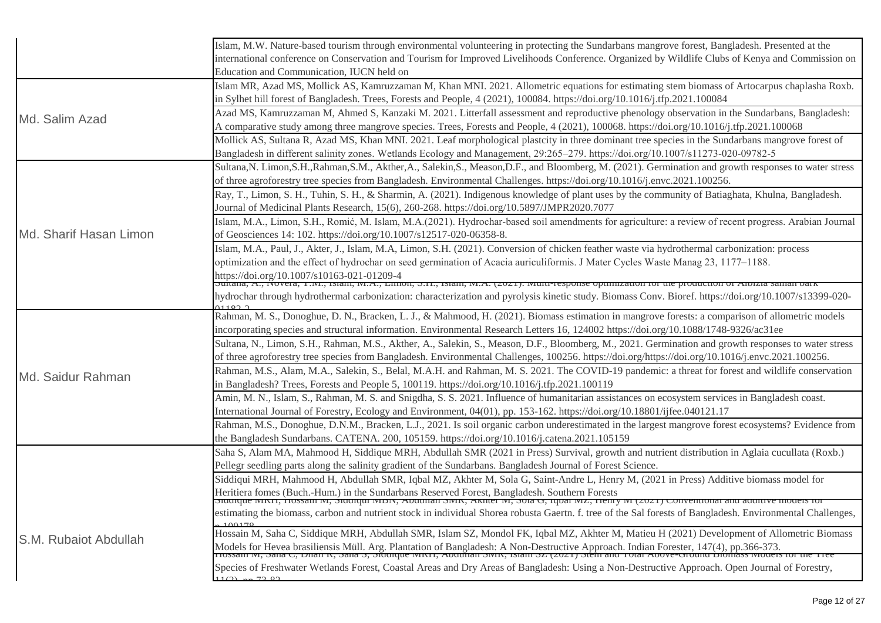|                        | Islam, M.W. Nature-based tourism through environmental volunteering in protecting the Sundarbans mangrove forest, Bangladesh. Presented at the<br>international conference on Conservation and Tourism for Improved Livelihoods Conference. Organized by Wildlife Clubs of Kenya and Commission on<br>Education and Communication, IUCN held on                                                                                                                                    |
|------------------------|------------------------------------------------------------------------------------------------------------------------------------------------------------------------------------------------------------------------------------------------------------------------------------------------------------------------------------------------------------------------------------------------------------------------------------------------------------------------------------|
|                        | Islam MR, Azad MS, Mollick AS, Kamruzzaman M, Khan MNI. 2021. Allometric equations for estimating stem biomass of Artocarpus chaplasha Roxb.<br>in Sylhet hill forest of Bangladesh. Trees, Forests and People, 4 (2021), 100084. https://doi.org/10.1016/j.tfp.2021.100084                                                                                                                                                                                                        |
| Md. Salim Azad         | Azad MS, Kamruzzaman M, Ahmed S, Kanzaki M. 2021. Litterfall assessment and reproductive phenology observation in the Sundarbans, Bangladesh:<br>A comparative study among three mangrove species. Trees, Forests and People, 4 (2021), 100068. https://doi.org/10.1016/j.tfp.2021.100068                                                                                                                                                                                          |
|                        | Mollick AS, Sultana R, Azad MS, Khan MNI. 2021. Leaf morphological plastcity in three dominant tree species in the Sundarbans mangrove forest of<br>Bangladesh in different salinity zones. Wetlands Ecology and Management, 29:265-279. https://doi.org/10.1007/s11273-020-09782-5                                                                                                                                                                                                |
|                        | Sultana, N. Limon, S.H., Rahman, S.M., Akther, A., Salekin, S., Meason, D.F., and Bloomberg, M. (2021). Germination and growth responses to water stress<br>of three agroforestry tree species from Bangladesh. Environmental Challenges. https://doi.org/10.1016/j.envc.2021.100256.                                                                                                                                                                                              |
|                        | Ray, T., Limon, S. H., Tuhin, S. H., & Sharmin, A. (2021). Indigenous knowledge of plant uses by the community of Batiaghata, Khulna, Bangladesh.<br>Journal of Medicinal Plants Research, 15(6), 260-268. https://doi.org/10.5897/JMPR2020.7077                                                                                                                                                                                                                                   |
| Md. Sharif Hasan Limon | Islam, M.A., Limon, S.H., Romić, M. Islam, M.A.(2021). Hydrochar-based soil amendments for agriculture: a review of recent progress. Arabian Journal<br>of Geosciences 14: 102. https://doi.org/10.1007/s12517-020-06358-8.                                                                                                                                                                                                                                                        |
|                        | Islam, M.A., Paul, J., Akter, J., Islam, M.A., Limon, S.H. (2021). Conversion of chicken feather waste via hydrothermal carbonization: process<br>optimization and the effect of hydrochar on seed germination of Acacia auriculiformis. J Mater Cycles Waste Manag 23, 1177–1188.<br>https://doi.org/10.1007/s10163-021-01209-4<br> Suitana, A., Novera, T.NL, Islam, NLA., Limon, S.H., Islam, NLA. (2021). Multi-response optimization for the production of Afoizia saman bark |
|                        | hydrochar through hydrothermal carbonization: characterization and pyrolysis kinetic study. Biomass Conv. Bioref. https://doi.org/10.1007/s13399-020-                                                                                                                                                                                                                                                                                                                              |
|                        | Rahman, M. S., Donoghue, D. N., Bracken, L. J., & Mahmood, H. (2021). Biomass estimation in mangrove forests: a comparison of allometric models<br>incorporating species and structural information. Environmental Research Letters 16, 124002 https://doi.org/10.1088/1748-9326/ac31ee                                                                                                                                                                                            |
| Md. Saidur Rahman      | Sultana, N., Limon, S.H., Rahman, M.S., Akther, A., Salekin, S., Meason, D.F., Bloomberg, M., 2021. Germination and growth responses to water stress<br>of three agroforestry tree species from Bangladesh. Environmental Challenges, 100256. https://doi.org/https://doi.org/10.1016/j.envc.2021.100256.                                                                                                                                                                          |
|                        | Rahman, M.S., Alam, M.A., Salekin, S., Belal, M.A.H. and Rahman, M. S. 2021. The COVID-19 pandemic: a threat for forest and wildlife conservation<br>in Bangladesh? Trees, Forests and People 5, 100119. https://doi.org/10.1016/j.tfp.2021.100119                                                                                                                                                                                                                                 |
|                        | Amin, M. N., Islam, S., Rahman, M. S. and Snigdha, S. S. 2021. Influence of humanitarian assistances on ecosystem services in Bangladesh coast.<br>International Journal of Forestry, Ecology and Environment, 04(01), pp. 153-162. https://doi.org/10.18801/ijfee.040121.17                                                                                                                                                                                                       |
|                        | Rahman, M.S., Donoghue, D.N.M., Bracken, L.J., 2021. Is soil organic carbon underestimated in the largest mangrove forest ecosystems? Evidence from<br>the Bangladesh Sundarbans. CATENA. 200, 105159. https://doi.org/10.1016/j.catena.2021.105159                                                                                                                                                                                                                                |
|                        | Saha S, Alam MA, Mahmood H, Siddique MRH, Abdullah SMR (2021 in Press) Survival, growth and nutrient distribution in Aglaia cucullata (Roxb.)<br>Pellegr seedling parts along the salinity gradient of the Sundarbans. Bangladesh Journal of Forest Science.                                                                                                                                                                                                                       |
|                        | Siddiqui MRH, Mahmood H, Abdullah SMR, Iqbal MZ, Akhter M, Sola G, Saint-Andre L, Henry M, (2021 in Press) Additive biomass model for<br>Heritiera fomes (Buch.-Hum.) in the Sundarbans Reserved Forest, Bangladesh. Southern Forests                                                                                                                                                                                                                                              |
|                        | IVINII, HOSSAIII IVI, SHUUQUI IVIDIV, AQUUHAH SIVIN, AKHICI IVI, SOIA O, IQOAI IVIZ, HEHI Y IVI (2021) CONVEHUOHAI AHU AUUHIVE HIQUEIS IO<br>estimating the biomass, carbon and nutrient stock in individual Shorea robusta Gaertn. f. tree of the Sal forests of Bangladesh. Environmental Challenges,<br>100170                                                                                                                                                                  |
| S.M. Rubaiot Abdullah  | Hossain M, Saha C, Siddique MRH, Abdullah SMR, Islam SZ, Mondol FK, Iqbal MZ, Akhter M, Matieu H (2021) Development of Allometric Biomass<br>Models for Hevea brasiliensis Müll. Arg. Plantation of Bangladesh: A Non-Destructive Approach. Indian Forester, 147(4), pp.366-373.<br>Trossam ivi, Sana C, Dhan K, Sana S, Sidurque IviKri, Abdunan SIVIK, Islam SZ (2021) Stein                                                                                                     |
|                        | Species of Freshwater Wetlands Forest, Coastal Areas and Dry Areas of Bangladesh: Using a Non-Destructive Approach. Open Journal of Forestry,<br>1(2)<br>72.02                                                                                                                                                                                                                                                                                                                     |
|                        |                                                                                                                                                                                                                                                                                                                                                                                                                                                                                    |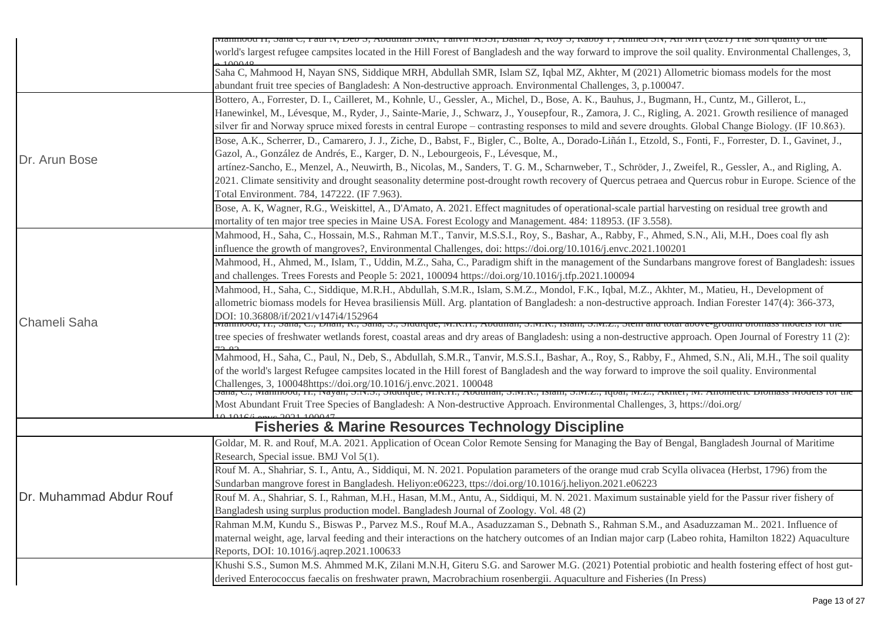|                         | машноод 11, эана С, гаш 1v, Dev 5, Avuunan SMR, танун мissi, Dashar A, Noy 5, Navoy 1 , Annied Siv, An мiт (2021) тhe son quanty of the                                                                                                                |
|-------------------------|--------------------------------------------------------------------------------------------------------------------------------------------------------------------------------------------------------------------------------------------------------|
|                         | world's largest refugee campsites located in the Hill Forest of Bangladesh and the way forward to improve the soil quality. Environmental Challenges, 3,                                                                                               |
|                         | Saha C, Mahmood H, Nayan SNS, Siddique MRH, Abdullah SMR, Islam SZ, Iqbal MZ, Akhter, M (2021) Allometric biomass models for the most<br>abundant fruit tree species of Bangladesh: A Non-destructive approach. Environmental Challenges, 3, p.100047. |
|                         | Bottero, A., Forrester, D. I., Cailleret, M., Kohnle, U., Gessler, A., Michel, D., Bose, A. K., Bauhus, J., Bugmann, H., Cuntz, M., Gillerot, L.,                                                                                                      |
|                         | Hanewinkel, M., Lévesque, M., Ryder, J., Sainte-Marie, J., Schwarz, J., Yousepfour, R., Zamora, J. C., Rigling, A. 2021. Growth resilience of managed                                                                                                  |
|                         | silver fir and Norway spruce mixed forests in central Europe – contrasting responses to mild and severe droughts. Global Change Biology. (IF 10.863).                                                                                                  |
|                         | Bose, A.K., Scherrer, D., Camarero, J. J., Ziche, D., Babst, F., Bigler, C., Bolte, A., Dorado-Liñán I., Etzold, S., Fonti, F., Forrester, D. I., Gavinet, J.,                                                                                         |
|                         |                                                                                                                                                                                                                                                        |
| Dr. Arun Bose           | Gazol, A., González de Andrés, E., Karger, D. N., Lebourgeois, F., Lévesque, M.,                                                                                                                                                                       |
|                         | artínez-Sancho, E., Menzel, A., Neuwirth, B., Nicolas, M., Sanders, T. G. M., Scharnweber, T., Schröder, J., Zweifel, R., Gessler, A., and Rigling, A.                                                                                                 |
|                         | 2021. Climate sensitivity and drought seasonality determine post-drought rowth recovery of Quercus petraea and Quercus robur in Europe. Science of the                                                                                                 |
|                         | Total Environment. 784, 147222. (IF 7.963).                                                                                                                                                                                                            |
|                         | Bose, A. K, Wagner, R.G., Weiskittel, A., D'Amato, A. 2021. Effect magnitudes of operational-scale partial harvesting on residual tree growth and                                                                                                      |
|                         | mortality of ten major tree species in Maine USA. Forest Ecology and Management. 484: 118953. (IF 3.558).                                                                                                                                              |
|                         | Mahmood, H., Saha, C., Hossain, M.S., Rahman M.T., Tanvir, M.S.S.I., Roy, S., Bashar, A., Rabby, F., Ahmed, S.N., Ali, M.H., Does coal fly ash                                                                                                         |
|                         | influence the growth of mangroves?, Environmental Challenges, doi: https://doi.org/10.1016/j.envc.2021.100201                                                                                                                                          |
|                         | Mahmood, H., Ahmed, M., Islam, T., Uddin, M.Z., Saha, C., Paradigm shift in the management of the Sundarbans mangrove forest of Bangladesh: issues                                                                                                     |
|                         | and challenges. Trees Forests and People 5: 2021, 100094 https://doi.org/10.1016/j.tfp.2021.100094                                                                                                                                                     |
|                         | Mahmood, H., Saha, C., Siddique, M.R.H., Abdullah, S.M.R., Islam, S.M.Z., Mondol, F.K., Iqbal, M.Z., Akhter, M., Matieu, H., Development of                                                                                                            |
|                         | allometric biomass models for Hevea brasiliensis Müll. Arg. plantation of Bangladesh: a non-destructive approach. Indian Forester 147(4): 366-373,                                                                                                     |
|                         | DOI: 10.36808/if/2021/v147i4/152964                                                                                                                                                                                                                    |
| Chameli Saha            | ivianinood, fi., dana, C., Dhan, K., dana, D., diddique, ivi.K.fi., Addunan, D.ivi.K., Islam, D.ivi.Z., dieni and total adove-ground diomass models for th                                                                                             |
|                         | tree species of freshwater wetlands forest, coastal areas and dry areas of Bangladesh: using a non-destructive approach. Open Journal of Forestry 11 (2):<br>7200                                                                                      |
|                         | Mahmood, H., Saha, C., Paul, N., Deb, S., Abdullah, S.M.R., Tanvir, M.S.S.I., Bashar, A., Roy, S., Rabby, F., Ahmed, S.N., Ali, M.H., The soil quality                                                                                                 |
|                         | of the world's largest Refugee campsites located in the Hill forest of Bangladesh and the way forward to improve the soil quality. Environmental                                                                                                       |
|                         | Challenges, 3, 100048https://doi.org/10.1016/j.envc.2021. 100048<br>Sana, C., Manmoou, H., Nayan, S.N.S., Suuuque, M.K.H., Abuunan, S.M.K., Islam, S.M.Z., Iqbal, M.Z., AKilef, M. Anomet                                                              |
|                         |                                                                                                                                                                                                                                                        |
|                         | Most Abundant Fruit Tree Species of Bangladesh: A Non-destructive Approach. Environmental Challenges, 3, https://doi.org/                                                                                                                              |
|                         | <b>Fisheries &amp; Marine Resources Technology Discipline</b>                                                                                                                                                                                          |
|                         | Goldar, M. R. and Rouf, M.A. 2021. Application of Ocean Color Remote Sensing for Managing the Bay of Bengal, Bangladesh Journal of Maritime                                                                                                            |
|                         | Research, Special issue. BMJ Vol 5(1).                                                                                                                                                                                                                 |
|                         | Rouf M. A., Shahriar, S. I., Antu, A., Siddiqui, M. N. 2021. Population parameters of the orange mud crab Scylla olivacea (Herbst, 1796) from the                                                                                                      |
|                         | Sundarban mangrove forest in Bangladesh. Heliyon:e06223, ttps://doi.org/10.1016/j.heliyon.2021.e06223                                                                                                                                                  |
| Dr. Muhammad Abdur Rouf | Rouf M. A., Shahriar, S. I., Rahman, M.H., Hasan, M.M., Antu, A., Siddiqui, M. N. 2021. Maximum sustainable yield for the Passur river fishery of                                                                                                      |
|                         | Bangladesh using surplus production model. Bangladesh Journal of Zoology. Vol. 48 (2)                                                                                                                                                                  |
|                         | Rahman M.M, Kundu S., Biswas P., Parvez M.S., Rouf M.A., Asaduzzaman S., Debnath S., Rahman S.M., and Asaduzzaman M 2021. Influence of                                                                                                                 |
|                         | maternal weight, age, larval feeding and their interactions on the hatchery outcomes of an Indian major carp (Labeo rohita, Hamilton 1822) Aquaculture                                                                                                 |
|                         | Reports, DOI: 10.1016/j.aqrep.2021.100633                                                                                                                                                                                                              |
|                         | Khushi S.S., Sumon M.S. Ahmmed M.K, Zilani M.N.H, Giteru S.G. and Sarower M.G. (2021) Potential probiotic and health fostering effect of host gut-                                                                                                     |
|                         | derived Enterococcus faecalis on freshwater prawn, Macrobrachium rosenbergii. Aquaculture and Fisheries (In Press)                                                                                                                                     |
|                         |                                                                                                                                                                                                                                                        |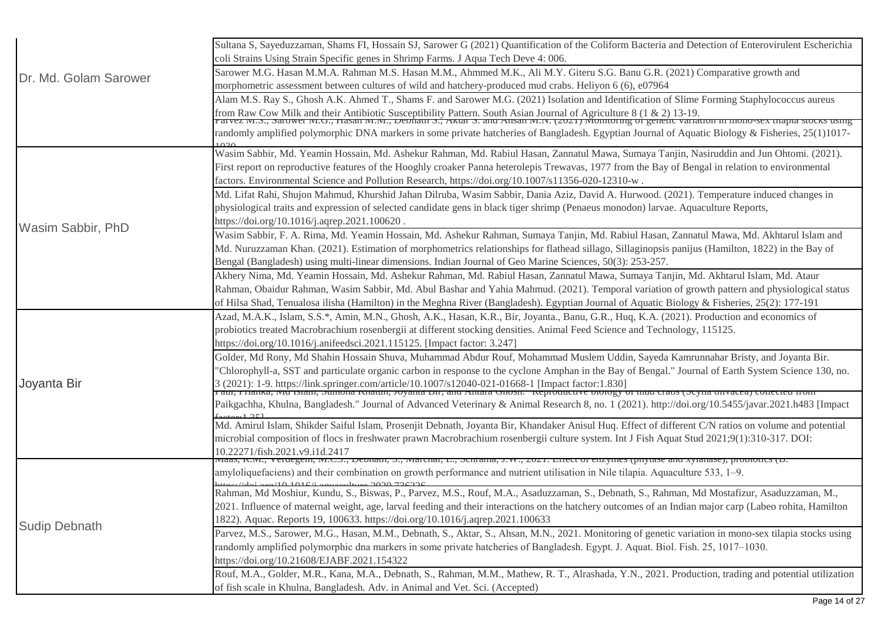| Dr. Md. Golam Sarower | Sultana S, Sayeduzzaman, Shams FI, Hossain SJ, Sarower G (2021) Quantification of the Coliform Bacteria and Detection of Enterovirulent Escherichia                                                                               |
|-----------------------|-----------------------------------------------------------------------------------------------------------------------------------------------------------------------------------------------------------------------------------|
|                       | coli Strains Using Strain Specific genes in Shrimp Farms. J Aqua Tech Deve 4: 006.                                                                                                                                                |
|                       | Sarower M.G. Hasan M.M.A. Rahman M.S. Hasan M.M., Ahmmed M.K., Ali M.Y. Giteru S.G. Banu G.R. (2021) Comparative growth and                                                                                                       |
|                       | morphometric assessment between cultures of wild and hatchery-produced mud crabs. Heliyon 6 (6), e07964                                                                                                                           |
|                       | Alam M.S. Ray S., Ghosh A.K. Ahmed T., Shams F. and Sarower M.G. (2021) Isolation and Identification of Slime Forming Staphylococcus aureus                                                                                       |
|                       | from Raw Cow Milk and their Antibiotic Susceptibility Pattern. South Asian Journal of Agriculture 8 (1 & 2) 13-19.<br>Tarvez IVI.S., Sarower IVI.O., Hasan IVI.IVI., Deonaur S., AKtar S. and Ansan IVI.IV. (2021) Monitoring of  |
|                       | randomly amplified polymorphic DNA markers in some private hatcheries of Bangladesh. Egyptian Journal of Aquatic Biology & Fisheries, 25(1)1017-                                                                                  |
|                       |                                                                                                                                                                                                                                   |
|                       | Wasim Sabbir, Md. Yeamin Hossain, Md. Ashekur Rahman, Md. Rabiul Hasan, Zannatul Mawa, Sumaya Tanjin, Nasiruddin and Jun Ohtomi. (2021).                                                                                          |
|                       | First report on reproductive features of the Hooghly croaker Panna heterolepis Trewavas, 1977 from the Bay of Bengal in relation to environmental                                                                                 |
|                       | factors. Environmental Science and Pollution Research, https://doi.org/10.1007/s11356-020-12310-w.                                                                                                                                |
|                       | Md. Lifat Rahi, Shujon Mahmud, Khurshid Jahan Dilruba, Wasim Sabbir, Dania Aziz, David A. Hurwood. (2021). Temperature induced changes in                                                                                         |
|                       | physiological traits and expression of selected candidate gens in black tiger shrimp (Penaeus monodon) larvae. Aquaculture Reports,                                                                                               |
| Wasim Sabbir, PhD     | https://doi.org/10.1016/j.aqrep.2021.100620.                                                                                                                                                                                      |
|                       | Wasim Sabbir, F. A. Rima, Md. Yeamin Hossain, Md. Ashekur Rahman, Sumaya Tanjin, Md. Rabiul Hasan, Zannatul Mawa, Md. Akhtarul Islam and                                                                                          |
|                       | Md. Nuruzzaman Khan. (2021). Estimation of morphometrics relationships for flathead sillago, Sillaginopsis panijus (Hamilton, 1822) in the Bay of                                                                                 |
|                       | Bengal (Bangladesh) using multi-linear dimensions. Indian Journal of Geo Marine Sciences, 50(3): 253-257.                                                                                                                         |
|                       | Akhery Nima, Md. Yeamin Hossain, Md. Ashekur Rahman, Md. Rabiul Hasan, Zannatul Mawa, Sumaya Tanjin, Md. Akhtarul Islam, Md. Ataur                                                                                                |
|                       | Rahman, Obaidur Rahman, Wasim Sabbir, Md. Abul Bashar and Yahia Mahmud. (2021). Temporal variation of growth pattern and physiological status                                                                                     |
|                       | of Hilsa Shad, Tenualosa ilisha (Hamilton) in the Meghna River (Bangladesh). Egyptian Journal of Aquatic Biology & Fisheries, 25(2): 177-191                                                                                      |
|                       | Azad, M.A.K., Islam, S.S.*, Amin, M.N., Ghosh, A.K., Hasan, K.R., Bir, Joyanta., Banu, G.R., Huq, K.A. (2021). Production and economics of                                                                                        |
|                       | probiotics treated Macrobrachium rosenbergii at different stocking densities. Animal Feed Science and Technology, 115125.                                                                                                         |
|                       | https://doi.org/10.1016/j.anifeedsci.2021.115125. [Impact factor: 3.247]                                                                                                                                                          |
|                       | Golder, Md Rony, Md Shahin Hossain Shuva, Muhammad Abdur Rouf, Mohammad Muslem Uddin, Sayeda Kamrunnahar Bristy, and Joyanta Bir.                                                                                                 |
|                       | 'Chlorophyll-a, SST and particulate organic carbon in response to the cyclone Amphan in the Bay of Bengal." Journal of Earth System Science 130, no.                                                                              |
| Joyanta Bir           | (2021): 1-9. https://link.springer.com/article/10.1007/s12040-021-01668-1 [Impact factor:1.830]<br>aui, 1 напка, вид тыаш, эйшопа кнашн, зоуаща ин, ани Анкага опоѕн. Кертоийсите опоюзу от ший стабу (эсуна оптасса) соцескей по |
|                       | Paikgachha, Khulna, Bangladesh." Journal of Advanced Veterinary & Animal Research 8, no. 1 (2021). http://doi.org/10.5455/javar.2021.h483 [Impact                                                                                 |
|                       |                                                                                                                                                                                                                                   |
|                       | Md. Amirul Islam, Shikder Saiful Islam, Prosenjit Debnath, Joyanta Bir, Khandaker Anisul Huq. Effect of different C/N ratios on volume and potential                                                                              |
|                       | microbial composition of flocs in freshwater prawn Macrobrachium rosenbergii culture system. Int J Fish Aquat Stud 2021;9(1):310-317. DOI:                                                                                        |
|                       | 10.22271/fish.2021.v9.i1d.2417<br>is, к.iч1., veruegem, iч1.∪.j., Deonain, э., iчагспаг, ∟., эстгана, j.w., 2021. בחест от enzymes (рпуазе ана луганаѕе), ргоотопсѕ (р.                                                           |
|                       | amyloliquefaciens) and their combination on growth performance and nutrient utilisation in Nile tilapia. Aquaculture 533, 1–9.                                                                                                    |
| <b>Sudip Debnath</b>  |                                                                                                                                                                                                                                   |
|                       | Rahman, Md Moshiur, Kundu, S., Biswas, P., Parvez, M.S., Rouf, M.A., Asaduzzaman, S., Debnath, S., Rahman, Md Mostafizur, Asaduzzaman, M.,                                                                                        |
|                       | 2021. Influence of maternal weight, age, larval feeding and their interactions on the hatchery outcomes of an Indian major carp (Labeo rohita, Hamilton                                                                           |
|                       | 1822). Aquac. Reports 19, 100633. https://doi.org/10.1016/j.aqrep.2021.100633                                                                                                                                                     |
|                       | Parvez, M.S., Sarower, M.G., Hasan, M.M., Debnath, S., Aktar, S., Ahsan, M.N., 2021. Monitoring of genetic variation in mono-sex tilapia stocks using                                                                             |
|                       | randomly amplified polymorphic dna markers in some private hatcheries of Bangladesh. Egypt. J. Aquat. Biol. Fish. 25, 1017–1030.                                                                                                  |
|                       | https://doi.org/10.21608/EJABF.2021.154322                                                                                                                                                                                        |
|                       | Rouf, M.A., Golder, M.R., Kana, M.A., Debnath, S., Rahman, M.M., Mathew, R. T., Alrashada, Y.N., 2021. Production, trading and potential utilization                                                                              |
|                       | of fish scale in Khulna, Bangladesh. Adv. in Animal and Vet. Sci. (Accepted)                                                                                                                                                      |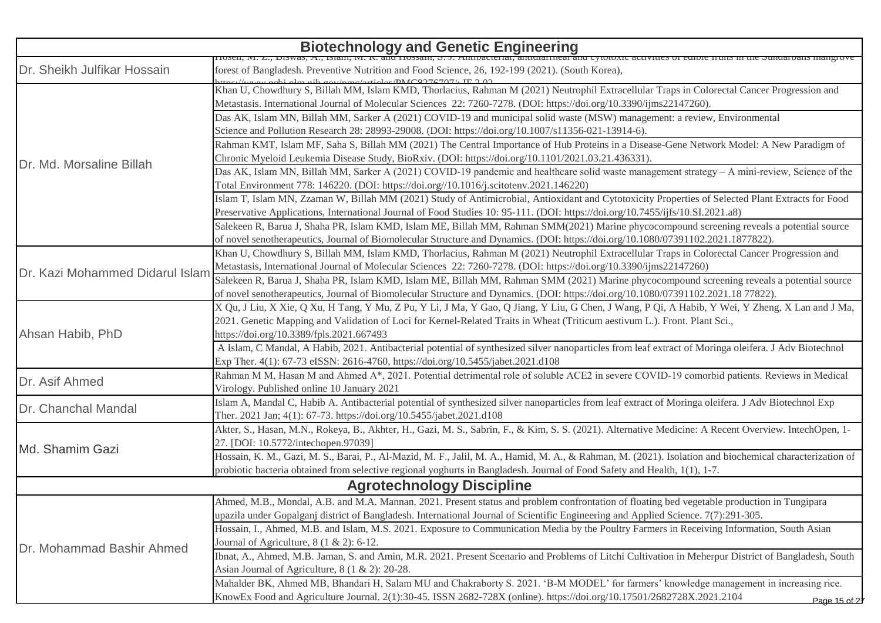| <b>Biotechnology and Genetic Engineering</b> |                                                                                                                                                                                                                                  |  |
|----------------------------------------------|----------------------------------------------------------------------------------------------------------------------------------------------------------------------------------------------------------------------------------|--|
| Dr. Sheikh Julfikar Hossain                  | 10sen, 191. L., Diswas, A., Islam, 191. R. and Hossam, S. J. Anuvacterial, anuularmeal and cytotoxic activities of eurole fru<br>forest of Bangladesh. Preventive Nutrition and Food Science, 26, 192-199 (2021). (South Korea), |  |
|                                              | kttps://www.pobi.plm.pib.gov/gess/getialse/DMC9276707/. IE 2.02<br>Khan U, Chowdhury S, Billah MM, Islam KMD, Thorlacius, Rahman M (2021) Neutrophil Extracellular Traps in Colorectal Cancer Progression and                    |  |
|                                              | Metastasis. International Journal of Molecular Sciences 22: 7260-7278. (DOI: https://doi.org/10.3390/ijms22147260).                                                                                                              |  |
|                                              | Das AK, Islam MN, Billah MM, Sarker A (2021) COVID-19 and municipal solid waste (MSW) management: a review, Environmental                                                                                                        |  |
|                                              | Science and Pollution Research 28: 28993-29008. (DOI: https://doi.org/10.1007/s11356-021-13914-6).                                                                                                                               |  |
|                                              | Rahman KMT, Islam MF, Saha S, Billah MM (2021) The Central Importance of Hub Proteins in a Disease-Gene Network Model: A New Paradigm of                                                                                         |  |
|                                              | Chronic Myeloid Leukemia Disease Study, BioRxiv. (DOI: https://doi.org/10.1101/2021.03.21.436331).                                                                                                                               |  |
| Dr. Md. Morsaline Billah                     | Das AK, Islam MN, Billah MM, Sarker A (2021) COVID-19 pandemic and healthcare solid waste management strategy - A mini-review, Science of the                                                                                    |  |
|                                              | Total Environment 778: 146220. (DOI: https://doi.org//10.1016/j.scitotenv.2021.146220)                                                                                                                                           |  |
|                                              | Islam T, Islam MN, Zzaman W, Billah MM (2021) Study of Antimicrobial, Antioxidant and Cytotoxicity Properties of Selected Plant Extracts for Food                                                                                |  |
|                                              | Preservative Applications, International Journal of Food Studies 10: 95-111. (DOI: https://doi.org/10.7455/ijfs/10.SI.2021.a8)                                                                                                   |  |
|                                              | Salekeen R, Barua J, Shaha PR, Islam KMD, Islam ME, Billah MM, Rahman SMM(2021) Marine phycocompound screening reveals a potential source                                                                                        |  |
|                                              | of novel senotherapeutics, Journal of Biomolecular Structure and Dynamics. (DOI: https://doi.org/10.1080/07391102.2021.1877822).                                                                                                 |  |
|                                              | Khan U, Chowdhury S, Billah MM, Islam KMD, Thorlacius, Rahman M (2021) Neutrophil Extracellular Traps in Colorectal Cancer Progression and                                                                                       |  |
| Dr. Kazi Mohammed Didarul Islam              | Metastasis, International Journal of Molecular Sciences 22: 7260-7278. (DOI: https://doi.org/10.3390/ijms22147260)                                                                                                               |  |
|                                              | Salekeen R, Barua J, Shaha PR, Islam KMD, Islam ME, Billah MM, Rahman SMM (2021) Marine phycocompound screening reveals a potential source                                                                                       |  |
|                                              | of novel senotherapeutics, Journal of Biomolecular Structure and Dynamics. (DOI: https://doi.org/10.1080/07391102.2021.18 77822).                                                                                                |  |
|                                              | X Qu, J Liu, X Xie, Q Xu, H Tang, Y Mu, Z Pu, Y Li, J Ma, Y Gao, Q Jiang, Y Liu, G Chen, J Wang, P Qi, A Habib, Y Wei, Y Zheng, X Lan and J Ma,                                                                                  |  |
|                                              | 2021. Genetic Mapping and Validation of Loci for Kernel-Related Traits in Wheat (Triticum aestivum L.). Front. Plant Sci.,                                                                                                       |  |
| Ahsan Habib, PhD                             | https://doi.org/10.3389/fpls.2021.667493                                                                                                                                                                                         |  |
|                                              | A Islam, C Mandal, A Habib, 2021. Antibacterial potential of synthesized silver nanoparticles from leaf extract of Moringa oleifera. J Adv Biotechnol                                                                            |  |
|                                              | Exp Ther. 4(1): 67-73 eISSN: 2616-4760, https://doi.org/10.5455/jabet.2021.d108<br>Rahman M M, Hasan M and Ahmed A*, 2021. Potential detrimental role of soluble ACE2 in severe COVID-19 comorbid patients. Reviews in Medical   |  |
| Dr. Asif Ahmed                               | Virology. Published online 10 January 2021                                                                                                                                                                                       |  |
|                                              | Islam A, Mandal C, Habib A. Antibacterial potential of synthesized silver nanoparticles from leaf extract of Moringa oleifera. J Adv Biotechnol Exp                                                                              |  |
| Dr. Chanchal Mandal                          | Ther. 2021 Jan; 4(1): 67-73. https://doi.org/10.5455/jabet.2021.d108                                                                                                                                                             |  |
|                                              | Akter, S., Hasan, M.N., Rokeya, B., Akhter, H., Gazi, M. S., Sabrin, F., & Kim, S. S. (2021). Alternative Medicine: A Recent Overview. IntechOpen, 1-                                                                            |  |
|                                              | 27. [DOI: 10.5772/intechopen.97039]                                                                                                                                                                                              |  |
| Md. Shamim Gazi                              | Hossain, K. M., Gazi, M. S., Barai, P., Al-Mazid, M. F., Jalil, M. A., Hamid, M. A., & Rahman, M. (2021). Isolation and biochemical characterization of                                                                          |  |
|                                              | probiotic bacteria obtained from selective regional yoghurts in Bangladesh. Journal of Food Safety and Health, 1(1), 1-7.                                                                                                        |  |
| <b>Agrotechnology Discipline</b>             |                                                                                                                                                                                                                                  |  |
|                                              | Ahmed, M.B., Mondal, A.B. and M.A. Mannan. 2021. Present status and problem confrontation of floating bed vegetable production in Tungipara                                                                                      |  |
|                                              | upazila under Gopalganj district of Bangladesh. International Journal of Scientific Engineering and Applied Science. 7(7):291-305.                                                                                               |  |
|                                              | Hossain, I., Ahmed, M.B. and Islam, M.S. 2021. Exposure to Communication Media by the Poultry Farmers in Receiving Information, South Asian                                                                                      |  |
| Dr. Mohammad Bashir Ahmed                    | Journal of Agriculture, $8(1 \& 2)$ : 6-12.                                                                                                                                                                                      |  |
|                                              | Ibnat, A., Ahmed, M.B. Jaman, S. and Amin, M.R. 2021. Present Scenario and Problems of Litchi Cultivation in Meherpur District of Bangladesh, South                                                                              |  |
|                                              | Asian Journal of Agriculture, 8 (1 & 2): 20-28.                                                                                                                                                                                  |  |
|                                              | Mahalder BK, Ahmed MB, Bhandari H, Salam MU and Chakraborty S. 2021. 'B-M MODEL' for farmers' knowledge management in increasing rice.                                                                                           |  |
|                                              | KnowEx Food and Agriculture Journal. 2(1):30-45. ISSN 2682-728X (online). https://doi.org/10.17501/2682728X.2021.2104<br>Page 15 of 21                                                                                           |  |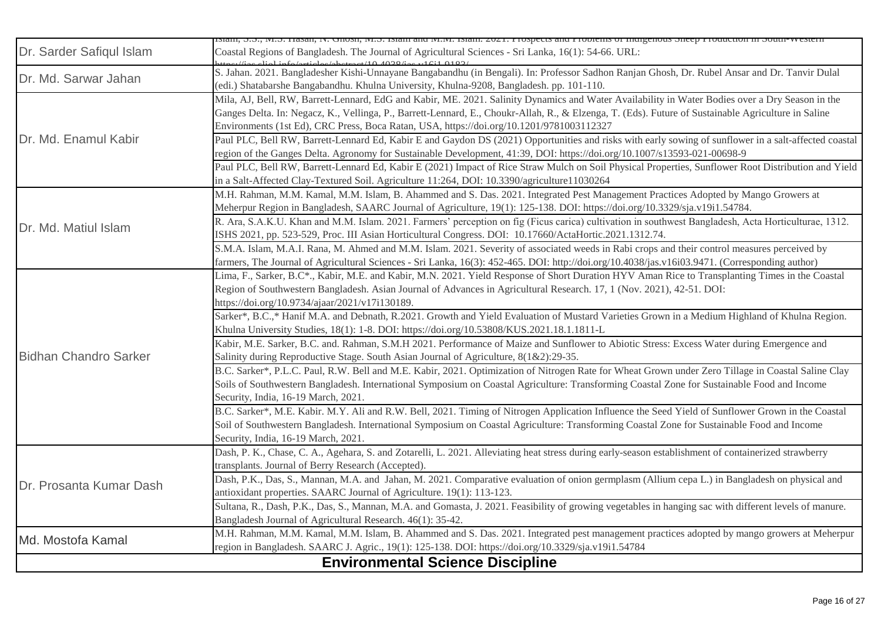|                              | ляаш, э.э., 1ч.э. назан, 1ч. чнозн, 1ч.э. ізнан анд 1ч.1ч. ізнан. 2021. і гозресіз анд і голісніз от індізеновз энеер і годисноп ні эоциг-western      |
|------------------------------|--------------------------------------------------------------------------------------------------------------------------------------------------------|
| Dr. Sarder Safiqul Islam     | Coastal Regions of Bangladesh. The Journal of Agricultural Sciences - Sri Lanka, 16(1): 54-66. URL:                                                    |
| Dr. Md. Sarwar Jahan         | S. Jahan. 2021. Bangladesher Kishi-Unnayane Bangabandhu (in Bengali). In: Professor Sadhon Ranjan Ghosh, Dr. Rubel Ansar and Dr. Tanvir Dulal          |
|                              | (edi.) Shatabarshe Bangabandhu. Khulna University, Khulna-9208, Bangladesh. pp. 101-110.                                                               |
|                              | Mila, AJ, Bell, RW, Barrett-Lennard, EdG and Kabir, ME. 2021. Salinity Dynamics and Water Availability in Water Bodies over a Dry Season in the        |
|                              | Ganges Delta. In: Negacz, K., Vellinga, P., Barrett-Lennard, E., Choukr-Allah, R., & Elzenga, T. (Eds). Future of Sustainable Agriculture in Saline    |
|                              | Environments (1st Ed), CRC Press, Boca Ratan, USA, https://doi.org/10.1201/9781003112327                                                               |
| Dr. Md. Enamul Kabir         | Paul PLC, Bell RW, Barrett-Lennard Ed, Kabir E and Gaydon DS (2021) Opportunities and risks with early sowing of sunflower in a salt-affected coastal  |
|                              | region of the Ganges Delta. Agronomy for Sustainable Development, 41:39, DOI: https://doi.org/10.1007/s13593-021-00698-9                               |
|                              | Paul PLC, Bell RW, Barrett-Lennard Ed, Kabir E (2021) Impact of Rice Straw Mulch on Soil Physical Properties, Sunflower Root Distribution and Yield    |
|                              | in a Salt-Affected Clay-Textured Soil. Agriculture 11:264, DOI: 10.3390/agriculture11030264                                                            |
|                              | M.H. Rahman, M.M. Kamal, M.M. Islam, B. Ahammed and S. Das. 2021. Integrated Pest Management Practices Adopted by Mango Growers at                     |
|                              | Meherpur Region in Bangladesh, SAARC Journal of Agriculture, 19(1): 125-138. DOI: https://doi.org/10.3329/sja.v19i1.54784.                             |
| Dr. Md. Matiul Islam         | R. Ara, S.A.K.U. Khan and M.M. Islam. 2021. Farmers' perception on fig (Ficus carica) cultivation in southwest Bangladesh, Acta Horticulturae, 1312.   |
|                              | ISHS 2021, pp. 523-529, Proc. III Asian Horticultural Congress. DOI: 10.17660/ActaHortic.2021.1312.74.                                                 |
|                              | S.M.A. Islam, M.A.I. Rana, M. Ahmed and M.M. Islam. 2021. Severity of associated weeds in Rabi crops and their control measures perceived by           |
|                              | farmers, The Journal of Agricultural Sciences - Sri Lanka, 16(3): 452-465. DOI: http://doi.org/10.4038/jas.v16i03.9471. (Corresponding author)         |
|                              | Lima, F., Sarker, B.C*., Kabir, M.E. and Kabir, M.N. 2021. Yield Response of Short Duration HYV Aman Rice to Transplanting Times in the Coastal        |
|                              | Region of Southwestern Bangladesh. Asian Journal of Advances in Agricultural Research. 17, 1 (Nov. 2021), 42-51. DOI:                                  |
|                              | https://doi.org/10.9734/ajaar/2021/v17i130189.                                                                                                         |
|                              | Sarker*, B.C.,* Hanif M.A. and Debnath, R.2021. Growth and Yield Evaluation of Mustard Varieties Grown in a Medium Highland of Khulna Region.          |
|                              | Khulna University Studies, 18(1): 1-8. DOI: https://doi.org/10.53808/KUS.2021.18.1.1811-L                                                              |
|                              | Kabir, M.E. Sarker, B.C. and. Rahman, S.M.H 2021. Performance of Maize and Sunflower to Abiotic Stress: Excess Water during Emergence and              |
| <b>Bidhan Chandro Sarker</b> | Salinity during Reproductive Stage. South Asian Journal of Agriculture, 8(1&2):29-35.                                                                  |
|                              | B.C. Sarker*, P.L.C. Paul, R.W. Bell and M.E. Kabir, 2021. Optimization of Nitrogen Rate for Wheat Grown under Zero Tillage in Coastal Saline Clay     |
|                              | Soils of Southwestern Bangladesh. International Symposium on Coastal Agriculture: Transforming Coastal Zone for Sustainable Food and Income            |
|                              | Security, India, 16-19 March, 2021.                                                                                                                    |
|                              | B.C. Sarker*, M.E. Kabir. M.Y. Ali and R.W. Bell, 2021. Timing of Nitrogen Application Influence the Seed Yield of Sunflower Grown in the Coastal      |
|                              | Soil of Southwestern Bangladesh. International Symposium on Coastal Agriculture: Transforming Coastal Zone for Sustainable Food and Income             |
|                              | Security, India, 16-19 March, 2021.                                                                                                                    |
|                              | Dash, P. K., Chase, C. A., Agehara, S. and Zotarelli, L. 2021. Alleviating heat stress during early-season establishment of containerized strawberry   |
|                              | transplants. Journal of Berry Research (Accepted).                                                                                                     |
| Dr. Prosanta Kumar Dash      | Dash, P.K., Das, S., Mannan, M.A. and Jahan, M. 2021. Comparative evaluation of onion germplasm (Allium cepa L.) in Bangladesh on physical and         |
|                              | antioxidant properties. SAARC Journal of Agriculture. 19(1): 113-123.                                                                                  |
|                              | Sultana, R., Dash, P.K., Das, S., Mannan, M.A. and Gomasta, J. 2021. Feasibility of growing vegetables in hanging sac with different levels of manure. |
|                              | Bangladesh Journal of Agricultural Research. 46(1): 35-42.                                                                                             |
| Md. Mostofa Kamal            | M.H. Rahman, M.M. Kamal, M.M. Islam, B. Ahammed and S. Das. 2021. Integrated pest management practices adopted by mango growers at Meherpur            |
|                              | region in Bangladesh. SAARC J. Agric., 19(1): 125-138. DOI: https://doi.org/10.3329/sja.v19i1.54784                                                    |
|                              | <b>Environmental Science Discipline</b>                                                                                                                |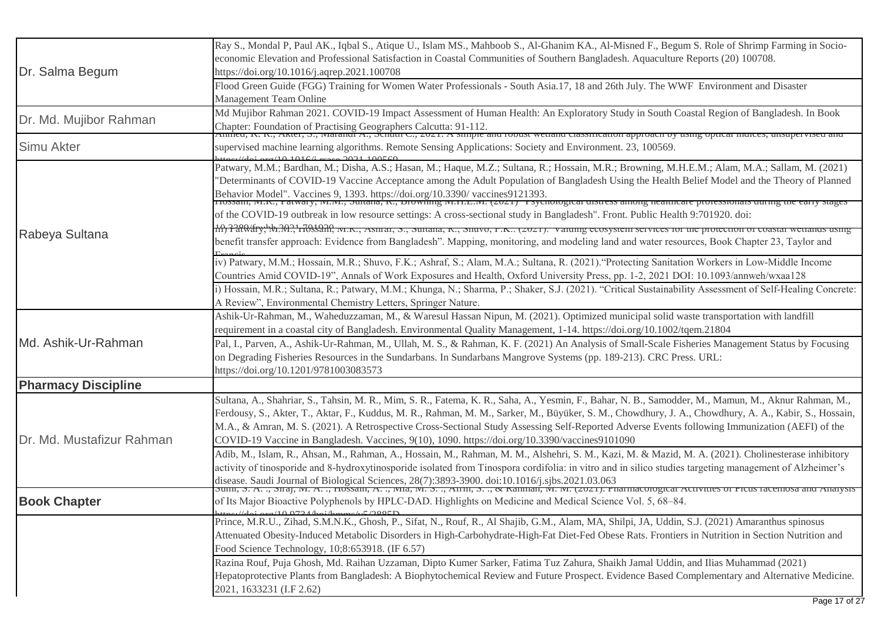| Dr. Salma Begum            | Ray S., Mondal P, Paul AK., Iqbal S., Atique U., Islam MS., Mahboob S., Al-Ghanim KA., Al-Misned F., Begum S. Role of Shrimp Farming in Socio-<br>economic Elevation and Professional Satisfaction in Coastal Communities of Southern Bangladesh. Aquaculture Reports (20) 100708.<br>https://doi.org/10.1016/j.aqrep.2021.100708                                                                                                                                                                                                                                |
|----------------------------|------------------------------------------------------------------------------------------------------------------------------------------------------------------------------------------------------------------------------------------------------------------------------------------------------------------------------------------------------------------------------------------------------------------------------------------------------------------------------------------------------------------------------------------------------------------|
|                            | Flood Green Guide (FGG) Training for Women Water Professionals - South Asia.17, 18 and 26th July. The WWF Environment and Disaster<br>Management Team Online                                                                                                                                                                                                                                                                                                                                                                                                     |
| Dr. Md. Mujibor Rahman     | Md Mujibor Rahman 2021. COVID-19 Impact Assessment of Human Health: An Exploratory Study in South Coastal Region of Bangladesh. In Book<br>Chapter: Foundation of Practising Geographers Calcutta: 91-112.<br>Annieu, K. K., AKter, S., Iviaranui A., Schuur C., 2021. A simple and robust wettand classification approach by using optical murces, unsupervised and                                                                                                                                                                                             |
| <b>Simu Akter</b>          | supervised machine learning algorithms. Remote Sensing Applications: Society and Environment. 23, 100569.                                                                                                                                                                                                                                                                                                                                                                                                                                                        |
|                            | Patwary, M.M.; Bardhan, M.; Disha, A.S.; Hasan, M.; Haque, M.Z.; Sultana, R.; Hossain, M.R.; Browning, M.H.E.M.; Alam, M.A.; Sallam, M. (2021)<br>"Determinants of COVID-19 Vaccine Acceptance among the Adult Population of Bangladesh Using the Health Belief Model and the Theory of Planned<br>Behavior Model". Vaccines 9, 1393. https://doi.org/10.3390/vaccines9121393.<br>Trossam, w.K., r atwary, w.w., Sunana, K., Drowning w.T.E.W. (2021) Tsychological uisticss among neatticale professionals utring the early stages                              |
|                            | of the COVID-19 outbreak in low resource settings: A cross-sectional study in Bangladesh". Front. Public Health 9:701920. doi:                                                                                                                                                                                                                                                                                                                                                                                                                                   |
| Rabeya Sultana             | 10, 220 dry, b. 2021 703220, w.K., Asmar, S., Sunana, K., Snuvo, F.K (2021). Valumg ecosysiem services for the protection of coastar wettanus using<br>benefit transfer approach: Evidence from Bangladesh". Mapping, monitoring, and modeling land and water resources, Book Chapter 23, Taylor and                                                                                                                                                                                                                                                             |
|                            | iv) Patwary, M.M.; Hossain, M.R.; Shuvo, F.K.; Ashraf, S.; Alam, M.A.; Sultana, R. (2021). "Protecting Sanitation Workers in Low-Middle Income<br>Countries Amid COVID-19", Annals of Work Exposures and Health, Oxford University Press, pp. 1-2, 2021 DOI: 10.1093/annweh/wxaa128                                                                                                                                                                                                                                                                              |
|                            | i) Hossain, M.R.; Sultana, R.; Patwary, M.M.; Khunga, N.; Sharma, P.; Shaker, S.J. (2021). "Critical Sustainability Assessment of Self-Healing Concrete:<br>A Review", Environmental Chemistry Letters, Springer Nature.                                                                                                                                                                                                                                                                                                                                         |
|                            | Ashik-Ur-Rahman, M., Waheduzzaman, M., & Waresul Hassan Nipun, M. (2021). Optimized municipal solid waste transportation with landfill<br>requirement in a coastal city of Bangladesh. Environmental Quality Management, 1-14. https://doi.org/10.1002/tqem.21804                                                                                                                                                                                                                                                                                                |
| Md. Ashik-Ur-Rahman        | Pal, I., Parven, A., Ashik-Ur-Rahman, M., Ullah, M. S., & Rahman, K. F. (2021) An Analysis of Small-Scale Fisheries Management Status by Focusing<br>on Degrading Fisheries Resources in the Sundarbans. In Sundarbans Mangrove Systems (pp. 189-213). CRC Press. URL:<br>https://doi.org/10.1201/9781003083573                                                                                                                                                                                                                                                  |
| <b>Pharmacy Discipline</b> |                                                                                                                                                                                                                                                                                                                                                                                                                                                                                                                                                                  |
| Dr. Md. Mustafizur Rahman  | Sultana, A., Shahriar, S., Tahsin, M. R., Mim, S. R., Fatema, K. R., Saha, A., Yesmin, F., Bahar, N. B., Samodder, M., Mamun, M., Aknur Rahman, M.,<br>Ferdousy, S., Akter, T., Aktar, F., Kuddus, M. R., Rahman, M. M., Sarker, M., Büyüker, S. M., Chowdhury, J. A., Chowdhury, A. A., Kabir, S., Hossain,<br>M.A., & Amran, M. S. (2021). A Retrospective Cross-Sectional Study Assessing Self-Reported Adverse Events following Immunization (AEFI) of the<br>COVID-19 Vaccine in Bangladesh. Vaccines, 9(10), 1090. https://doi.org/10.3390/vaccines9101090 |
|                            | Adib, M., Islam, R., Ahsan, M., Rahman, A., Hossain, M., Rahman, M. M., Alshehri, S. M., Kazi, M. & Mazid, M. A. (2021). Cholinesterase inhibitory<br>activity of tinosporide and 8-hydroxytinosporide isolated from Tinospora cordifolia: in vitro and in silico studies targeting management of Alzheimer's<br>disease. Saudi Journal of Biological Sciences, 28(7):3893-3900. doi:10.1016/j.sjbs.2021.03.063<br>Sunn, S. A. ., Snaj, Nt. A. ., HUSSani, A. ., NHa, Nt. S. ., AHHI, S. ., & Kamman, Nt. Nt. (2021). I narmacological Activities                |
| <b>Book Chapter</b>        | of Its Major Bioactive Polyphenols by HPLC-DAD. Highlights on Medicine and Medical Science Vol. 5, 68–84.<br>$1/d\alpha$ and $(10.0724$ km through $5.5/2005$                                                                                                                                                                                                                                                                                                                                                                                                    |
|                            | Prince, M.R.U., Zihad, S.M.N.K., Ghosh, P., Sifat, N., Rouf, R., Al Shajib, G.M., Alam, MA, Shilpi, JA, Uddin, S.J. (2021) Amaranthus spinosus<br>Attenuated Obesity-Induced Metabolic Disorders in High-Carbohydrate-High-Fat Diet-Fed Obese Rats. Frontiers in Nutrition in Section Nutrition and<br>Food Science Technology, 10;8:653918. (IF 6.57)                                                                                                                                                                                                           |
|                            | Razina Rouf, Puja Ghosh, Md. Raihan Uzzaman, Dipto Kumer Sarker, Fatima Tuz Zahura, Shaikh Jamal Uddin, and Ilias Muhammad (2021)<br>Hepatoprotective Plants from Bangladesh: A Biophytochemical Review and Future Prospect. Evidence Based Complementary and Alternative Medicine.<br>2021, 1633231 (I.F 2.62)                                                                                                                                                                                                                                                  |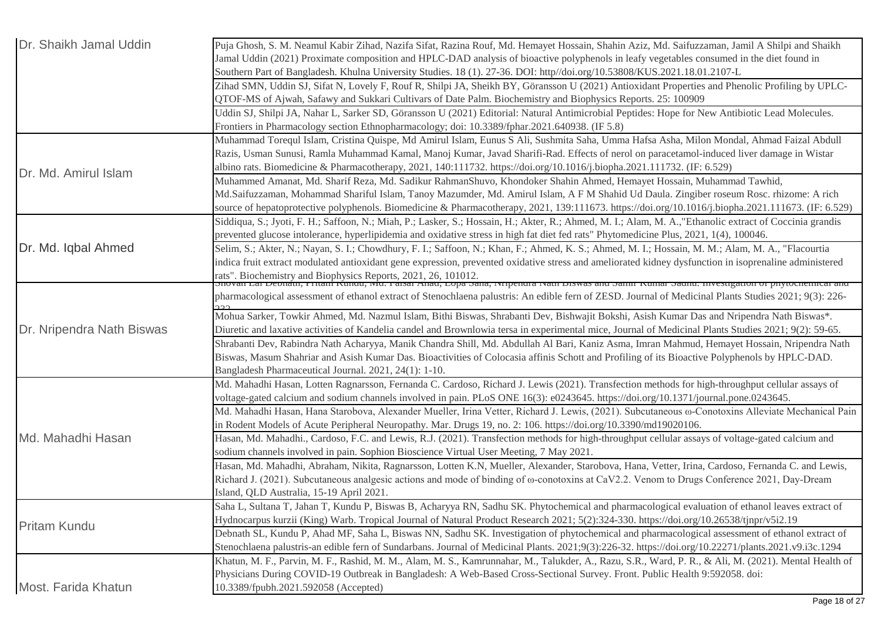| Dr. Shaikh Jamal Uddin    | Puja Ghosh, S. M. Neamul Kabir Zihad, Nazifa Sifat, Razina Rouf, Md. Hemayet Hossain, Shahin Aziz, Md. Saifuzzaman, Jamil A Shilpi and Shaikh                                   |
|---------------------------|---------------------------------------------------------------------------------------------------------------------------------------------------------------------------------|
|                           | Jamal Uddin (2021) Proximate composition and HPLC-DAD analysis of bioactive polyphenols in leafy vegetables consumed in the diet found in                                       |
|                           | Southern Part of Bangladesh. Khulna University Studies. 18 (1). 27-36. DOI: http//doi.org/10.53808/KUS.2021.18.01.2107-L                                                        |
|                           | Zihad SMN, Uddin SJ, Sifat N, Lovely F, Rouf R, Shilpi JA, Sheikh BY, Göransson U (2021) Antioxidant Properties and Phenolic Profiling by UPLC-                                 |
|                           | QTOF-MS of Ajwah, Safawy and Sukkari Cultivars of Date Palm. Biochemistry and Biophysics Reports. 25: 100909                                                                    |
|                           | Uddin SJ, Shilpi JA, Nahar L, Sarker SD, Göransson U (2021) Editorial: Natural Antimicrobial Peptides: Hope for New Antibiotic Lead Molecules.                                  |
|                           | Frontiers in Pharmacology section Ethnopharmacology; doi: 10.3389/fphar.2021.640938. (IF 5.8)                                                                                   |
|                           | Muhammad Torequl Islam, Cristina Quispe, Md Amirul Islam, Eunus S Ali, Sushmita Saha, Umma Hafsa Asha, Milon Mondal, Ahmad Faizal Abdull                                        |
|                           | Razis, Usman Sunusi, Ramla Muhammad Kamal, Manoj Kumar, Javad Sharifi-Rad. Effects of nerol on paracetamol-induced liver damage in Wistar                                       |
| Dr. Md. Amirul Islam      | albino rats. Biomedicine & Pharmacotherapy, 2021, 140:111732. https://doi.org/10.1016/j.biopha.2021.111732. (IF: 6.529)                                                         |
|                           | Muhammed Amanat, Md. Sharif Reza, Md. Sadikur RahmanShuvo, Khondoker Shahin Ahmed, Hemayet Hossain, Muhammad Tawhid,                                                            |
|                           | Md.Saifuzzaman, Mohammad Shariful Islam, Tanoy Mazumder, Md. Amirul Islam, A F M Shahid Ud Daula. Zingiber roseum Rosc. rhizome: A rich                                         |
|                           | source of hepatoprotective polyphenols. Biomedicine & Pharmacotherapy, 2021, 139:111673. https://doi.org/10.1016/j.biopha.2021.111673. (IF: 6.529)                              |
|                           | Siddiqua, S.; Jyoti, F. H.; Saffoon, N.; Miah, P.; Lasker, S.; Hossain, H.; Akter, R.; Ahmed, M. I.; Alam, M. A., "Ethanolic extract of Coccinia grandis                        |
|                           | prevented glucose intolerance, hyperlipidemia and oxidative stress in high fat diet fed rats" Phytomedicine Plus, 2021, 1(4), 100046.                                           |
| Dr. Md. Iqbal Ahmed       | Selim, S.; Akter, N.; Nayan, S. I.; Chowdhury, F. I.; Saffoon, N.; Khan, F.; Ahmed, K. S.; Ahmed, M. I.; Hossain, M. M.; Alam, M. A., "Flacourtia                               |
|                           | indica fruit extract modulated antioxidant gene expression, prevented oxidative stress and ameliorated kidney dysfunction in isoprenaline administered                          |
|                           | rats". Biochemistry and Biophysics Reports, 2021, 26, 101012.<br>Snovan Lar Deonau, Fritani Kunuu, ivid. Faisar Anau, Lopa Sana, ivripendra ivaur Biswas and Sanni Kuniar Saunu |
|                           | pharmacological assessment of ethanol extract of Stenochlaena palustris: An edible fern of ZESD. Journal of Medicinal Plants Studies 2021; 9(3): 226-                           |
|                           |                                                                                                                                                                                 |
|                           | Mohua Sarker, Towkir Ahmed, Md. Nazmul Islam, Bithi Biswas, Shrabanti Dev, Bishwajit Bokshi, Asish Kumar Das and Nripendra Nath Biswas*.                                        |
| Dr. Nripendra Nath Biswas | Diuretic and laxative activities of Kandelia candel and Brownlowia tersa in experimental mice, Journal of Medicinal Plants Studies 2021; 9(2): 59-65.                           |
|                           | Shrabanti Dev, Rabindra Nath Acharyya, Manik Chandra Shill, Md. Abdullah Al Bari, Kaniz Asma, Imran Mahmud, Hemayet Hossain, Nripendra Nath                                     |
|                           | Biswas, Masum Shahriar and Asish Kumar Das. Bioactivities of Colocasia affinis Schott and Profiling of its Bioactive Polyphenols by HPLC-DAD.                                   |
|                           | Bangladesh Pharmaceutical Journal. 2021, 24(1): 1-10.                                                                                                                           |
|                           | Md. Mahadhi Hasan, Lotten Ragnarsson, Fernanda C. Cardoso, Richard J. Lewis (2021). Transfection methods for high-throughput cellular assays of                                 |
|                           | voltage-gated calcium and sodium channels involved in pain. PLoS ONE 16(3): e0243645. https://doi.org/10.1371/journal.pone.0243645.                                             |
|                           | Md. Mahadhi Hasan, Hana Starobova, Alexander Mueller, Irina Vetter, Richard J. Lewis, (2021). Subcutaneous @-Conotoxins Alleviate Mechanical Pain                               |
|                           | in Rodent Models of Acute Peripheral Neuropathy. Mar. Drugs 19, no. 2: 106. https://doi.org/10.3390/md19020106.                                                                 |
| Md. Mahadhi Hasan         | Hasan, Md. Mahadhi., Cardoso, F.C. and Lewis, R.J. (2021). Transfection methods for high-throughput cellular assays of voltage-gated calcium and                                |
|                           | sodium channels involved in pain. Sophion Bioscience Virtual User Meeting, 7 May 2021.                                                                                          |
|                           | Hasan, Md. Mahadhi, Abraham, Nikita, Ragnarsson, Lotten K.N, Mueller, Alexander, Starobova, Hana, Vetter, Irina, Cardoso, Fernanda C. and Lewis,                                |
|                           | Richard J. (2021). Subcutaneous analgesic actions and mode of binding of $\omega$ -conotoxins at CaV2.2. Venom to Drugs Conference 2021, Day-Dream                              |
|                           | Island, QLD Australia, 15-19 April 2021.                                                                                                                                        |
| <b>Pritam Kundu</b>       | Saha L, Sultana T, Jahan T, Kundu P, Biswas B, Acharyya RN, Sadhu SK. Phytochemical and pharmacological evaluation of ethanol leaves extract of                                 |
|                           | Hydnocarpus kurzii (King) Warb. Tropical Journal of Natural Product Research 2021; 5(2):324-330. https://doi.org/10.26538/tjnpr/v5i2.19                                         |
|                           | Debnath SL, Kundu P, Ahad MF, Saha L, Biswas NN, Sadhu SK. Investigation of phytochemical and pharmacological assessment of ethanol extract of                                  |
|                           | Stenochlaena palustris-an edible fern of Sundarbans. Journal of Medicinal Plants. 2021;9(3):226-32. https://doi.org/10.22271/plants.2021.v9.i3c.1294                            |
|                           | Khatun, M. F., Parvin, M. F., Rashid, M. M., Alam, M. S., Kamrunnahar, M., Talukder, A., Razu, S.R., Ward, P. R., & Ali, M. (2021). Mental Health of                            |
|                           | Physicians During COVID-19 Outbreak in Bangladesh: A Web-Based Cross-Sectional Survey. Front. Public Health 9:592058. doi:                                                      |
| Most. Farida Khatun       | 10.3389/fpubh.2021.592058 (Accepted)                                                                                                                                            |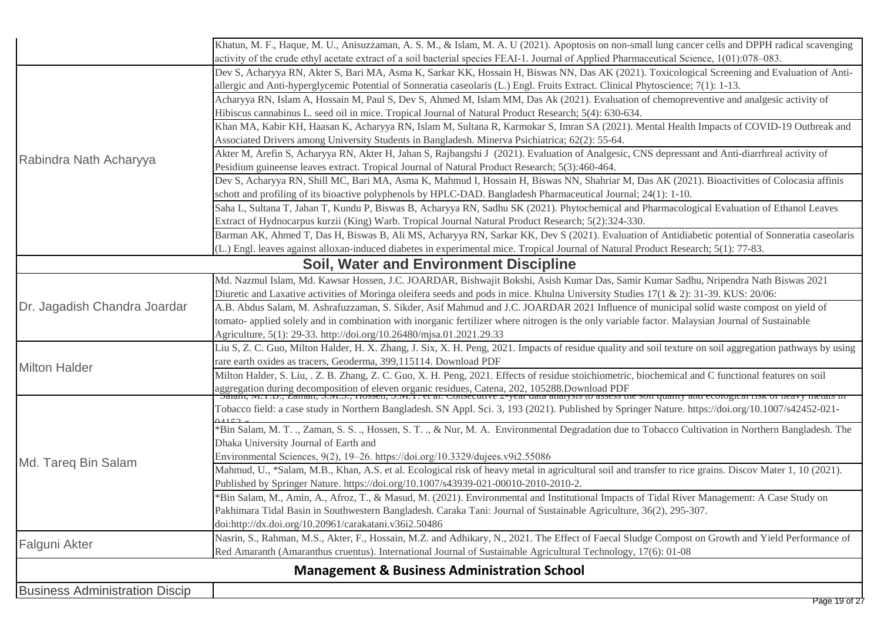|                                       | Khatun, M. F., Haque, M. U., Anisuzzaman, A. S. M., & Islam, M. A. U (2021). Apoptosis on non-small lung cancer cells and DPPH radical scavenging                                                                                 |
|---------------------------------------|-----------------------------------------------------------------------------------------------------------------------------------------------------------------------------------------------------------------------------------|
|                                       | activity of the crude ethyl acetate extract of a soil bacterial species FEAI-1. Journal of Applied Pharmaceutical Science, 1(01):078–083.                                                                                         |
|                                       | Dev S, Acharyya RN, Akter S, Bari MA, Asma K, Sarkar KK, Hossain H, Biswas NN, Das AK (2021). Toxicological Screening and Evaluation of Anti-                                                                                     |
|                                       | allergic and Anti-hyperglycemic Potential of Sonneratia caseolaris (L.) Engl. Fruits Extract. Clinical Phytoscience; 7(1): 1-13.                                                                                                  |
|                                       | Acharyya RN, Islam A, Hossain M, Paul S, Dev S, Ahmed M, Islam MM, Das Ak (2021). Evaluation of chemopreventive and analgesic activity of                                                                                         |
|                                       | Hibiscus cannabinus L. seed oil in mice. Tropical Journal of Natural Product Research; 5(4): 630-634.                                                                                                                             |
|                                       | Khan MA, Kabir KH, Haasan K, Acharyya RN, Islam M, Sultana R, Karmokar S, Imran SA (2021). Mental Health Impacts of COVID-19 Outbreak and                                                                                         |
|                                       | Associated Drivers among University Students in Bangladesh. Minerva Psichiatrica; 62(2): 55-64.                                                                                                                                   |
| Rabindra Nath Acharyya                | Akter M, Arefin S, Acharyya RN, Akter H, Jahan S, Rajbangshi J (2021). Evaluation of Analgesic, CNS depressant and Anti-diarrhreal activity of                                                                                    |
|                                       | Pesidium guineense leaves extract. Tropical Journal of Natural Product Research; 5(3):460-464.                                                                                                                                    |
|                                       | Dev S, Acharyya RN, Shill MC, Bari MA, Asma K, Mahmud I, Hossain H, Biswas NN, Shahriar M, Das AK (2021). Bioactivities of Colocasia affinis                                                                                      |
|                                       | schott and profiling of its bioactive polyphenols by HPLC-DAD. Bangladesh Pharmaceutical Journal; 24(1): 1-10.                                                                                                                    |
|                                       | Saha L, Sultana T, Jahan T, Kundu P, Biswas B, Acharyya RN, Sadhu SK (2021). Phytochemical and Pharmacological Evaluation of Ethanol Leaves                                                                                       |
|                                       | Extract of Hydnocarpus kurzii (King) Warb. Tropical Journal Natural Product Research; 5(2):324-330.                                                                                                                               |
|                                       | Barman AK, Ahmed T, Das H, Biswas B, Ali MS, Acharyya RN, Sarkar KK, Dev S (2021). Evaluation of Antidiabetic potential of Sonneratia caseolaris                                                                                  |
|                                       | (L.) Engl. leaves against alloxan-induced diabetes in experimental mice. Tropical Journal of Natural Product Research; 5(1): 77-83.                                                                                               |
|                                       | <b>Soil, Water and Environment Discipline</b>                                                                                                                                                                                     |
|                                       | Md. Nazmul Islam, Md. Kawsar Hossen, J.C. JOARDAR, Bishwajit Bokshi, Asish Kumar Das, Samir Kumar Sadhu, Nripendra Nath Biswas 2021                                                                                               |
|                                       | Diuretic and Laxative activities of Moringa oleifera seeds and pods in mice. Khulna University Studies 17(1 & 2): 31-39. KUS: 20/06:                                                                                              |
| Dr. Jagadish Chandra Joardar          | A.B. Abdus Salam, M. Ashrafuzzaman, S. Sikder, Asif Mahmud and J.C. JOARDAR 2021 Influence of municipal solid waste compost on yield of                                                                                           |
|                                       | tomato- applied solely and in combination with inorganic fertilizer where nitrogen is the only variable factor. Malaysian Journal of Sustainable                                                                                  |
|                                       | Agriculture, 5(1): 29-33. http://doi.org/10.26480/mjsa.01.2021.29.33                                                                                                                                                              |
|                                       | Liu S, Z. C. Guo, Milton Halder, H. X. Zhang, J. Six, X. H. Peng, 2021. Impacts of residue quality and soil texture on soil aggregation pathways by using                                                                         |
| <b>Milton Halder</b>                  | rare earth oxides as tracers, Geoderma, 399,115114. Download PDF                                                                                                                                                                  |
|                                       | Milton Halder, S. Liu, . Z. B. Zhang, Z. C. Guo, X. H. Peng, 2021. Effects of residue stoichiometric, biochemical and C functional features on soil                                                                               |
|                                       | aggregation during decomposition of eleven organic residues, Catena, 202, 105288.Download PDF<br>Satam, IN. 1. D., Zaman, S.IVI. D., Hossen, S.IVI. L. et al. Consecutive 2-year uata analysis to assess the son quanty and ecolo |
|                                       | Tobacco field: a case study in Northern Bangladesh. SN Appl. Sci. 3, 193 (2021). Published by Springer Nature. https://doi.org/10.1007/s42452-021-                                                                                |
|                                       | *Bin Salam, M. T., Zaman, S. S., Hossen, S. T., & Nur, M. A. Environmental Degradation due to Tobacco Cultivation in Northern Bangladesh. The                                                                                     |
|                                       | Dhaka University Journal of Earth and                                                                                                                                                                                             |
|                                       | Environmental Sciences, 9(2), 19-26. https://doi.org/10.3329/dujees.v9i2.55086                                                                                                                                                    |
| Md. Tareq Bin Salam                   | Mahmud, U., *Salam, M.B., Khan, A.S. et al. Ecological risk of heavy metal in agricultural soil and transfer to rice grains. Discov Mater 1, 10 (2021).                                                                           |
|                                       | Published by Springer Nature. https://doi.org/10.1007/s43939-021-00010-2010-2010-2.                                                                                                                                               |
|                                       | *Bin Salam, M., Amin, A., Afroz, T., & Masud, M. (2021). Environmental and Institutional Impacts of Tidal River Management: A Case Study on                                                                                       |
|                                       | Pakhimara Tidal Basin in Southwestern Bangladesh. Caraka Tani: Journal of Sustainable Agriculture, 36(2), 295-307.                                                                                                                |
|                                       | doi:http://dx.doi.org/10.20961/carakatani.v36i2.50486                                                                                                                                                                             |
|                                       | Nasrin, S., Rahman, M.S., Akter, F., Hossain, M.Z. and Adhikary, N., 2021. The Effect of Faecal Sludge Compost on Growth and Yield Performance of                                                                                 |
| Falguni Akter                         | Red Amaranth (Amaranthus cruentus). International Journal of Sustainable Agricultural Technology, 17(6): 01-08                                                                                                                    |
|                                       | <b>Management &amp; Business Administration School</b>                                                                                                                                                                            |
|                                       |                                                                                                                                                                                                                                   |
| <b>Business Administration Discip</b> |                                                                                                                                                                                                                                   |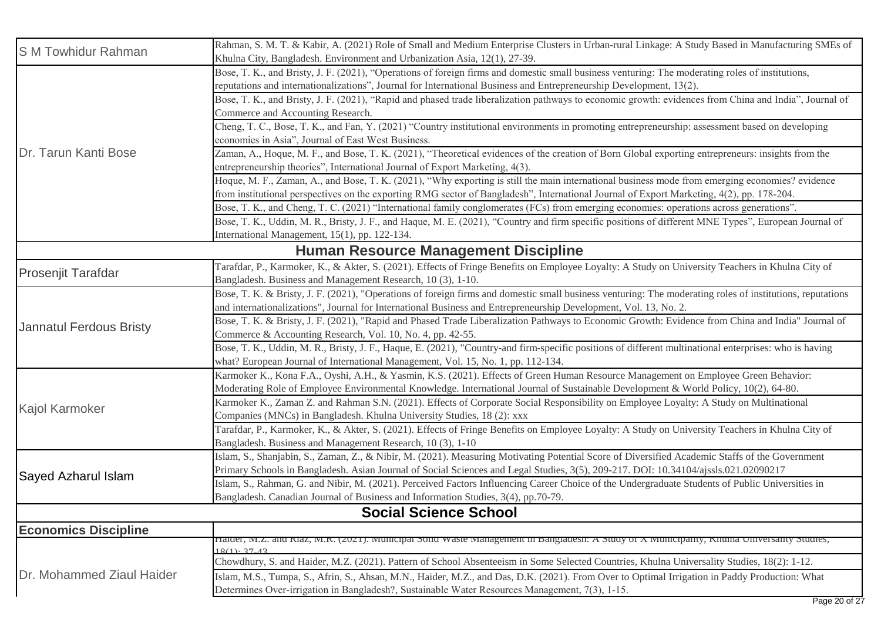| <b>SM Towhidur Rahman</b>    | Rahman, S. M. T. & Kabir, A. (2021) Role of Small and Medium Enterprise Clusters in Urban-rural Linkage: A Study Based in Manufacturing SMEs of<br>Khulna City, Bangladesh. Environment and Urbanization Asia, 12(1), 27-39. |  |
|------------------------------|------------------------------------------------------------------------------------------------------------------------------------------------------------------------------------------------------------------------------|--|
|                              | Bose, T. K., and Bristy, J. F. (2021), "Operations of foreign firms and domestic small business venturing: The moderating roles of institutions,                                                                             |  |
|                              | reputations and internationalizations", Journal for International Business and Entrepreneurship Development, 13(2).                                                                                                          |  |
|                              | Bose, T. K., and Bristy, J. F. (2021), "Rapid and phased trade liberalization pathways to economic growth: evidences from China and India", Journal of                                                                       |  |
|                              | Commerce and Accounting Research.                                                                                                                                                                                            |  |
|                              | Cheng, T. C., Bose, T. K., and Fan, Y. (2021) "Country institutional environments in promoting entrepreneurship: assessment based on developing                                                                              |  |
|                              | economies in Asia", Journal of East West Business.                                                                                                                                                                           |  |
| Dr. Tarun Kanti Bose         | Zaman, A., Hoque, M. F., and Bose, T. K. (2021), "Theoretical evidences of the creation of Born Global exporting entrepreneurs: insights from the                                                                            |  |
|                              | entrepreneurship theories", International Journal of Export Marketing, 4(3).                                                                                                                                                 |  |
|                              | Hoque, M. F., Zaman, A., and Bose, T. K. (2021), "Why exporting is still the main international business mode from emerging economies? evidence                                                                              |  |
|                              | from institutional perspectives on the exporting RMG sector of Bangladesh", International Journal of Export Marketing, 4(2), pp. 178-204.                                                                                    |  |
|                              | Bose, T. K., and Cheng, T. C. (2021) "International family conglomerates (FCs) from emerging economies: operations across generations".                                                                                      |  |
|                              | Bose, T. K., Uddin, M. R., Bristy, J. F., and Haque, M. E. (2021), "Country and firm specific positions of different MNE Types", European Journal of                                                                         |  |
|                              | International Management, 15(1), pp. 122-134.                                                                                                                                                                                |  |
|                              | Human Resource Management Discipline                                                                                                                                                                                         |  |
|                              | Tarafdar, P., Karmoker, K., & Akter, S. (2021). Effects of Fringe Benefits on Employee Loyalty: A Study on University Teachers in Khulna City of                                                                             |  |
| <b>Prosenjit Tarafdar</b>    | Bangladesh. Business and Management Research, 10 (3), 1-10.                                                                                                                                                                  |  |
|                              | Bose, T. K. & Bristy, J. F. (2021), "Operations of foreign firms and domestic small business venturing: The moderating roles of institutions, reputations                                                                    |  |
|                              | and internationalizations", Journal for International Business and Entrepreneurship Development, Vol. 13, No. 2.                                                                                                             |  |
| Jannatul Ferdous Bristy      | Bose, T. K. & Bristy, J. F. (2021), "Rapid and Phased Trade Liberalization Pathways to Economic Growth: Evidence from China and India" Journal of                                                                            |  |
|                              | Commerce & Accounting Research, Vol. 10, No. 4, pp. 42-55.                                                                                                                                                                   |  |
|                              | Bose, T. K., Uddin, M. R., Bristy, J. F., Haque, E. (2021), "Country-and firm-specific positions of different multinational enterprises: who is having                                                                       |  |
|                              | what? European Journal of International Management, Vol. 15, No. 1, pp. 112-134.                                                                                                                                             |  |
|                              | Karmoker K., Kona F.A., Oyshi, A.H., & Yasmin, K.S. (2021). Effects of Green Human Resource Management on Employee Green Behavior:                                                                                           |  |
|                              | Moderating Role of Employee Environmental Knowledge. International Journal of Sustainable Development & World Policy, 10(2), 64-80.                                                                                          |  |
| <b>Kajol Karmoker</b>        | Karmoker K., Zaman Z. and Rahman S.N. (2021). Effects of Corporate Social Responsibility on Employee Loyalty: A Study on Multinational                                                                                       |  |
|                              | Companies (MNCs) in Bangladesh. Khulna University Studies, 18 (2): xxx                                                                                                                                                       |  |
|                              | Tarafdar, P., Karmoker, K., & Akter, S. (2021). Effects of Fringe Benefits on Employee Loyalty: A Study on University Teachers in Khulna City of                                                                             |  |
|                              | Bangladesh. Business and Management Research, 10 (3), 1-10                                                                                                                                                                   |  |
|                              | Islam, S., Shanjabin, S., Zaman, Z., & Nibir, M. (2021). Measuring Motivating Potential Score of Diversified Academic Staffs of the Government                                                                               |  |
| Sayed Azharul Islam          | Primary Schools in Bangladesh. Asian Journal of Social Sciences and Legal Studies, 3(5), 209-217. DOI: 10.34104/ajssls.021.02090217                                                                                          |  |
|                              | Islam, S., Rahman, G. and Nibir, M. (2021). Perceived Factors Influencing Career Choice of the Undergraduate Students of Public Universities in                                                                              |  |
|                              | Bangladesh. Canadian Journal of Business and Information Studies, 3(4), pp.70-79.                                                                                                                                            |  |
| <b>Social Science School</b> |                                                                                                                                                                                                                              |  |
| <b>Economics Discipline</b>  |                                                                                                                                                                                                                              |  |
|                              | Haider, M.Z. and Kiaz, M.K. (2021). Municipal Sond Waste Management in Bangiadesh: A Study of A Municipality, Knuma Universanty Studies,<br>$18(1) \cdot 37$ $13$                                                            |  |
|                              | Chowdhury, S. and Haider, M.Z. (2021). Pattern of School Absenteeism in Some Selected Countries, Khulna Universality Studies, 18(2): 1-12.                                                                                   |  |
| Dr. Mohammed Ziaul Haider    | Islam, M.S., Tumpa, S., Afrin, S., Ahsan, M.N., Haider, M.Z., and Das, D.K. (2021). From Over to Optimal Irrigation in Paddy Production: What                                                                                |  |
|                              | Determines Over-irrigation in Bangladesh?, Sustainable Water Resources Management, 7(3), 1-15.                                                                                                                               |  |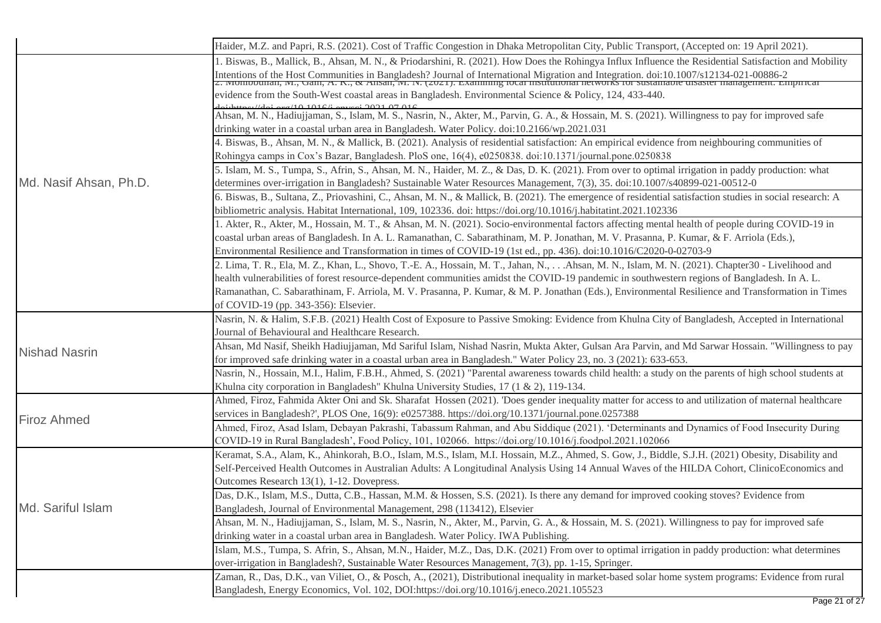|                        | Haider, M.Z. and Papri, R.S. (2021). Cost of Traffic Congestion in Dhaka Metropolitan City, Public Transport, (Accepted on: 19 April 2021).                                                                                                                                                                                                                                                |
|------------------------|--------------------------------------------------------------------------------------------------------------------------------------------------------------------------------------------------------------------------------------------------------------------------------------------------------------------------------------------------------------------------------------------|
|                        | 1. Biswas, B., Mallick, B., Ahsan, M. N., & Priodarshini, R. (2021). How Does the Rohingya Influx Influence the Residential Satisfaction and Mobility<br>Intentions of the Host Communities in Bangladesh? Journal of International Migration and Integration. doi:10.1007/s12134-021-00886-2<br>2. MOINDUCHTAI, WI., Oann, A. K., & AIISan, M. N. (2021). Examining iocal institutional n |
|                        | evidence from the South-West coastal areas in Bangladesh. Environmental Science & Policy, 124, 433-440.                                                                                                                                                                                                                                                                                    |
|                        | $(10.1016)$ enverse 2021 07 016<br>Ahsan, M. N., Hadiujjaman, S., Islam, M. S., Nasrin, N., Akter, M., Parvin, G. A., & Hossain, M. S. (2021). Willingness to pay for improved safe                                                                                                                                                                                                        |
|                        | drinking water in a coastal urban area in Bangladesh. Water Policy. doi:10.2166/wp.2021.031                                                                                                                                                                                                                                                                                                |
|                        | 4. Biswas, B., Ahsan, M. N., & Mallick, B. (2021). Analysis of residential satisfaction: An empirical evidence from neighbouring communities of                                                                                                                                                                                                                                            |
|                        | Rohingya camps in Cox's Bazar, Bangladesh. PloS one, 16(4), e0250838. doi:10.1371/journal.pone.0250838                                                                                                                                                                                                                                                                                     |
| Md. Nasif Ahsan, Ph.D. | 5. Islam, M. S., Tumpa, S., Afrin, S., Ahsan, M. N., Haider, M. Z., & Das, D. K. (2021). From over to optimal irrigation in paddy production: what<br>determines over-irrigation in Bangladesh? Sustainable Water Resources Management, 7(3), 35. doi:10.1007/s40899-021-00512-0                                                                                                           |
|                        | 6. Biswas, B., Sultana, Z., Priovashini, C., Ahsan, M. N., & Mallick, B. (2021). The emergence of residential satisfaction studies in social research: A                                                                                                                                                                                                                                   |
|                        | bibliometric analysis. Habitat International, 109, 102336. doi: https://doi.org/10.1016/j.habitatint.2021.102336                                                                                                                                                                                                                                                                           |
|                        | 1. Akter, R., Akter, M., Hossain, M. T., & Ahsan, M. N. (2021). Socio-environmental factors affecting mental health of people during COVID-19 in                                                                                                                                                                                                                                           |
|                        | coastal urban areas of Bangladesh. In A. L. Ramanathan, C. Sabarathinam, M. P. Jonathan, M. V. Prasanna, P. Kumar, & F. Arriola (Eds.),                                                                                                                                                                                                                                                    |
|                        | Environmental Resilience and Transformation in times of COVID-19 (1st ed., pp. 436). doi:10.1016/C2020-0-02703-9                                                                                                                                                                                                                                                                           |
|                        | 2. Lima, T. R., Ela, M. Z., Khan, L., Shovo, T.-E. A., Hossain, M. T., Jahan, N.,  Ahsan, M. N., Islam, M. N. (2021). Chapter 30 - Livelihood and                                                                                                                                                                                                                                          |
|                        | health vulnerabilities of forest resource-dependent communities amidst the COVID-19 pandemic in southwestern regions of Bangladesh. In A. L.                                                                                                                                                                                                                                               |
|                        | Ramanathan, C. Sabarathinam, F. Arriola, M. V. Prasanna, P. Kumar, & M. P. Jonathan (Eds.), Environmental Resilience and Transformation in Times                                                                                                                                                                                                                                           |
|                        | of COVID-19 (pp. 343-356): Elsevier.                                                                                                                                                                                                                                                                                                                                                       |
|                        | Nasrin, N. & Halim, S.F.B. (2021) Health Cost of Exposure to Passive Smoking: Evidence from Khulna City of Bangladesh, Accepted in International                                                                                                                                                                                                                                           |
|                        | Journal of Behavioural and Healthcare Research.                                                                                                                                                                                                                                                                                                                                            |
| Nishad Nasrin          | Ahsan, Md Nasif, Sheikh Hadiujjaman, Md Sariful Islam, Nishad Nasrin, Mukta Akter, Gulsan Ara Parvin, and Md Sarwar Hossain. "Willingness to pay                                                                                                                                                                                                                                           |
|                        | for improved safe drinking water in a coastal urban area in Bangladesh." Water Policy 23, no. 3 (2021): 633-653.                                                                                                                                                                                                                                                                           |
|                        | Nasrin, N., Hossain, M.I., Halim, F.B.H., Ahmed, S. (2021) "Parental awareness towards child health: a study on the parents of high school students at                                                                                                                                                                                                                                     |
|                        | Khulna city corporation in Bangladesh" Khulna University Studies, 17 (1 & 2), 119-134.                                                                                                                                                                                                                                                                                                     |
|                        | Ahmed, Firoz, Fahmida Akter Oni and Sk. Sharafat Hossen (2021). 'Does gender inequality matter for access to and utilization of maternal healthcare                                                                                                                                                                                                                                        |
| <b>Firoz Ahmed</b>     | services in Bangladesh?', PLOS One, 16(9): e0257388. https://doi.org/10.1371/journal.pone.0257388                                                                                                                                                                                                                                                                                          |
|                        | Ahmed, Firoz, Asad Islam, Debayan Pakrashi, Tabassum Rahman, and Abu Siddique (2021). 'Determinants and Dynamics of Food Insecurity During                                                                                                                                                                                                                                                 |
|                        | COVID-19 in Rural Bangladesh', Food Policy, 101, 102066. https://doi.org/10.1016/j.foodpol.2021.102066                                                                                                                                                                                                                                                                                     |
|                        | Keramat, S.A., Alam, K., Ahinkorah, B.O., Islam, M.S., Islam, M.I. Hossain, M.Z., Ahmed, S. Gow, J., Biddle, S.J.H. (2021) Obesity, Disability and                                                                                                                                                                                                                                         |
|                        | Self-Perceived Health Outcomes in Australian Adults: A Longitudinal Analysis Using 14 Annual Waves of the HILDA Cohort, ClinicoEconomics and                                                                                                                                                                                                                                               |
|                        | Outcomes Research 13(1), 1-12. Dovepress.                                                                                                                                                                                                                                                                                                                                                  |
|                        | Das, D.K., Islam, M.S., Dutta, C.B., Hassan, M.M. & Hossen, S.S. (2021). Is there any demand for improved cooking stoves? Evidence from                                                                                                                                                                                                                                                    |
| Md. Sariful Islam      | Bangladesh, Journal of Environmental Management, 298 (113412), Elsevier                                                                                                                                                                                                                                                                                                                    |
|                        | Ahsan, M. N., Hadiujjaman, S., Islam, M. S., Nasrin, N., Akter, M., Parvin, G. A., & Hossain, M. S. (2021). Willingness to pay for improved safe                                                                                                                                                                                                                                           |
|                        | drinking water in a coastal urban area in Bangladesh. Water Policy. IWA Publishing.                                                                                                                                                                                                                                                                                                        |
|                        | Islam, M.S., Tumpa, S. Afrin, S., Ahsan, M.N., Haider, M.Z., Das, D.K. (2021) From over to optimal irrigation in paddy production: what determines                                                                                                                                                                                                                                         |
|                        | over-irrigation in Bangladesh?, Sustainable Water Resources Management, 7(3), pp. 1-15, Springer.                                                                                                                                                                                                                                                                                          |
|                        | Zaman, R., Das, D.K., van Viliet, O., & Posch, A., (2021), Distributional inequality in market-based solar home system programs: Evidence from rural                                                                                                                                                                                                                                       |
|                        | Bangladesh, Energy Economics, Vol. 102, DOI:https://doi.org/10.1016/j.eneco.2021.105523                                                                                                                                                                                                                                                                                                    |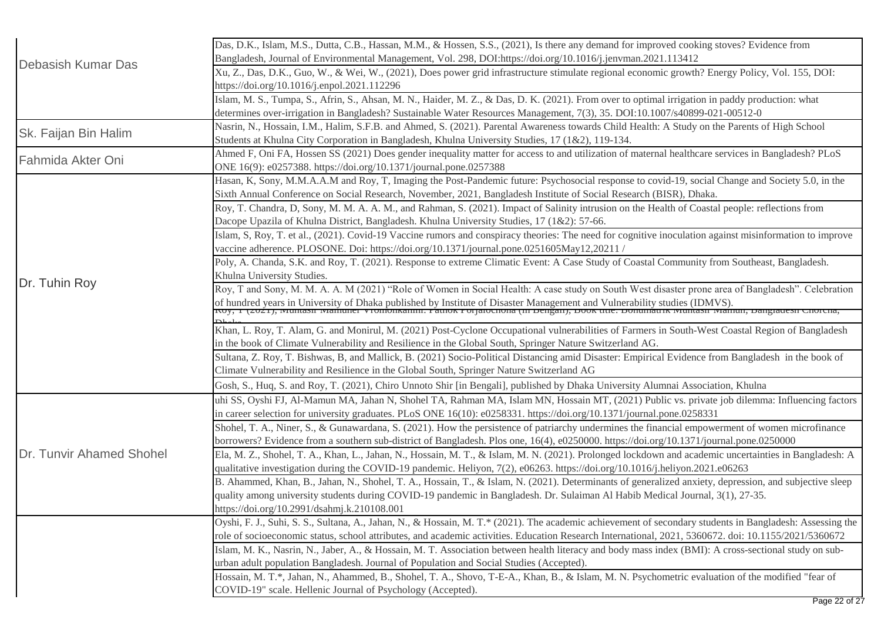| <b>Debasish Kumar Das</b> | Das, D.K., Islam, M.S., Dutta, C.B., Hassan, M.M., & Hossen, S.S., (2021), Is there any demand for improved cooking stoves? Evidence from<br>Bangladesh, Journal of Environmental Management, Vol. 298, DOI:https://doi.org/10.1016/j.jenvman.2021.113412                                                                                                                              |
|---------------------------|----------------------------------------------------------------------------------------------------------------------------------------------------------------------------------------------------------------------------------------------------------------------------------------------------------------------------------------------------------------------------------------|
|                           | Xu, Z., Das, D.K., Guo, W., & Wei, W., (2021), Does power grid infrastructure stimulate regional economic growth? Energy Policy, Vol. 155, DOI:<br>https://doi.org/10.1016/j.enpol.2021.112296                                                                                                                                                                                         |
|                           | Islam, M. S., Tumpa, S., Afrin, S., Ahsan, M. N., Haider, M. Z., & Das, D. K. (2021). From over to optimal irrigation in paddy production: what<br>determines over-irrigation in Bangladesh? Sustainable Water Resources Management, 7(3), 35. DOI:10.1007/s40899-021-00512-0                                                                                                          |
| Sk. Faijan Bin Halim      | Nasrin, N., Hossain, I.M., Halim, S.F.B. and Ahmed, S. (2021). Parental Awareness towards Child Health: A Study on the Parents of High School<br>Students at Khulna City Corporation in Bangladesh, Khulna University Studies, 17 (1&2), 119-134.                                                                                                                                      |
| Fahmida Akter Oni         | Ahmed F, Oni FA, Hossen SS (2021) Does gender inequality matter for access to and utilization of maternal healthcare services in Bangladesh? PLoS<br>ONE 16(9): e0257388. https://doi.org/10.1371/journal.pone.0257388                                                                                                                                                                 |
|                           | Hasan, K, Sony, M.M.A.A.M and Roy, T, Imaging the Post-Pandemic future: Psychosocial response to covid-19, social Change and Society 5.0, in the<br>Sixth Annual Conference on Social Research, November, 2021, Bangladesh Institute of Social Research (BISR), Dhaka.                                                                                                                 |
|                           | Roy, T. Chandra, D, Sony, M. M. A. A. M., and Rahman, S. (2021). Impact of Salinity intrusion on the Health of Coastal people: reflections from<br>Dacope Upazila of Khulna District, Bangladesh. Khulna University Studies, 17 (1&2): 57-66.                                                                                                                                          |
|                           | Islam, S, Roy, T. et al., (2021). Covid-19 Vaccine rumors and conspiracy theories: The need for cognitive inoculation against misinformation to improve<br>vaccine adherence. PLOSONE. Doi: https://doi.org/10.1371/journal.pone.0251605May12,20211 /                                                                                                                                  |
|                           | Poly, A. Chanda, S.K. and Roy, T. (2021). Response to extreme Climatic Event: A Case Study of Coastal Community from Southeast, Bangladesh.<br>Khulna University Studies.                                                                                                                                                                                                              |
| Dr. Tuhin Roy             | Roy, T and Sony, M. M. A. A. M (2021) "Role of Women in Social Health: A case study on South West disaster prone area of Bangladesh". Celebration<br>of hundred years in University of Dhaka published by Institute of Disaster Management and Vulnerability studies (IDMVS).<br>Noy, 1 (2021), wumash wiamunci Vronfonkannii. I amok I orjanochona (in Bengan), Book mie. Bomuniamk w |
|                           |                                                                                                                                                                                                                                                                                                                                                                                        |
|                           | Khan, L. Roy, T. Alam, G. and Monirul, M. (2021) Post-Cyclone Occupational vulnerabilities of Farmers in South-West Coastal Region of Bangladesh<br>in the book of Climate Vulnerability and Resilience in the Global South, Springer Nature Switzerland AG.                                                                                                                           |
|                           | Sultana, Z. Roy, T. Bishwas, B, and Mallick, B. (2021) Socio-Political Distancing amid Disaster: Empirical Evidence from Bangladesh in the book of<br>Climate Vulnerability and Resilience in the Global South, Springer Nature Switzerland AG                                                                                                                                         |
|                           | Gosh, S., Huq, S. and Roy, T. (2021), Chiro Unnoto Shir [in Bengali], published by Dhaka University Alumnai Association, Khulna                                                                                                                                                                                                                                                        |
|                           | uhi SS, Oyshi FJ, Al-Mamun MA, Jahan N, Shohel TA, Rahman MA, Islam MN, Hossain MT, (2021) Public vs. private job dilemma: Influencing factors<br>in career selection for university graduates. PLoS ONE 16(10): e0258331. https://doi.org/10.1371/journal.pone.0258331                                                                                                                |
| Dr. Tunvir Ahamed Shohel  | Shohel, T. A., Niner, S., & Gunawardana, S. (2021). How the persistence of patriarchy undermines the financial empowerment of women microfinance<br>borrowers? Evidence from a southern sub-district of Bangladesh. Plos one, 16(4), e0250000. https://doi.org/10.1371/journal.pone.0250000                                                                                            |
|                           | Ela, M. Z., Shohel, T. A., Khan, L., Jahan, N., Hossain, M. T., & Islam, M. N. (2021). Prolonged lockdown and academic uncertainties in Bangladesh: A<br>qualitative investigation during the COVID-19 pandemic. Heliyon, 7(2), e06263. https://doi.org/10.1016/j.heliyon.2021.e06263                                                                                                  |
|                           | B. Ahammed, Khan, B., Jahan, N., Shohel, T. A., Hossain, T., & Islam, N. (2021). Determinants of generalized anxiety, depression, and subjective sleep<br>quality among university students during COVID-19 pandemic in Bangladesh. Dr. Sulaiman Al Habib Medical Journal, 3(1), 27-35.<br>https://doi.org/10.2991/dsahmj.k.210108.001                                                 |
|                           | Oyshi, F. J., Suhi, S. S., Sultana, A., Jahan, N., & Hossain, M. T.* (2021). The academic achievement of secondary students in Bangladesh: Assessing the<br>role of socioeconomic status, school attributes, and academic activities. Education Research International, 2021, 5360672. doi: 10.1155/2021/5360672                                                                       |
|                           | Islam, M. K., Nasrin, N., Jaber, A., & Hossain, M. T. Association between health literacy and body mass index (BMI): A cross-sectional study on sub-<br>urban adult population Bangladesh. Journal of Population and Social Studies (Accepted).                                                                                                                                        |
|                           | Hossain, M. T.*, Jahan, N., Ahammed, B., Shohel, T. A., Shovo, T-E-A., Khan, B., & Islam, M. N. Psychometric evaluation of the modified "fear of<br>COVID-19" scale. Hellenic Journal of Psychology (Accepted).                                                                                                                                                                        |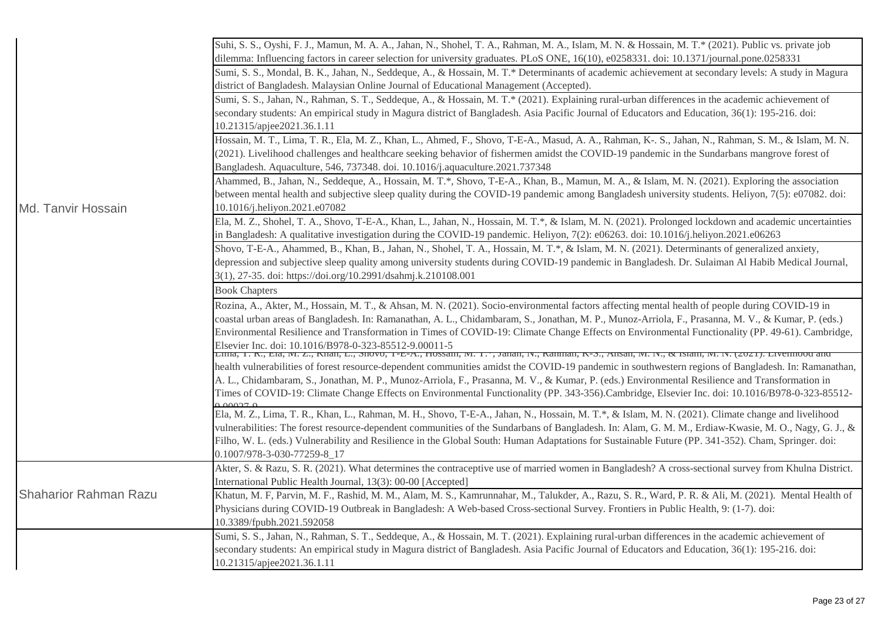|                              | Suhi, S. S., Oyshi, F. J., Mamun, M. A. A., Jahan, N., Shohel, T. A., Rahman, M. A., Islam, M. N. & Hossain, M. T.* (2021). Public vs. private job         |
|------------------------------|------------------------------------------------------------------------------------------------------------------------------------------------------------|
|                              | dilemma: Influencing factors in career selection for university graduates. PLoS ONE, 16(10), e0258331. doi: 10.1371/journal.pone.0258331                   |
|                              | Sumi, S. S., Mondal, B. K., Jahan, N., Seddeque, A., & Hossain, M. T.* Determinants of academic achievement at secondary levels: A study in Magura         |
|                              | district of Bangladesh. Malaysian Online Journal of Educational Management (Accepted).                                                                     |
|                              | Sumi, S. S., Jahan, N., Rahman, S. T., Seddeque, A., & Hossain, M. T.* (2021). Explaining rural-urban differences in the academic achievement of           |
|                              | secondary students: An empirical study in Magura district of Bangladesh. Asia Pacific Journal of Educators and Education, 36(1): 195-216. doi:             |
|                              | 10.21315/apjee2021.36.1.11                                                                                                                                 |
|                              | Hossain, M. T., Lima, T. R., Ela, M. Z., Khan, L., Ahmed, F., Shovo, T-E-A., Masud, A. A., Rahman, K-. S., Jahan, N., Rahman, S. M., & Islam, M. N.        |
|                              | (2021). Livelihood challenges and healthcare seeking behavior of fishermen amidst the COVID-19 pandemic in the Sundarbans mangrove forest of               |
|                              | Bangladesh. Aquaculture, 546, 737348. doi. 10.1016/j.aquaculture.2021.737348                                                                               |
|                              | Ahammed, B., Jahan, N., Seddeque, A., Hossain, M. T.*, Shovo, T-E-A., Khan, B., Mamun, M. A., & Islam, M. N. (2021). Exploring the association             |
|                              | between mental health and subjective sleep quality during the COVID-19 pandemic among Bangladesh university students. Heliyon, 7(5): e07082. doi:          |
| Md. Tanvir Hossain           | 10.1016/j.heliyon.2021.e07082                                                                                                                              |
|                              | Ela, M. Z., Shohel, T. A., Shovo, T-E-A., Khan, L., Jahan, N., Hossain, M. T.*, & Islam, M. N. (2021). Prolonged lockdown and academic uncertainties       |
|                              | in Bangladesh: A qualitative investigation during the COVID-19 pandemic. Heliyon, 7(2): e06263. doi: 10.1016/j.heliyon.2021.e06263                         |
|                              | Shovo, T-E-A., Ahammed, B., Khan, B., Jahan, N., Shohel, T. A., Hossain, M. T.*, & Islam, M. N. (2021). Determinants of generalized anxiety,               |
|                              | depression and subjective sleep quality among university students during COVID-19 pandemic in Bangladesh. Dr. Sulaiman Al Habib Medical Journal,           |
|                              | 3(1), 27-35. doi: https://doi.org/10.2991/dsahmj.k.210108.001<br><b>Book Chapters</b>                                                                      |
|                              | Rozina, A., Akter, M., Hossain, M. T., & Ahsan, M. N. (2021). Socio-environmental factors affecting mental health of people during COVID-19 in             |
|                              | coastal urban areas of Bangladesh. In: Ramanathan, A. L., Chidambaram, S., Jonathan, M. P., Munoz-Arriola, F., Prasanna, M. V., & Kumar, P. (eds.)         |
|                              | Environmental Resilience and Transformation in Times of COVID-19: Climate Change Effects on Environmental Functionality (PP. 49-61). Cambridge,            |
|                              | Elsevier Inc. doi: 10.1016/B978-0-323-85512-9.00011-5                                                                                                      |
|                              | елна, т. к., ела, іч. <i>е.</i> , кнан, е., мноуо, т-е-ж., поѕѕаш, іч. т. , данан, іу., каншан, к-м., жызан, іч. іу., «тыаш, іч. іу. (2021). егуенноод анд |
|                              | health vulnerabilities of forest resource-dependent communities amidst the COVID-19 pandemic in southwestern regions of Bangladesh. In: Ramanathan,        |
|                              | A. L., Chidambaram, S., Jonathan, M. P., Munoz-Arriola, F., Prasanna, M. V., & Kumar, P. (eds.) Environmental Resilience and Transformation in             |
|                              | Times of COVID-19: Climate Change Effects on Environmental Functionality (PP. 343-356).Cambridge, Elsevier Inc. doi: 10.1016/B978-0-323-85512-             |
|                              | Ela, M. Z., Lima, T. R., Khan, L., Rahman, M. H., Shovo, T-E-A., Jahan, N., Hossain, M. T.*, & Islam, M. N. (2021). Climate change and livelihood          |
|                              | vulnerabilities: The forest resource-dependent communities of the Sundarbans of Bangladesh. In: Alam, G. M. M., Erdiaw-Kwasie, M. O., Nagy, G. J., &       |
|                              | Filho, W. L. (eds.) Vulnerability and Resilience in the Global South: Human Adaptations for Sustainable Future (PP. 341-352). Cham, Springer. doi:         |
|                              | 0.1007/978-3-030-77259-8_17                                                                                                                                |
|                              | Akter, S. & Razu, S. R. (2021). What determines the contraceptive use of married women in Bangladesh? A cross-sectional survey from Khulna District.       |
|                              | International Public Health Journal, 13(3): 00-00 [Accepted]                                                                                               |
| <b>Shaharior Rahman Razu</b> | Khatun, M. F, Parvin, M. F., Rashid, M. M., Alam, M. S., Kamrunnahar, M., Talukder, A., Razu, S. R., Ward, P. R. & Ali, M. (2021). Mental Health of        |
|                              | Physicians during COVID-19 Outbreak in Bangladesh: A Web-based Cross-sectional Survey. Frontiers in Public Health, 9: (1-7). doi:                          |
|                              | 10.3389/fpubh.2021.592058                                                                                                                                  |
|                              | Sumi, S. S., Jahan, N., Rahman, S. T., Seddeque, A., & Hossain, M. T. (2021). Explaining rural-urban differences in the academic achievement of            |
|                              | secondary students: An empirical study in Magura district of Bangladesh. Asia Pacific Journal of Educators and Education, 36(1): 195-216. doi:             |
|                              | 10.21315/apjee2021.36.1.11                                                                                                                                 |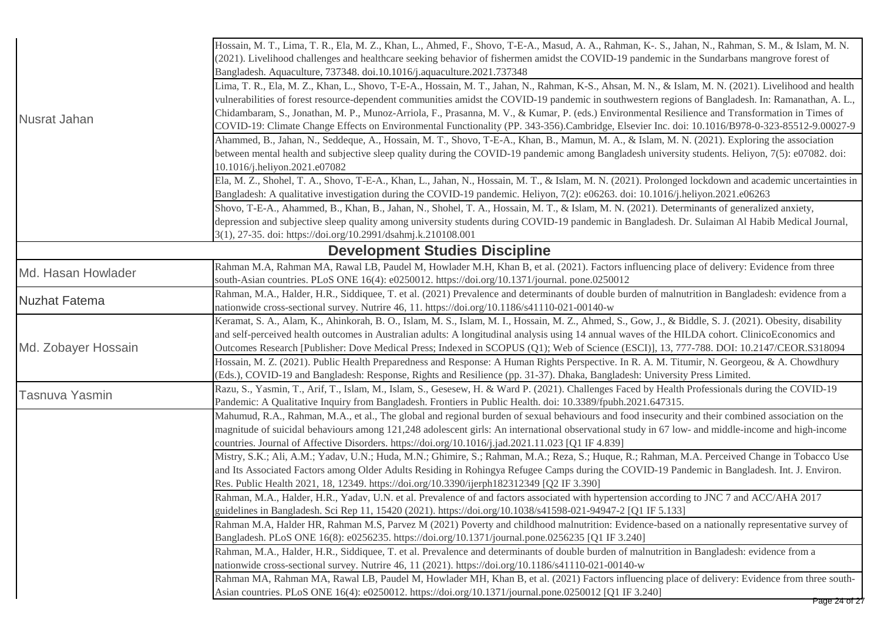|                                       | Hossain, M. T., Lima, T. R., Ela, M. Z., Khan, L., Ahmed, F., Shovo, T-E-A., Masud, A. A., Rahman, K-. S., Jahan, N., Rahman, S. M., & Islam, M. N.<br>(2021). Livelihood challenges and healthcare seeking behavior of fishermen amidst the COVID-19 pandemic in the Sundarbans mangrove forest of<br>Bangladesh. Aquaculture, 737348. doi.10.1016/j.aquaculture.2021.737348                                                                                                                                                                                                                                      |  |
|---------------------------------------|--------------------------------------------------------------------------------------------------------------------------------------------------------------------------------------------------------------------------------------------------------------------------------------------------------------------------------------------------------------------------------------------------------------------------------------------------------------------------------------------------------------------------------------------------------------------------------------------------------------------|--|
| Nusrat Jahan                          | Lima, T. R., Ela, M. Z., Khan, L., Shovo, T-E-A., Hossain, M. T., Jahan, N., Rahman, K-S., Ahsan, M. N., & Islam, M. N. (2021). Livelihood and health<br>vulnerabilities of forest resource-dependent communities amidst the COVID-19 pandemic in southwestern regions of Bangladesh. In: Ramanathan, A. L.,<br>Chidambaram, S., Jonathan, M. P., Munoz-Arriola, F., Prasanna, M. V., & Kumar, P. (eds.) Environmental Resilience and Transformation in Times of<br>COVID-19: Climate Change Effects on Environmental Functionality (PP. 343-356).Cambridge, Elsevier Inc. doi: 10.1016/B978-0-323-85512-9.00027-9 |  |
|                                       | Ahammed, B., Jahan, N., Seddeque, A., Hossain, M. T., Shovo, T-E-A., Khan, B., Mamun, M. A., & Islam, M. N. (2021). Exploring the association<br>between mental health and subjective sleep quality during the COVID-19 pandemic among Bangladesh university students. Heliyon, 7(5): e07082. doi:<br>10.1016/j.heliyon.2021.e07082                                                                                                                                                                                                                                                                                |  |
|                                       | Ela, M. Z., Shohel, T. A., Shovo, T-E-A., Khan, L., Jahan, N., Hossain, M. T., & Islam, M. N. (2021). Prolonged lockdown and academic uncertainties in<br>Bangladesh: A qualitative investigation during the COVID-19 pandemic. Heliyon, 7(2): e06263. doi: 10.1016/j.heliyon.2021.e06263                                                                                                                                                                                                                                                                                                                          |  |
|                                       | Shovo, T-E-A., Ahammed, B., Khan, B., Jahan, N., Shohel, T. A., Hossain, M. T., & Islam, M. N. (2021). Determinants of generalized anxiety,<br>depression and subjective sleep quality among university students during COVID-19 pandemic in Bangladesh. Dr. Sulaiman Al Habib Medical Journal,<br>3(1), 27-35. doi: https://doi.org/10.2991/dsahmj.k.210108.001                                                                                                                                                                                                                                                   |  |
| <b>Development Studies Discipline</b> |                                                                                                                                                                                                                                                                                                                                                                                                                                                                                                                                                                                                                    |  |
| Md. Hasan Howlader                    | Rahman M.A, Rahman MA, Rawal LB, Paudel M, Howlader M.H, Khan B, et al. (2021). Factors influencing place of delivery: Evidence from three<br>south-Asian countries. PLoS ONE 16(4): e0250012. https://doi.org/10.1371/journal. pone.0250012                                                                                                                                                                                                                                                                                                                                                                       |  |
| <b>Nuzhat Fatema</b>                  | Rahman, M.A., Halder, H.R., Siddiquee, T. et al. (2021) Prevalence and determinants of double burden of malnutrition in Bangladesh: evidence from a<br>nationwide cross-sectional survey. Nutrire 46, 11. https://doi.org/10.1186/s41110-021-00140-w                                                                                                                                                                                                                                                                                                                                                               |  |
| Md. Zobayer Hossain                   | Keramat, S. A., Alam, K., Ahinkorah, B. O., Islam, M. S., Islam, M. I., Hossain, M. Z., Ahmed, S., Gow, J., & Biddle, S. J. (2021). Obesity, disability<br>and self-perceived health outcomes in Australian adults: A longitudinal analysis using 14 annual waves of the HILDA cohort. ClinicoEconomics and<br>Outcomes Research [Publisher: Dove Medical Press; Indexed in SCOPUS (Q1); Web of Science (ESCI)], 13, 777-788. DOI: 10.2147/CEOR.S318094                                                                                                                                                            |  |
|                                       | Hossain, M. Z. (2021). Public Health Preparedness and Response: A Human Rights Perspective. In R. A. M. Titumir, N. Georgeou, & A. Chowdhury<br>(Eds.), COVID-19 and Bangladesh: Response, Rights and Resilience (pp. 31-37). Dhaka, Bangladesh: University Press Limited.                                                                                                                                                                                                                                                                                                                                         |  |
| Tasnuva Yasmin                        | Razu, S., Yasmin, T., Arif, T., Islam, M., Islam, S., Gesesew, H. & Ward P. (2021). Challenges Faced by Health Professionals during the COVID-19<br>Pandemic: A Qualitative Inquiry from Bangladesh. Frontiers in Public Health. doi: 10.3389/fpubh.2021.647315.                                                                                                                                                                                                                                                                                                                                                   |  |
|                                       | Mahumud, R.A., Rahman, M.A., et al., The global and regional burden of sexual behaviours and food insecurity and their combined association on the<br>magnitude of suicidal behaviours among 121,248 adolescent girls: An international observational study in 67 low- and middle-income and high-income<br>countries. Journal of Affective Disorders. https://doi.org/10.1016/j.jad.2021.11.023 [Q1 IF 4.839]                                                                                                                                                                                                     |  |
|                                       | Mistry, S.K.; Ali, A.M.; Yadav, U.N.; Huda, M.N.; Ghimire, S.; Rahman, M.A.; Reza, S.; Huque, R.; Rahman, M.A. Perceived Change in Tobacco Use<br>and Its Associated Factors among Older Adults Residing in Rohingya Refugee Camps during the COVID-19 Pandemic in Bangladesh. Int. J. Environ.<br>Res. Public Health 2021, 18, 12349. https://doi.org/10.3390/ijerph182312349 [Q2 IF 3.390]                                                                                                                                                                                                                       |  |
|                                       | Rahman, M.A., Halder, H.R., Yadav, U.N. et al. Prevalence of and factors associated with hypertension according to JNC 7 and ACC/AHA 2017<br>guidelines in Bangladesh. Sci Rep 11, 15420 (2021). https://doi.org/10.1038/s41598-021-94947-2 [Q1 IF 5.133]                                                                                                                                                                                                                                                                                                                                                          |  |
|                                       | Rahman M.A, Halder HR, Rahman M.S, Parvez M (2021) Poverty and childhood malnutrition: Evidence-based on a nationally representative survey of<br>Bangladesh. PLoS ONE 16(8): e0256235. https://doi.org/10.1371/journal.pone.0256235 [Q1 IF 3.240]                                                                                                                                                                                                                                                                                                                                                                 |  |
|                                       | Rahman, M.A., Halder, H.R., Siddiquee, T. et al. Prevalence and determinants of double burden of malnutrition in Bangladesh: evidence from a<br>nationwide cross-sectional survey. Nutrire 46, 11 (2021). https://doi.org/10.1186/s41110-021-00140-w                                                                                                                                                                                                                                                                                                                                                               |  |
|                                       | Rahman MA, Rahman MA, Rawal LB, Paudel M, Howlader MH, Khan B, et al. (2021) Factors influencing place of delivery: Evidence from three south-<br>Asian countries. PLoS ONE 16(4): e0250012. https://doi.org/10.1371/journal.pone.0250012 [Q1 IF 3.240]                                                                                                                                                                                                                                                                                                                                                            |  |
|                                       | Page 24 of 27                                                                                                                                                                                                                                                                                                                                                                                                                                                                                                                                                                                                      |  |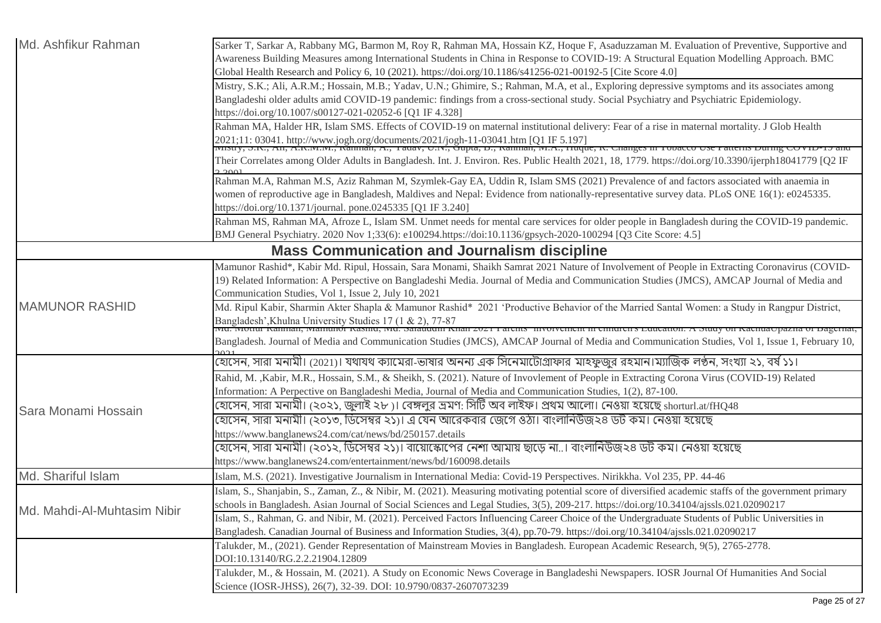| Md. Ashfikur Rahman         | Sarker T, Sarkar A, Rabbany MG, Barmon M, Roy R, Rahman MA, Hossain KZ, Hoque F, Asaduzzaman M. Evaluation of Preventive, Supportive and<br>Awareness Building Measures among International Students in China in Response to COVID-19: A Structural Equation Modelling Approach. BMC |
|-----------------------------|--------------------------------------------------------------------------------------------------------------------------------------------------------------------------------------------------------------------------------------------------------------------------------------|
|                             | Global Health Research and Policy 6, 10 (2021). https://doi.org/10.1186/s41256-021-00192-5 [Cite Score 4.0]                                                                                                                                                                          |
|                             | Mistry, S.K.; Ali, A.R.M.; Hossain, M.B.; Yadav, U.N.; Ghimire, S.; Rahman, M.A, et al., Exploring depressive symptoms and its associates among                                                                                                                                      |
|                             | Bangladeshi older adults amid COVID-19 pandemic: findings from a cross-sectional study. Social Psychiatry and Psychiatric Epidemiology.                                                                                                                                              |
|                             | https://doi.org/10.1007/s00127-021-02052-6 [Q1 IF 4.328]                                                                                                                                                                                                                             |
|                             | Rahman MA, Halder HR, Islam SMS. Effects of COVID-19 on maternal institutional delivery: Fear of a rise in maternal mortality. J Glob Health                                                                                                                                         |
|                             | 2021;11: 03041. http://www.jogh.org/documents/2021/jogh-11-03041.htm [Q1 IF 5.197]<br>[WIISUY, 5.K., AII, A.K.W.W., Kamhan, A., Tauav, O.K., Oupta, D., Kamhan, W.A., Huque, K. Changes in Tooacco Ose Fatterns During COVID-                                                        |
|                             | Their Correlates among Older Adults in Bangladesh. Int. J. Environ. Res. Public Health 2021, 18, 1779. https://doi.org/10.3390/ijerph18041779 [Q2 IF                                                                                                                                 |
|                             | Rahman M.A, Rahman M.S, Aziz Rahman M, Szymlek-Gay EA, Uddin R, Islam SMS (2021) Prevalence of and factors associated with anaemia in                                                                                                                                                |
|                             | women of reproductive age in Bangladesh, Maldives and Nepal: Evidence from nationally-representative survey data. PLoS ONE 16(1): e0245335.                                                                                                                                          |
|                             | https://doi.org/10.1371/journal. pone.0245335 [Q1 IF 3.240]                                                                                                                                                                                                                          |
|                             | Rahman MS, Rahman MA, Afroze L, Islam SM. Unmet needs for mental care services for older people in Bangladesh during the COVID-19 pandemic.                                                                                                                                          |
|                             | BMJ General Psychiatry. 2020 Nov 1;33(6): e100294.https://doi:10.1136/gpsych-2020-100294 [Q3 Cite Score: 4.5]                                                                                                                                                                        |
|                             | <b>Mass Communication and Journalism discipline</b>                                                                                                                                                                                                                                  |
|                             | Mamunor Rashid*, Kabir Md. Ripul, Hossain, Sara Monami, Shaikh Samrat 2021 Nature of Involvement of People in Extracting Coronavirus (COVID-                                                                                                                                         |
|                             | 19) Related Information: A Perspective on Bangladeshi Media. Journal of Media and Communication Studies (JMCS), AMCAP Journal of Media and                                                                                                                                           |
|                             | Communication Studies, Vol 1, Issue 2, July 10, 2021                                                                                                                                                                                                                                 |
| <b>MAMUNOR RASHID</b>       | Md. Ripul Kabir, Sharmin Akter Shapla & Mamunor Rashid* 2021 'Productive Behavior of the Married Santal Women: a Study in Rangpur District,                                                                                                                                          |
|                             | Bangladesh',Khulna University Studies 17 (1 & 2), 77-87<br>ivid. ivionui Kanman, iviamunoi Kasmu, ivid. Sarauuum Knan 2021 1 arcms -mvorvement in cimurch s euucanon. A suuq on Kacmao pazna or Bagernat,                                                                            |
|                             | Bangladesh. Journal of Media and Communication Studies (JMCS), AMCAP Journal of Media and Communication Studies, Vol 1, Issue 1, February 10,                                                                                                                                        |
|                             | হোসেন, সারা মনামী। (2021)। যথাযথ ক্যামেরা-ভাষার অনন্য এক সিনেমাটোগ্রাফার মাহফুজুর রহমান।ম্যাজিক লণ্ঠন, সংখ্যা ২১, বর্ষ ১১।                                                                                                                                                           |
|                             | Rahid, M., Kabir, M.R., Hossain, S.M., & Sheikh, S. (2021). Nature of Invovlement of People in Extracting Corona Virus (COVID-19) Related                                                                                                                                            |
| Sara Monami Hossain         | Information: A Perpective on Bangladeshi Media, Journal of Media and Communication Studies, 1(2), 87-100.                                                                                                                                                                            |
|                             | হোসেন, সারা মনামী। (২০২১, জুলাই ২৮ )। বেঙ্গলুর ভ্রমণ: সিটি অব লাইফ। প্রথম আলো। নেওয়া হয়েছে shorturl.at/fHQ48                                                                                                                                                                       |
|                             | হোসেন, সারা মনামী। (২০১৩, ডিসেম্বর ২১)। এ যেন আরেকবার জেগে ওঠা। বাংলানিউজ২৪ ডট কম। নেওয়া হয়েছে                                                                                                                                                                                     |
|                             | https://www.banglanews24.com/cat/news/bd/250157.details                                                                                                                                                                                                                              |
|                             | হোসেন, সারা মনামী। (২০১২, ডিসেম্বর ২১)। বায়োস্কোপের নেশা আমায় ছাড়ে না। বাংলানিউজ২৪ ডট কম। নেওয়া হয়েছে                                                                                                                                                                           |
|                             | https://www.banglanews24.com/entertainment/news/bd/160098.details                                                                                                                                                                                                                    |
| Md. Shariful Islam          | Islam, M.S. (2021). Investigative Journalism in International Media: Covid-19 Perspectives. Nirikkha. Vol 235, PP. 44-46                                                                                                                                                             |
| Md. Mahdi-Al-Muhtasim Nibir | Islam, S., Shanjabin, S., Zaman, Z., & Nibir, M. (2021). Measuring motivating potential score of diversified academic staffs of the government primary                                                                                                                               |
|                             | schools in Bangladesh. Asian Journal of Social Sciences and Legal Studies, 3(5), 209-217. https://doi.org/10.34104/ajssls.021.02090217                                                                                                                                               |
|                             | Islam, S., Rahman, G. and Nibir, M. (2021). Perceived Factors Influencing Career Choice of the Undergraduate Students of Public Universities in                                                                                                                                      |
|                             | Bangladesh. Canadian Journal of Business and Information Studies, 3(4), pp.70-79. https://doi.org/10.34104/ajssls.021.02090217                                                                                                                                                       |
|                             | Talukder, M., (2021). Gender Representation of Mainstream Movies in Bangladesh. European Academic Research, 9(5), 2765-2778.                                                                                                                                                         |
|                             | DOI:10.13140/RG.2.2.21904.12809                                                                                                                                                                                                                                                      |
|                             | Talukder, M., & Hossain, M. (2021). A Study on Economic News Coverage in Bangladeshi Newspapers. IOSR Journal Of Humanities And Social                                                                                                                                               |
|                             | Science (IOSR-JHSS), 26(7), 32-39. DOI: 10.9790/0837-2607073239                                                                                                                                                                                                                      |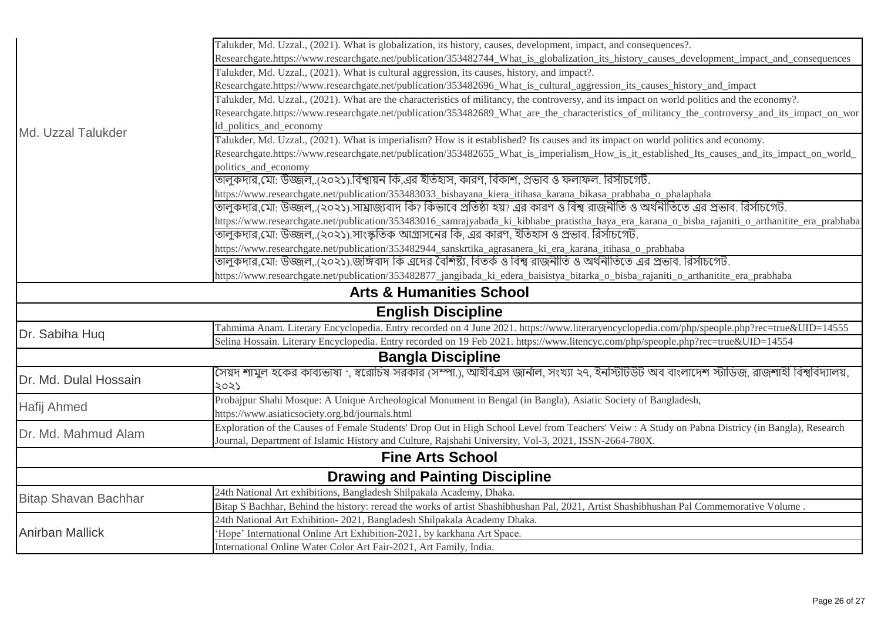| Md. Uzzal Talukder          | Talukder, Md. Uzzal., (2021). What is globalization, its history, causes, development, impact, and consequences?.                                |
|-----------------------------|--------------------------------------------------------------------------------------------------------------------------------------------------|
|                             | Researchgate.https://www.researchgate.net/publication/353482744_What_is_globalization_its_history_causes_development_impact_and_consequences     |
|                             | Talukder, Md. Uzzal., (2021). What is cultural aggression, its causes, history, and impact?.                                                     |
|                             | Researchgate.https://www.researchgate.net/publication/353482696_What_is_cultural_aggression_its_causes_history_and_impact                        |
|                             | Talukder, Md. Uzzal., (2021). What are the characteristics of militancy, the controversy, and its impact on world politics and the economy?.     |
|                             | Researchgate.https://www.researchgate.net/publication/353482689_What_are_the_characteristics_of_militancy_the_controversy_and_its_impact_on_wor  |
|                             | ld_politics_and_economy                                                                                                                          |
|                             | Talukder, Md. Uzzal., (2021). What is imperialism? How is it established? Its causes and its impact on world politics and economy.               |
|                             | Researchgate.https://www.researchgate.net/publication/353482655_What_is_imperialism_How_is_it_established_Its_causes_and_its_impact_on_world_    |
|                             | politics and economy                                                                                                                             |
|                             | তালুকদার,মো: উজ্জল,.(২০২১).বিশ্বায়ন কি,এর ইতিহাস, কারণ, বিকাশ, প্রভাব ও ফলাফল. রির্সাচগেট.                                                      |
|                             | https://www.researchgate.net/publication/353483033_bisbayana_kiera_itihasa_karana_bikasa_prabhaba_o_phalaphala                                   |
|                             | তালুকদার,মো: উজ্জল, (২০২১) সাম্রাজ্যবাদ কি? কিভাবে প্রতিষ্ঠা হয়? এর কারণ ও বিশ্ব রাজনীতি ও অর্থনীতিতে এর প্রভাব. রির্সাচগেট.                    |
|                             | https://www.researchgate.net/publication/353483016_samrajyabada_ki_kibhabe_pratistha_haya_era_karana_o_bisba_rajaniti_o_arthanitite_era_prabhaba |
|                             | তালুকদার,মো: উজ্জল(২০২১).সাংস্কৃতিক আগ্রাসনের কি. এর কারণ, ইতিহাস ও প্রভাব. রির্সাচগেট.                                                          |
|                             | https://www.researchgate.net/publication/353482944_sanskrtika_agrasanera_ki_era_karana_itihasa_o_prabhaba                                        |
|                             | তালকদার মো: উজ্জল(২০২১) জঙ্গিবাদ কি এদের বৈশিষ্ট্য, বিতর্ক ও বিশ্ব রাজনীতি ও অর্থনীতিতে এর প্রভাব. রির্সাচগেট.                                   |
|                             | https://www.researchgate.net/publication/353482877_jangibada_ki_edera_baisistya_bitarka_o_bisba_rajaniti_o_arthanitite_era_prabhaba              |
|                             | <b>Arts &amp; Humanities School</b>                                                                                                              |
|                             | <b>English Discipline</b>                                                                                                                        |
| Dr. Sabiha Hug              | Tahmima Anam. Literary Encyclopedia. Entry recorded on 4 June 2021. https://www.literaryencyclopedia.com/php/speople.php?rec=true&UID=14555      |
|                             | Selina Hossain. Literary Encyclopedia. Entry recorded on 19 Feb 2021. https://www.litencyc.com/php/speople.php?rec=true&UID=14554                |
|                             | <b>Bangla Discipline</b>                                                                                                                         |
| Dr. Md. Dulal Hossain       | সৈয়দ শামুল হকের কাব্যভাষা ', স্বরোচিষ সরকার (সম্পা.), আইবিএস জার্নাল, সংখ্যা ২৭, ইনস্টিটিউট অব বাংলাদেশ স্টাডিজ, রাজশাহী বিশ্ববিদ্যালয়,        |
|                             | 2025                                                                                                                                             |
| Hafij Ahmed                 | Probajpur Shahi Mosque: A Unique Archeological Monument in Bengal (in Bangla), Asiatic Society of Bangladesh,                                    |
|                             | https://www.asiaticsociety.org.bd/journals.html                                                                                                  |
| Dr. Md. Mahmud Alam         | Exploration of the Causes of Female Students' Drop Out in High School Level from Teachers' Veiw: A Study on Pabna Districy (in Bangla), Research |
|                             | Journal, Department of Islamic History and Culture, Rajshahi University, Vol-3, 2021, ISSN-2664-780X.                                            |
|                             | <b>Fine Arts School</b>                                                                                                                          |
|                             | <b>Drawing and Painting Discipline</b>                                                                                                           |
| <b>Bitap Shavan Bachhar</b> | 24th National Art exhibitions, Bangladesh Shilpakala Academy, Dhaka.                                                                             |
|                             | Bitap S Bachhar, Behind the history: reread the works of artist Shashibhushan Pal, 2021, Artist Shashibhushan Pal Commemorative Volume.          |
| <b>Anirban Mallick</b>      | 24th National Art Exhibition-2021, Bangladesh Shilpakala Academy Dhaka.                                                                          |
|                             | 'Hope' International Online Art Exhibition-2021, by karkhana Art Space.                                                                          |
|                             | International Online Water Color Art Fair-2021, Art Family, India.                                                                               |